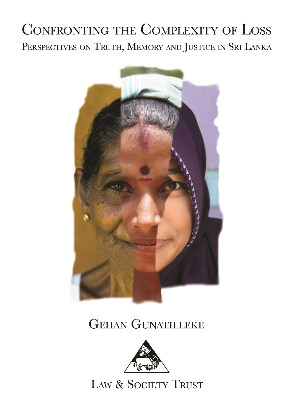# **CONFRONTING THE COMPLEXITY OF LOSS** PERSPECTIVES ON TRUTH, MEMORY AND JUSTICE IN SRI LANKA



# **GEHAN GUNATILLEKE**



LAW & SOCIETY TRUST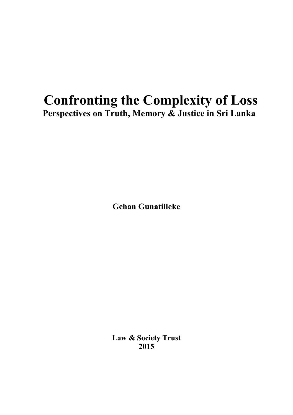# Confronting the Complexity of Loss Perspectives on Truth, Memory & Justice in Sri Lanka

Gehan Gunatilleke

Law & Society Trust 2015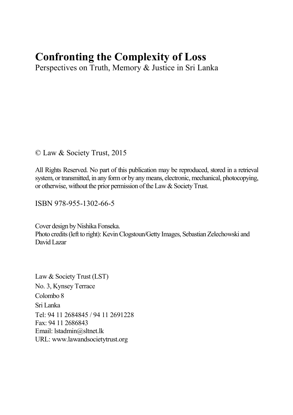# Confronting the Complexity of Loss

Perspectives on Truth, Memory & Justice in Sri Lanka

© Law & Society Trust, 2015

All Rights Reserved. No part of this publication may be reproduced, stored in a retrieval system, or transmitted, in any form or by any means, electronic, mechanical, photocopying, or otherwise, without the prior permission of the Law & Society Trust.

ISBN 978-955-1302-66-5

Cover design by Nishika Fonseka. Photo credits (left to right): Kevin Clogstoun/Getty Images, Sebastian Zelechowski and David Lazar

Law & Society Trust (LST) No. 3, Kynsey Terrace Colombo 8 Sri Lanka Tel: 94 11 2684845 / 94 11 2691228 Fax: 94 11 2686843 Email: [lstadmin@sltnet.lk](mailto:lstadmin@sltnet.lk) URL: [www.lawandsocietytrust.org](http://www.lawandsocietytrust.org/)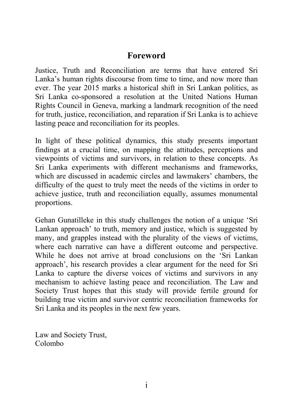## Foreword

Justice, Truth and Reconciliation are terms that have entered Sri Lanka's human rights discourse from time to time, and now more than ever. The year 2015 marks a historical shift in Sri Lankan politics, as Sri Lanka co-sponsored a resolution at the United Nations Human Rights Council in Geneva, marking a landmark recognition of the need for truth, justice, reconciliation, and reparation if Sri Lanka is to achieve lasting peace and reconciliation for its peoples.

In light of these political dynamics, this study presents important findings at a crucial time, on mapping the attitudes, perceptions and viewpoints of victims and survivors, in relation to these concepts. As Sri Lanka experiments with different mechanisms and frameworks, which are discussed in academic circles and lawmakers' chambers, the difficulty of the quest to truly meet the needs of the victims in order to achieve justice, truth and reconciliation equally, assumes monumental proportions.

Gehan Gunatilleke in this study challenges the notion of a unique 'Sri Lankan approach' to truth, memory and justice, which is suggested by many, and grapples instead with the plurality of the views of victims, where each narrative can have a different outcome and perspective. While he does not arrive at broad conclusions on the 'Sri Lankan approach', his research provides a clear argument for the need for Sri Lanka to capture the diverse voices of victims and survivors in any mechanism to achieve lasting peace and reconciliation. The Law and Society Trust hopes that this study will provide fertile ground for building true victim and survivor centric reconciliation frameworks for Sri Lanka and its peoples in the next few years.

Law and Society Trust, Colombo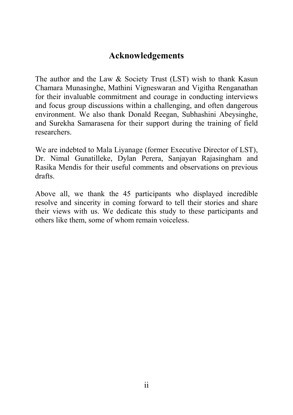## Acknowledgements

The author and the Law & Society Trust (LST) wish to thank Kasun Chamara Munasinghe, Mathini Vigneswaran and Vigitha Renganathan for their invaluable commitment and courage in conducting interviews and focus group discussions within a challenging, and often dangerous environment. We also thank Donald Reegan, Subhashini Abeysinghe, and Surekha Samarasena for their support during the training of field researchers.

We are indebted to Mala Liyanage (former Executive Director of LST), Dr. Nimal Gunatilleke, Dylan Perera, Sanjayan Rajasingham and Rasika Mendis for their useful comments and observations on previous drafts.

Above all, we thank the 45 participants who displayed incredible resolve and sincerity in coming forward to tell their stories and share their views with us. We dedicate this study to these participants and others like them, some of whom remain voiceless.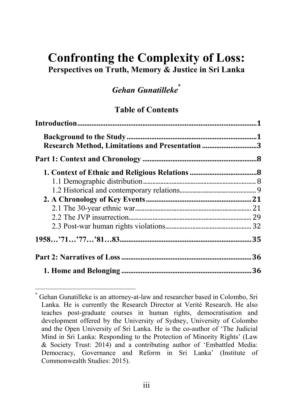# Confronting the Complexity of Loss: Perspectives on Truth, Memory & Justice in Sri Lanka

# *Gehan Gunatilleke*\*

#### Table of Contents

| Research Method, Limitations and Presentation 3 |  |
|-------------------------------------------------|--|
|                                                 |  |
|                                                 |  |
|                                                 |  |
|                                                 |  |
|                                                 |  |
|                                                 |  |
|                                                 |  |
|                                                 |  |
|                                                 |  |
|                                                 |  |
|                                                 |  |

\* Gehan Gunatilleke is an attorney-at-law and researcher based in Colombo, Sri Lanka. He is currently the Research Director at Verité Research. He also teaches post-graduate courses in human rights, democratisation and development offered by the University of Sydney, University of Colombo and the Open University of Sri Lanka. He is the co-author of 'The Judicial Mind in Sri Lanka: Responding to the Protection of Minority Rights' (Law & Society Trust: 2014) and a contributing author of 'Embattled Media: Democracy, Governance and Reform in Sri Lanka' (Institute of Commonwealth Studies: 2015).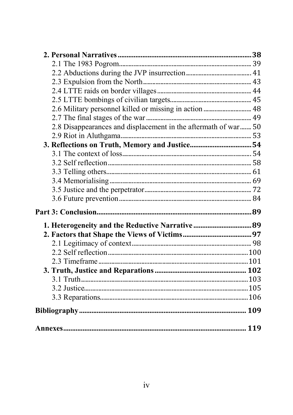| 2.6 Military personnel killed or missing in action  48          |  |
|-----------------------------------------------------------------|--|
|                                                                 |  |
| 2.8 Disappearances and displacement in the aftermath of war  50 |  |
|                                                                 |  |
|                                                                 |  |
|                                                                 |  |
|                                                                 |  |
|                                                                 |  |
|                                                                 |  |
|                                                                 |  |
|                                                                 |  |
|                                                                 |  |
| 1. Heterogeneity and the Reductive Narrative  89                |  |
|                                                                 |  |
|                                                                 |  |
|                                                                 |  |
|                                                                 |  |
|                                                                 |  |
|                                                                 |  |
|                                                                 |  |
|                                                                 |  |
|                                                                 |  |
|                                                                 |  |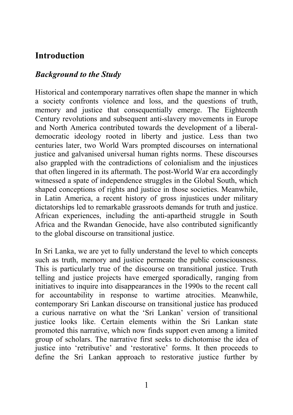# <span id="page-7-0"></span>**Introduction**

#### *Background to the Study*

Historical and contemporary narratives often shape the manner in which a society confronts violence and loss, and the questions of truth, memory and justice that consequentially emerge. The Eighteenth Century revolutions and subsequent anti-slavery movements in Europe and North America contributed towards the development of a liberaldemocratic ideology rooted in liberty and justice. Less than two centuries later, two World Wars prompted discourses on international justice and galvanised universal human rights norms. These discourses also grappled with the contradictions of colonialism and the injustices that often lingered in its aftermath. The post-World War era accordingly witnessed a spate of independence struggles in the Global South, which shaped conceptions of rights and justice in those societies. Meanwhile, in Latin America, a recent history of gross injustices under military dictatorships led to remarkable grassroots demands for truth and justice. African experiences, including the anti-apartheid struggle in South Africa and the Rwandan Genocide, have also contributed significantly to the global discourse on transitional justice.

In Sri Lanka, we are yet to fully understand the level to which concepts such as truth, memory and justice permeate the public consciousness. This is particularly true of the discourse on transitional justice. Truth telling and justice projects have emerged sporadically, ranging from initiatives to inquire into disappearances in the 1990s to the recent call for accountability in response to wartime atrocities. Meanwhile, contemporary Sri Lankan discourse on transitional justice has produced a curious narrative on what the 'Sri Lankan' version of transitional justice looks like. Certain elements within the Sri Lankan state promoted this narrative, which now finds support even among a limited group of scholars. The narrative first seeks to dichotomise the idea of justice into 'retributive' and 'restorative' forms. It then proceeds to define the Sri Lankan approach to restorative justice further by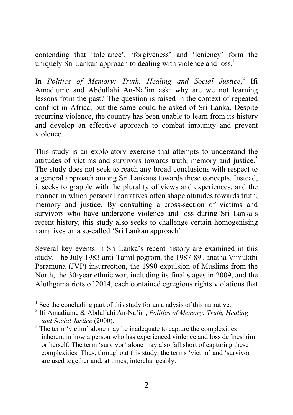contending that 'tolerance', 'forgiveness' and 'leniency' form the uniquely Sri Lankan approach to dealing with violence and loss.<sup>1</sup>

In *Politics of Memory: Truth, Healing and Social Justice*, <sup>2</sup> Ifi Amadiume and Abdullahi An-Na'im ask: why are we not learning lessons from the past? The question is raised in the context of repeated conflict in Africa; but the same could be asked of Sri Lanka. Despite recurring violence, the country has been unable to learn from its history and develop an effective approach to combat impunity and prevent violence.

This study is an exploratory exercise that attempts to understand the attitudes of victims and survivors towards truth, memory and justice.<sup>3</sup> The study does not seek to reach any broad conclusions with respect to a general approach among Sri Lankans towards these concepts. Instead, it seeks to grapple with the plurality of views and experiences, and the manner in which personal narratives often shape attitudes towards truth, memory and justice. By consulting a cross-section of victims and survivors who have undergone violence and loss during Sri Lanka's recent history, this study also seeks to challenge certain homogenising narratives on a so-called 'Sri Lankan approach'.

Several key events in Sri Lanka's recent history are examined in this study. The July 1983 anti-Tamil pogrom, the 1987-89 Janatha Vimukthi Peramuna (JVP) insurrection, the 1990 expulsion of Muslims from the North, the 30-year ethnic war, including its final stages in 2009, and the Aluthgama riots of 2014, each contained egregious rights violations that

 $<sup>1</sup>$  See the concluding part of this study for an analysis of this narrative.</sup>

<sup>2</sup> Ifi Amadiume & Abdullahi An-Na'im, *Politics of Memory: Truth, Healing and Social Justice* (2000).

<sup>&</sup>lt;sup>3</sup> The term 'victim' alone may be inadequate to capture the complexities inherent in how a person who has experienced violence and loss defines him or herself. The term 'survivor' alone may also fall short of capturing these complexities. Thus, throughout this study, the terms 'victim' and 'survivor' are used together and, at times, interchangeably.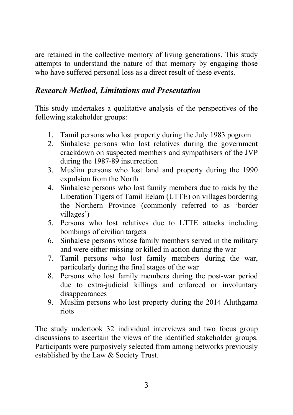<span id="page-9-0"></span>are retained in the collective memory of living generations. This study attempts to understand the nature of that memory by engaging those who have suffered personal loss as a direct result of these events.

### *Research Method, Limitations and Presentation*

This study undertakes a qualitative analysis of the perspectives of the following stakeholder groups:

- 1. Tamil persons who lost property during the July 1983 pogrom
- 2. Sinhalese persons who lost relatives during the government crackdown on suspected members and sympathisers of the JVP during the 1987-89 insurrection
- 3. Muslim persons who lost land and property during the 1990 expulsion from the North
- 4. Sinhalese persons who lost family members due to raids by the Liberation Tigers of Tamil Eelam (LTTE) on villages bordering the Northern Province (commonly referred to as 'border villages')
- 5. Persons who lost relatives due to LTTE attacks including bombings of civilian targets
- 6. Sinhalese persons whose family members served in the military and were either missing or killed in action during the war
- 7. Tamil persons who lost family members during the war, particularly during the final stages of the war
- 8. Persons who lost family members during the post-war period due to extra-judicial killings and enforced or involuntary disappearances
- 9. Muslim persons who lost property during the 2014 Aluthgama riots

The study undertook 32 individual interviews and two focus group discussions to ascertain the views of the identified stakeholder groups. Participants were purposively selected from among networks previously established by the Law & Society Trust.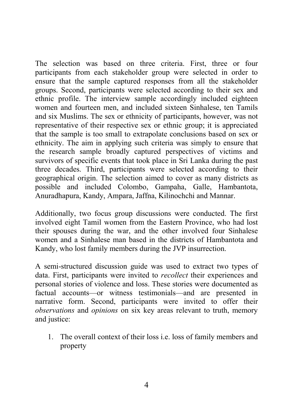The selection was based on three criteria. First, three or four participants from each stakeholder group were selected in order to ensure that the sample captured responses from all the stakeholder groups. Second, participants were selected according to their sex and ethnic profile. The interview sample accordingly included eighteen women and fourteen men, and included sixteen Sinhalese, ten Tamils and six Muslims. The sex or ethnicity of participants, however, was not representative of their respective sex or ethnic group; it is appreciated that the sample is too small to extrapolate conclusions based on sex or ethnicity. The aim in applying such criteria was simply to ensure that the research sample broadly captured perspectives of victims and survivors of specific events that took place in Sri Lanka during the past three decades. Third, participants were selected according to their geographical origin. The selection aimed to cover as many districts as possible and included Colombo, Gampaha, Galle, Hambantota, Anuradhapura, Kandy, Ampara, Jaffna, Kilinochchi and Mannar.

Additionally, two focus group discussions were conducted. The first involved eight Tamil women from the Eastern Province, who had lost their spouses during the war, and the other involved four Sinhalese women and a Sinhalese man based in the districts of Hambantota and Kandy, who lost family members during the JVP insurrection.

A semi-structured discussion guide was used to extract two types of data. First, participants were invited to *recollect* their experiences and personal stories of violence and loss. These stories were documented as factual accounts—or witness testimonials—and are presented in narrative form. Second, participants were invited to offer their *observations* and *opinions* on six key areas relevant to truth, memory and justice:

1. The overall context of their loss i.e. loss of family members and property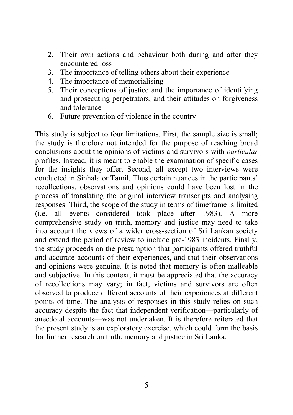- 2. Their own actions and behaviour both during and after they encountered loss
- 3. The importance of telling others about their experience
- 4. The importance of memorialising
- 5. Their conceptions of justice and the importance of identifying and prosecuting perpetrators, and their attitudes on forgiveness and tolerance
- 6. Future prevention of violence in the country

This study is subject to four limitations. First, the sample size is small; the study is therefore not intended for the purpose of reaching broad conclusions about the opinions of victims and survivors with *particular*  profiles. Instead, it is meant to enable the examination of specific cases for the insights they offer. Second, all except two interviews were conducted in Sinhala or Tamil. Thus certain nuances in the participants' recollections, observations and opinions could have been lost in the process of translating the original interview transcripts and analysing responses. Third, the scope of the study in terms of timeframe is limited (i.e. all events considered took place after 1983). A more comprehensive study on truth, memory and justice may need to take into account the views of a wider cross-section of Sri Lankan society and extend the period of review to include pre-1983 incidents. Finally, the study proceeds on the presumption that participants offered truthful and accurate accounts of their experiences, and that their observations and opinions were genuine. It is noted that memory is often malleable and subjective. In this context, it must be appreciated that the accuracy of recollections may vary; in fact, victims and survivors are often observed to produce different accounts of their experiences at different points of time. The analysis of responses in this study relies on such accuracy despite the fact that independent verification—particularly of anecdotal accounts—was not undertaken. It is therefore reiterated that the present study is an exploratory exercise, which could form the basis for further research on truth, memory and justice in Sri Lanka.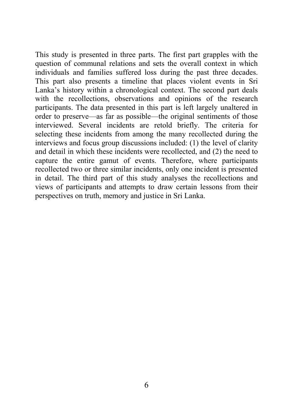This study is presented in three parts. The first part grapples with the question of communal relations and sets the overall context in which individuals and families suffered loss during the past three decades. This part also presents a timeline that places violent events in Sri Lanka's history within a chronological context. The second part deals with the recollections, observations and opinions of the research participants. The data presented in this part is left largely unaltered in order to preserve—as far as possible—the original sentiments of those interviewed. Several incidents are retold briefly. The criteria for selecting these incidents from among the many recollected during the interviews and focus group discussions included: (1) the level of clarity and detail in which these incidents were recollected, and (2) the need to capture the entire gamut of events. Therefore, where participants recollected two or three similar incidents, only one incident is presented in detail. The third part of this study analyses the recollections and views of participants and attempts to draw certain lessons from their perspectives on truth, memory and justice in Sri Lanka.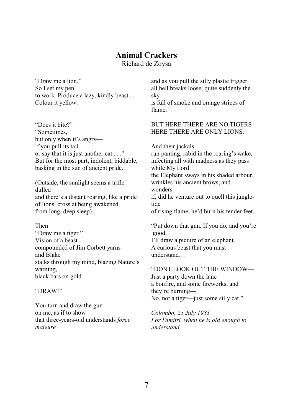#### Animal Crackers

Richard de Zoysa

"Draw me a lion." So I set my pen to work. Produce a lazy, kindly beast . . . Colour it yellow.

"Does it bite?" "Sometimes, but only when it's angry if you pull its tail or say that it is just another cat . . ." But for the most part, indolent, biddable, basking in the sun of ancient pride.

(Outside, the sunlight seems a trifle dulled and there's a distant roaring, like a pride of lions, cross at being awakened from long, deep sleep).

Then

"Draw me a tiger." Vision of a beast compounded of Jim Corbett yarns and Blake stalks through my mind, blazing Nature's warning, black bars on gold.

"DRAW!"

You turn and draw the gun on me, as if to show that three-years-old understands *force majeure*

and as you pull the silly plastic trigger all hell breaks loose; quite suddenly the sky

is full of smoke and orange stripes of flame.

#### BUT HERE THERE ARE NO TIGERS HERE THERE ARE ONLY LIONS.

And their jackals

run panting, rabid in the roaring's wake, infecting all with madness as they pass while My Lord the Elephant sways in his shaded arbour, wrinkles his ancient brows, and wonders—

if, did he venture out to quell this jungletide

of rising flame, he'd burn his tender feet.

"Put down that gun. If you do, and you're good,

I'll draw a picture of an elephant. A curious beast that you must understand…

"DONT LOOK OUT THE WINDOW— Just a party down the lane a bonfire, and some fireworks, and they're burning— No, not a tiger—just some silly cat."

*Colombo, 25 July 1983 For Dimitri, when he is old enough to understand*.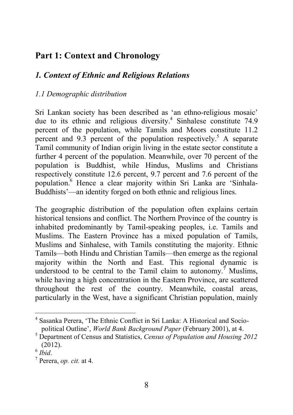# <span id="page-14-0"></span>Part 1: Context and Chronology

### *1. Context of Ethnic and Religious Relations*

#### *1.1 Demographic distribution*

Sri Lankan society has been described as 'an ethno-religious mosaic' due to its ethnic and religious diversity.<sup>4</sup> Sinhalese constitute 74.9 percent of the population, while Tamils and Moors constitute 11.2 percent and 9.3 percent of the population respectively.<sup>5</sup> A separate Tamil community of Indian origin living in the estate sector constitute a further 4 percent of the population. Meanwhile, over 70 percent of the population is Buddhist, while Hindus, Muslims and Christians respectively constitute 12.6 percent, 9.7 percent and 7.6 percent of the population.6 Hence a clear majority within Sri Lanka are 'Sinhala-Buddhists'—an identity forged on both ethnic and religious lines.

The geographic distribution of the population often explains certain historical tensions and conflict. The Northern Province of the country is inhabited predominantly by Tamil-speaking peoples, i.e. Tamils and Muslims. The Eastern Province has a mixed population of Tamils, Muslims and Sinhalese, with Tamils constituting the majority. Ethnic Tamils—both Hindu and Christian Tamils—then emerge as the regional majority within the North and East. This regional dynamic is understood to be central to the Tamil claim to autonomy.<sup>7</sup> Muslims, while having a high concentration in the Eastern Province, are scattered throughout the rest of the country. Meanwhile, coastal areas, particularly in the West, have a significant Christian population, mainly

<sup>&</sup>lt;sup>4</sup> Sasanka Perera, 'The Ethnic Conflict in Sri Lanka: A Historical and Socio-<br>political Outline', *World Bank Background Paper* (February 2001), at 4.

<sup>&</sup>lt;sup>5</sup> Department of Census and Statistics, *Census of Population and Housing 2012*  $(2012).$ <sup>6</sup> *Ihid*.

 $<sup>7</sup>$  Perera, *op. cit.* at 4.</sup>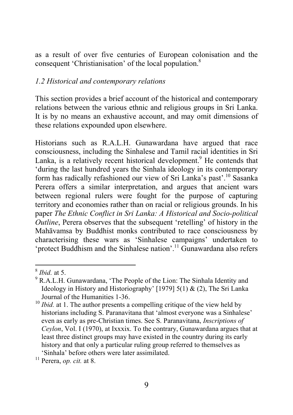<span id="page-15-0"></span>as a result of over five centuries of European colonisation and the consequent 'Christianisation' of the local population.8

#### *1.2 Historical and contemporary relations*

This section provides a brief account of the historical and contemporary relations between the various ethnic and religious groups in Sri Lanka. It is by no means an exhaustive account, and may omit dimensions of these relations expounded upon elsewhere.

Historians such as R.A.L.H. Gunawardana have argued that race consciousness, including the Sinhalese and Tamil racial identities in Sri Lanka, is a relatively recent historical development.<sup>9</sup> He contends that 'during the last hundred years the Sinhala ideology in its contemporary form has radically refashioned our view of Sri Lanka's past'.10 Sasanka Perera offers a similar interpretation, and argues that ancient wars between regional rulers were fought for the purpose of capturing territory and economies rather than on racial or religious grounds. In his paper *The Ethnic Conflict in Sri Lanka: A Historical and Socio-political Outline*, Perera observes that the subsequent 'retelling' of history in the Mahāvamsa by Buddhist monks contributed to race consciousness by characterising these wars as 'Sinhalese campaigns' undertaken to 'protect Buddhism and the Sinhalese nation'.11 Gunawardana also refers

<sup>8</sup> *Ibid.* at 5.

<sup>9</sup> R.A.L.H. Gunawardana, 'The People of the Lion: The Sinhala Identity and Ideology in History and Historiography' [1979] 5(1)  $\&$  (2), The Sri Lanka Journal of the Humanities 1-36.

<sup>&</sup>lt;sup>10</sup> *Ibid.* at 1. The author presents a compelling critique of the view held by historians including S. Paranavitana that 'almost everyone was a Sinhalese' even as early as pre-Christian times. See S. Paranavitana, *Inscriptions of Ceylon*, Vol. I (1970), at Ixxxix. To the contrary, Gunawardana argues that at least three distinct groups may have existed in the country during its early history and that only a particular ruling group referred to themselves as 'Sinhala' before others were later assimilated. <sup>11</sup> Perera, *op. cit.* at 8.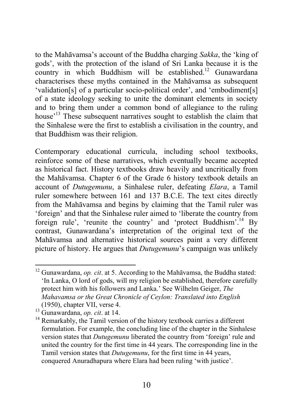to the Mahāvamsa's account of the Buddha charging *Sakka*, the 'king of gods', with the protection of the island of Sri Lanka because it is the country in which Buddhism will be established.<sup>12</sup> Gunawardana characterises these myths contained in the Mahāvamsa as subsequent 'validation[s] of a particular socio-political order', and 'embodiment[s] of a state ideology seeking to unite the dominant elements in society and to bring them under a common bond of allegiance to the ruling house<sup>'13</sup> These subsequent narratives sought to establish the claim that the Sinhalese were the first to establish a civilisation in the country, and that Buddhism was their religion.

Contemporary educational curricula, including school textbooks, reinforce some of these narratives, which eventually became accepted as historical fact. History textbooks draw heavily and uncritically from the Mahāvamsa. Chapter 6 of the Grade 6 history textbook details an account of *Dutugemunu*, a Sinhalese ruler, defeating *Elara*, a Tamil ruler somewhere between 161 and 137 B.C.E. The text cites directly from the Mahāvamsa and begins by claiming that the Tamil ruler was 'foreign' and that the Sinhalese ruler aimed to 'liberate the country from foreign rule', 'reunite the country' and 'protect Buddhism'.<sup>14</sup> By contrast, Gunawardana's interpretation of the original text of the Mahāvamsa and alternative historical sources paint a very different picture of history. He argues that *Dutugemunu*'s campaign was unlikely

<sup>12</sup> Gunawardana, *op. cit*. at 5. According to the Mahāvamsa, the Buddha stated: 'In Lanka, O lord of gods, will my religion be established, therefore carefully protect him with his followers and Lanka.' See Wilhelm Geiger, *The Mahavamsa or the Great Chronicle of Ceylon: Translated into English* 

<sup>(1950),</sup> chapter VII, verse 4.<br><sup>13</sup> Gunawardana, *op. cit.* at 14.

<sup>&</sup>lt;sup>14</sup> Remarkably, the Tamil version of the history textbook carries a different formulation. For example, the concluding line of the chapter in the Sinhalese version states that *Dutugemunu* liberated the country from 'foreign' rule and united the country for the first time in 44 years. The corresponding line in the Tamil version states that *Dutugemunu*, for the first time in 44 years, conquered Anuradhapura where Elara had been ruling 'with justice'.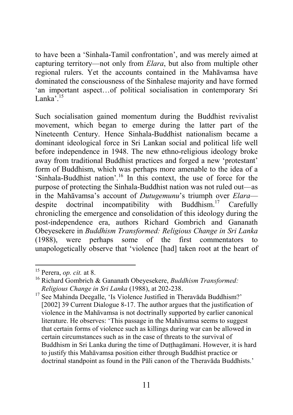to have been a 'Sinhala-Tamil confrontation', and was merely aimed at capturing territory—not only from *Elara*, but also from multiple other regional rulers. Yet the accounts contained in the Mahāvamsa have dominated the consciousness of the Sinhalese majority and have formed 'an important aspect…of political socialisation in contemporary Sri Lanka $^{15}$ 

Such socialisation gained momentum during the Buddhist revivalist movement, which began to emerge during the latter part of the Nineteenth Century. Hence Sinhala-Buddhist nationalism became a dominant ideological force in Sri Lankan social and political life well before independence in 1948. The new ethno-religious ideology broke away from traditional Buddhist practices and forged a new 'protestant' form of Buddhism, which was perhaps more amenable to the idea of a 'Sinhala-Buddhist nation'.16 In this context, the use of force for the purpose of protecting the Sinhala-Buddhist nation was not ruled out—as in the Mahāvamsa's account of *Dutugemunu*'s triumph over *Elara* despite doctrinal incompatibility with Buddhism.<sup>17</sup> Carefully chronicling the emergence and consolidation of this ideology during the post-independence era, authors Richard Gombrich and Gananath Obeyesekere in *Buddhism Transformed: Religious Change in Sri Lanka* (1988), were perhaps some of the first commentators to unapologetically observe that 'violence [had] taken root at the heart of

<sup>17</sup> See Mahinda Deegalle, 'Is Violence Justified in Theravada Buddhism?' [2002] 39 Current Dialogue 8-17. The author argues that the justification of violence in the Mahāvamsa is not doctrinally supported by earlier canonical literature. He observes: 'This passage in the Mahāvamsa seems to suggest that certain forms of violence such as killings during war can be allowed in certain circumstances such as in the case of threats to the survival of Buddhism in Sri Lanka during the time of Dutthagamani. However, it is hard to justify this Mahāvamsa position either through Buddhist practice or doctrinal standpoint as found in the Pāli canon of the Theravāda Buddhists.'

<sup>15</sup> Perera, *op. cit.* at 8.

<sup>16</sup> Richard Gombrich & Gananath Obeyesekere, *Buddhism Transformed: Religious Change in Sri Lanka* (1988), at 202-238.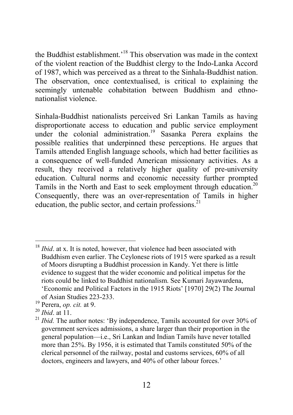the Buddhist establishment.<sup>18</sup> This observation was made in the context of the violent reaction of the Buddhist clergy to the Indo-Lanka Accord of 1987, which was perceived as a threat to the Sinhala-Buddhist nation. The observation, once contextualised, is critical to explaining the seemingly untenable cohabitation between Buddhism and ethnonationalist violence.

Sinhala-Buddhist nationalists perceived Sri Lankan Tamils as having disproportionate access to education and public service employment under the colonial administration.<sup>19</sup> Sasanka Perera explains the possible realities that underpinned these perceptions. He argues that Tamils attended English language schools, which had better facilities as a consequence of well-funded American missionary activities. As a result, they received a relatively higher quality of pre-university education. Cultural norms and economic necessity further prompted Tamils in the North and East to seek employment through education.<sup>20</sup> Consequently, there was an over-representation of Tamils in higher education, the public sector, and certain professions. $21$ 

<sup>&</sup>lt;sup>18</sup> *Ibid*. at x. It is noted, however, that violence had been associated with Buddhism even earlier. The Ceylonese riots of 1915 were sparked as a result of Moors disrupting a Buddhist procession in Kandy. Yet there is little evidence to suggest that the wider economic and political impetus for the riots could be linked to Buddhist nationalism. See Kumari Jayawardena, 'Economic and Political Factors in the 1915 Riots' [1970] 29(2) The Journal of Asian Studies 223-233.

<sup>&</sup>lt;sup>19</sup> Perera, *op. cit.* at 9.<br><sup>20</sup> *Ibid.* at 11.

 $21$  *Ibid.* The author notes: 'By independence, Tamils accounted for over 30% of government services admissions, a share larger than their proportion in the general population—i.e., Sri Lankan and Indian Tamils have never totalled more than 25%. By 1956, it is estimated that Tamils constituted 50% of the clerical personnel of the railway, postal and customs services, 60% of all doctors, engineers and lawyers, and 40% of other labour forces.'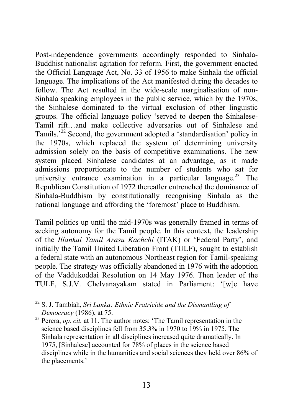Post-independence governments accordingly responded to Sinhala-Buddhist nationalist agitation for reform. First, the government enacted the Official Language Act, No. 33 of 1956 to make Sinhala the official language. The implications of the Act manifested during the decades to follow. The Act resulted in the wide-scale marginalisation of non-Sinhala speaking employees in the public service, which by the 1970s, the Sinhalese dominated to the virtual exclusion of other linguistic groups. The official language policy 'served to deepen the Sinhalese-Tamil rift…and make collective adversaries out of Sinhalese and Tamils.<sup>22</sup> Second, the government adopted a 'standardisation' policy in the 1970s, which replaced the system of determining university admission solely on the basis of competitive examinations. The new system placed Sinhalese candidates at an advantage, as it made admissions proportionate to the number of students who sat for university entrance examination in a particular language.<sup>23</sup> The Republican Constitution of 1972 thereafter entrenched the dominance of Sinhala-Buddhism by constitutionally recognising Sinhala as the national language and affording the 'foremost' place to Buddhism.

Tamil politics up until the mid-1970s was generally framed in terms of seeking autonomy for the Tamil people. In this context, the leadership of the *Illankai Tamil Arasu Kachchi* (ITAK) or 'Federal Party', and initially the Tamil United Liberation Front (TULF), sought to establish a federal state with an autonomous Northeast region for Tamil-speaking people. The strategy was officially abandoned in 1976 with the adoption of the Vaddukoddai Resolution on 14 May 1976. Then leader of the TULF, S.J.V. Chelvanayakam stated in Parliament: '[w]e have

<sup>22</sup> S. J. Tambiah, *Sri Lanka: Ethnic Fratricide and the Dismantling of Democracy* (1986), at 75.

<sup>&</sup>lt;sup>23</sup> Perera, *op. cit.* at 11. The author notes: 'The Tamil representation in the science based disciplines fell from 35.3% in 1970 to 19% in 1975. The Sinhala representation in all disciplines increased quite dramatically. In 1975, [Sinhalese] accounted for 78% of places in the science based disciplines while in the humanities and social sciences they held over 86% of the placements.'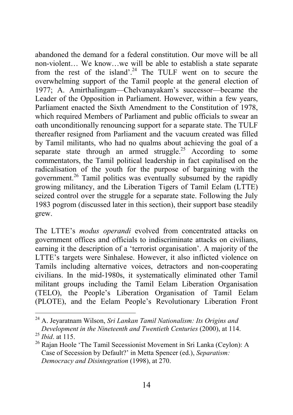abandoned the demand for a federal constitution. Our move will be all non-violent… We know…we will be able to establish a state separate from the rest of the island'.<sup>24</sup> The TULF went on to secure the overwhelming support of the Tamil people at the general election of 1977; A. Amirthalingam—Chelvanayakam's successor—became the Leader of the Opposition in Parliament. However, within a few years, Parliament enacted the Sixth Amendment to the Constitution of 1978, which required Members of Parliament and public officials to swear an oath unconditionally renouncing support for a separate state. The TULF thereafter resigned from Parliament and the vacuum created was filled by Tamil militants, who had no qualms about achieving the goal of a separate state through an armed struggle.<sup>25</sup> According to some commentators, the Tamil political leadership in fact capitalised on the radicalisation of the youth for the purpose of bargaining with the government.<sup>26</sup> Tamil politics was eventually subsumed by the rapidly growing militancy, and the Liberation Tigers of Tamil Eelam (LTTE) seized control over the struggle for a separate state. Following the July 1983 pogrom (discussed later in this section), their support base steadily grew.

The LTTE's *modus operandi* evolved from concentrated attacks on government offices and officials to indiscriminate attacks on civilians, earning it the description of a 'terrorist organisation'. A majority of the LTTE's targets were Sinhalese. However, it also inflicted violence on Tamils including alternative voices, detractors and non-cooperating civilians. In the mid-1980s, it systematically eliminated other Tamil militant groups including the Tamil Eelam Liberation Organisation (TELO), the People's Liberation Organisation of Tamil Eelam (PLOTE), and the Eelam People's Revolutionary Liberation Front

<sup>24</sup> A. Jeyaratnam Wilson, *Sri Lankan Tamil Nationalism: Its Origins and Development in the Nineteenth and Twentieth Centuries* (2000), at 114. <sup>25</sup> *Ibid*. at 115.

<sup>&</sup>lt;sup>26</sup> Raian Hoole 'The Tamil Secessionist Movement in Sri Lanka (Ceylon): A Case of Secession by Default?' in Metta Spencer (ed.), *Separatism: Democracy and Disintegration* (1998), at 270.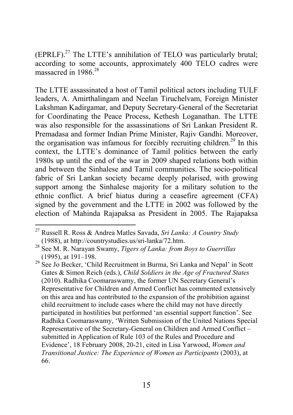$(FPRLF)$ <sup>27</sup> The LTTE's annihilation of TELO was particularly brutal; according to some accounts, approximately 400 TELO cadres were massacred in 1986 $28$ 

The LTTE assassinated a host of Tamil political actors including TULF leaders, A. Amirthalingam and Neelan Tiruchelvam, Foreign Minister Lakshman Kadirgamar, and Deputy Secretary-General of the Secretariat for Coordinating the Peace Process, Kethesh Loganathan. The LTTE was also responsible for the assassinations of Sri Lankan President R Premadasa and former Indian Prime Minister, Rajiv Gandhi. Moreover, the organisation was infamous for forcibly recruiting children.<sup>29</sup> In this context, the LTTE's dominance of Tamil politics between the early 1980s up until the end of the war in 2009 shaped relations both within and between the Sinhalese and Tamil communities. The socio-political fabric of Sri Lankan society became deeply polarised, with growing support among the Sinhalese majority for a military solution to the ethnic conflict. A brief hiatus during a ceasefire agreement (CFA) signed by the government and the LTTE in 2002 was followed by the election of Mahinda Rajapaksa as President in 2005. The Rajapaksa

<sup>27</sup> Russell R. Ross & Andrea Matles Savada, *Sri Lanka: A Country Study* (1988), at http://countrystudies.us/sri-lanka/72.htm.

<sup>28</sup> See M. R. Narayan Swamy, *Tigers of Lanka: from Boys to Guerrillas* (1995), at 191–198.

 $29$  See Jo Becker, 'Child Recruitment in Burma, Sri Lanka and Nepal' in Scott Gates & Simon Reich (eds.), *Child Soldiers in the Age of Fractured States* (2010). Radhika Coomaraswamy, the former UN Secretary General's Representative for Children and Armed Conflict has commented extensively on this area and has contributed to the expansion of the prohibition against child recruitment to include cases where the child may not have directly participated in hostilities but performed 'an essential support function'. See Radhika Coomaraswamy, 'Written Submission of the United Nations Special Representative of the Secretary-General on Children and Armed Conflict – submitted in Application of Rule 103 of the Rules and Procedure and Evidence', 18 February 2008, 20-21, cited in Lisa Yarwood, *Women and Transitional Justice: The Experience of Women as Participants* (2003), at 66.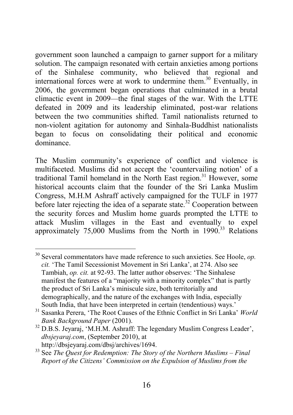government soon launched a campaign to garner support for a military solution. The campaign resonated with certain anxieties among portions of the Sinhalese community, who believed that regional and international forces were at work to undermine them.<sup>30</sup> Eventually, in 2006, the government began operations that culminated in a brutal climactic event in 2009—the final stages of the war. With the LTTE defeated in 2009 and its leadership eliminated, post-war relations between the two communities shifted. Tamil nationalists returned to non-violent agitation for autonomy and Sinhala-Buddhist nationalists began to focus on consolidating their political and economic dominance.

The Muslim community's experience of conflict and violence is multifaceted. Muslims did not accept the 'countervailing notion' of a traditional Tamil homeland in the North East region.<sup>31</sup> However, some historical accounts claim that the founder of the Sri Lanka Muslim Congress, M.H.M Ashraff actively campaigned for the TULF in 1977 before later rejecting the idea of a separate state.<sup>32</sup> Cooperation between the security forces and Muslim home guards prompted the LTTE to attack Muslim villages in the East and eventually to expel approximately 75,000 Muslims from the North in 1990.<sup>33</sup> Relations

<sup>30</sup> Several commentators have made reference to such anxieties. See Hoole, *op. cit.* 'The Tamil Secessionist Movement in Sri Lanka', at 274. Also see Tambiah, *op. cit.* at 92-93. The latter author observes: 'The Sinhalese manifest the features of a "majority with a minority complex" that is partly the product of Sri Lanka's miniscule size, both territorially and demographically, and the nature of the exchanges with India, especially South India, that have been interpreted in certain (tendentious) ways.'

<sup>31</sup> Sasanka Perera, 'The Root Causes of the Ethnic Conflict in Sri Lanka' *World Bank Background Paper* (2001).

<sup>&</sup>lt;sup>32</sup> D.B.S. Jeyaraj, 'M.H.M. Ashraff: The legendary Muslim Congress Leader', *dbsjeyaraj.com*, (September 2010), at http://dbsjeyaraj.com/dbsj/archives/1694.

<sup>33</sup> See *The Quest for Redemption: The Story of the Northern Muslims – Final Report of the Citizens' Commission on the Expulsion of Muslims from the*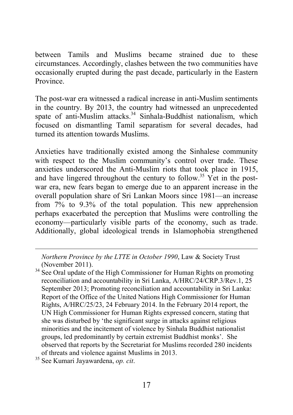between Tamils and Muslims became strained due to these circumstances. Accordingly, clashes between the two communities have occasionally erupted during the past decade, particularly in the Eastern Province.

The post-war era witnessed a radical increase in anti-Muslim sentiments in the country. By 2013, the country had witnessed an unprecedented spate of anti-Muslim attacks.<sup>34</sup> Sinhala-Buddhist nationalism, which focused on dismantling Tamil separatism for several decades, had turned its attention towards Muslims.

Anxieties have traditionally existed among the Sinhalese community with respect to the Muslim community's control over trade. These anxieties underscored the Anti-Muslim riots that took place in 1915, and have lingered throughout the century to follow.<sup>35</sup> Yet in the postwar era, new fears began to emerge due to an apparent increase in the overall population share of Sri Lankan Moors since 1981—an increase from 7% to 9.3% of the total population. This new apprehension perhaps exacerbated the perception that Muslims were controlling the economy—particularly visible parts of the economy, such as trade. Additionally, global ideological trends in Islamophobia strengthened

*Northern Province by the LTTE in October 1990*, Law & Society Trust (November 2011).

<sup>34</sup> See Oral update of the High Commissioner for Human Rights on promoting reconciliation and accountability in Sri Lanka, A/HRC/24/CRP.3/Rev.1, 25 September 2013; Promoting reconciliation and accountability in Sri Lanka: Report of the Office of the United Nations High Commissioner for Human Rights, A/HRC/25/23, 24 February 2014. In the February 2014 report, the UN High Commissioner for Human Rights expressed concern, stating that she was disturbed by 'the significant surge in attacks against religious minorities and the incitement of violence by Sinhala Buddhist nationalist groups, led predominantly by certain extremist Buddhist monks'. She observed that reports by the Secretariat for Muslims recorded 280 incidents of threats and violence against Muslims in 2013.

<sup>35</sup> See Kumari Jayawardena, *op. cit*.

 $\overline{a}$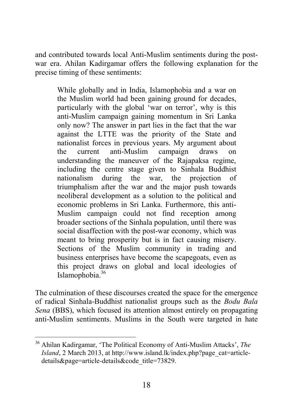and contributed towards local Anti-Muslim sentiments during the postwar era. Ahilan Kadirgamar offers the following explanation for the precise timing of these sentiments:

While globally and in India, Islamophobia and a war on the Muslim world had been gaining ground for decades, particularly with the global 'war on terror', why is this anti-Muslim campaign gaining momentum in Sri Lanka only now? The answer in part lies in the fact that the war against the LTTE was the priority of the State and nationalist forces in previous years. My argument about the current anti-Muslim campaign draws on understanding the maneuver of the Rajapaksa regime, including the centre stage given to Sinhala Buddhist nationalism during the war, the projection of triumphalism after the war and the major push towards neoliberal development as a solution to the political and economic problems in Sri Lanka. Furthermore, this anti-Muslim campaign could not find reception among broader sections of the Sinhala population, until there was social disaffection with the post-war economy, which was meant to bring prosperity but is in fact causing misery. Sections of the Muslim community in trading and business enterprises have become the scapegoats, even as this project draws on global and local ideologies of Islamophobia.36

The culmination of these discourses created the space for the emergence of radical Sinhala-Buddhist nationalist groups such as the *Bodu Bala Sena* (BBS), which focused its attention almost entirely on propagating anti-Muslim sentiments. Muslims in the South were targeted in hate

<sup>36</sup> Ahilan Kadirgamar, 'The Political Economy of Anti-Muslim Attacks', *The Island*, 2 March 2013, at http://www.island.lk/index.php?page\_cat=articledetails&page=article-details&code\_title=73829.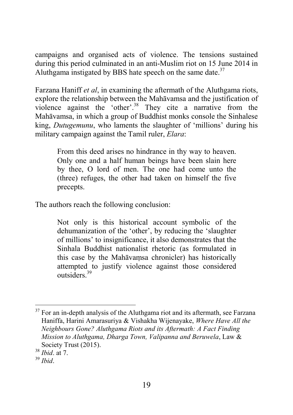campaigns and organised acts of violence. The tensions sustained during this period culminated in an anti-Muslim riot on 15 June 2014 in Aluthgama instigated by BBS hate speech on the same date. $37$ 

Farzana Haniff *et al*, in examining the aftermath of the Aluthgama riots, explore the relationship between the Mahāvamsa and the justification of violence against the 'other'.38 They cite a narrative from the Mahāvamsa, in which a group of Buddhist monks console the Sinhalese king, *Dutugemunu*, who laments the slaughter of 'millions' during his military campaign against the Tamil ruler, *Elara*:

From this deed arises no hindrance in thy way to heaven. Only one and a half human beings have been slain here by thee, O lord of men. The one had come unto the (three) refuges, the other had taken on himself the five precepts.

The authors reach the following conclusion:

Not only is this historical account symbolic of the dehumanization of the 'other', by reducing the 'slaughter of millions' to insignificance, it also demonstrates that the Sinhala Buddhist nationalist rhetoric (as formulated in this case by the Mahāvaṃsa chronicler) has historically attempted to justify violence against those considered outsiders<sup>39</sup>

 $37$  For an in-depth analysis of the Aluthgama riot and its aftermath, see Farzana Haniffa, Harini Amarasuriya & Vishakha Wijenayake, *Where Have All the Neighbours Gone? Aluthgama Riots and its Aftermath: A Fact Finding Mission to Aluthgama, Dharga Town, Valipanna and Beruwela*, Law & Society Trust (2015).

<sup>38</sup> *Ibid*. at 7.

<sup>39</sup> *Ibid*.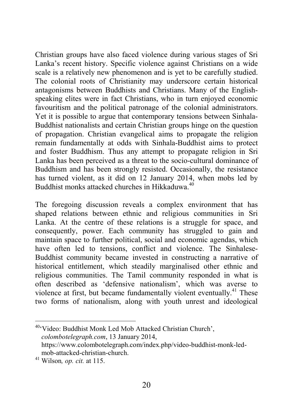Christian groups have also faced violence during various stages of Sri Lanka's recent history. Specific violence against Christians on a wide scale is a relatively new phenomenon and is yet to be carefully studied. The colonial roots of Christianity may underscore certain historical antagonisms between Buddhists and Christians. Many of the Englishspeaking elites were in fact Christians, who in turn enjoyed economic favouritism and the political patronage of the colonial administrators. Yet it is possible to argue that contemporary tensions between Sinhala-Buddhist nationalists and certain Christian groups hinge on the question of propagation. Christian evangelical aims to propagate the religion remain fundamentally at odds with Sinhala-Buddhist aims to protect and foster Buddhism. Thus any attempt to propagate religion in Sri Lanka has been perceived as a threat to the socio-cultural dominance of Buddhism and has been strongly resisted. Occasionally, the resistance has turned violent, as it did on 12 January 2014, when mobs led by Buddhist monks attacked churches in Hikkaduwa<sup>40</sup>

The foregoing discussion reveals a complex environment that has shaped relations between ethnic and religious communities in Sri Lanka. At the centre of these relations is a struggle for space, and consequently, power. Each community has struggled to gain and maintain space to further political, social and economic agendas, which have often led to tensions, conflict and violence. The Sinhalese-Buddhist community became invested in constructing a narrative of historical entitlement, which steadily marginalised other ethnic and religious communities. The Tamil community responded in what is often described as 'defensive nationalism', which was averse to violence at first, but became fundamentally violent eventually.<sup>41</sup> These two forms of nationalism, along with youth unrest and ideological

40'Video: Buddhist Monk Led Mob Attacked Christian Church', *colombotelegraph.com*, 13 January 2014, https://www.colombotelegraph.com/index.php/video-buddhist-monk-led-

 $41$  Wilson, *op. cit.* at 115.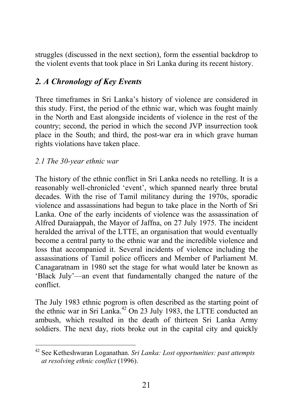<span id="page-27-0"></span>struggles (discussed in the next section), form the essential backdrop to the violent events that took place in Sri Lanka during its recent history.

## *2. A Chronology of Key Events*

Three timeframes in Sri Lanka's history of violence are considered in this study. First, the period of the ethnic war, which was fought mainly in the North and East alongside incidents of violence in the rest of the country; second, the period in which the second JVP insurrection took place in the South; and third, the post-war era in which grave human rights violations have taken place.

#### *2.1 The 30-year ethnic war*

The history of the ethnic conflict in Sri Lanka needs no retelling. It is a reasonably well-chronicled 'event', which spanned nearly three brutal decades. With the rise of Tamil militancy during the 1970s, sporadic violence and assassinations had begun to take place in the North of Sri Lanka. One of the early incidents of violence was the assassination of Alfred Duraiappah, the Mayor of Jaffna, on 27 July 1975. The incident heralded the arrival of the LTTE, an organisation that would eventually become a central party to the ethnic war and the incredible violence and loss that accompanied it. Several incidents of violence including the assassinations of Tamil police officers and Member of Parliament M. Canagaratnam in 1980 set the stage for what would later be known as 'Black July'—an event that fundamentally changed the nature of the conflict.

The July 1983 ethnic pogrom is often described as the starting point of the ethnic war in Sri Lanka.<sup>42</sup> On 23 July 1983, the LTTE conducted an ambush, which resulted in the death of thirteen Sri Lanka Army soldiers. The next day, riots broke out in the capital city and quickly

<sup>42</sup> See Ketheshwaran Loganathan. *Sri Lanka: Lost opportunities: past attempts at resolving ethnic conflict* (1996).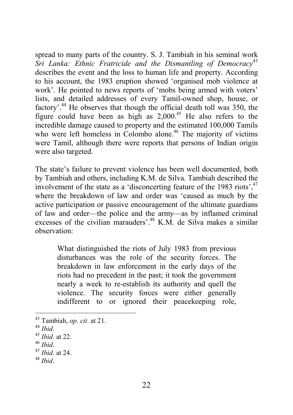spread to many parts of the country. S. J. Tambiah in his seminal work *Sri Lanka: Ethnic Fratricide and the Dismantling of Democracy*<sup>43</sup> describes the event and the loss to human life and property. According to his account, the 1983 eruption showed 'organised mob violence at work'. He pointed to news reports of 'mobs being armed with voters' lists, and detailed addresses of every Tamil-owned shop, house, or factory'.<sup>44</sup> He observes that though the official death toll was 350, the figure could have been as high as  $2.000<sup>45</sup>$  He also refers to the incredible damage caused to property and the estimated 100,000 Tamils who were left homeless in Colombo alone.<sup>46</sup> The majority of victims were Tamil, although there were reports that persons of Indian origin were also targeted.

The state's failure to prevent violence has been well documented, both by Tambiah and others, including K.M. de Silva. Tambiah described the involvement of the state as a 'disconcerting feature of the 1983 riots', $47$ where the breakdown of law and order was 'caused as much by the active participation or passive encouragement of the ultimate guardians of law and order—the police and the army—as by inflamed criminal excesses of the civilian marauders'.<sup>48</sup> K.M. de Silva makes a similar observation:

What distinguished the riots of July 1983 from previous disturbances was the role of the security forces. The breakdown in law enforcement in the early days of the riots had no precedent in the past; it took the government nearly a week to re-establish its authority and quell the violence. The security forces were either generally indifferent to or ignored their peacekeeping role,

<sup>48</sup> *Ibid*.

<sup>43</sup> Tambiah, *op. cit*. at 21. <sup>44</sup> *Ibid*. 45 *Ibid*. at 22.

<sup>46</sup> *Ibid*. <sup>47</sup> *Ibid*. at 24.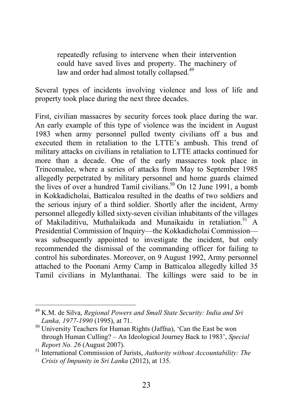repeatedly refusing to intervene when their intervention could have saved lives and property. The machinery of law and order had almost totally collapsed.<sup>49</sup>

Several types of incidents involving violence and loss of life and property took place during the next three decades.

First, civilian massacres by security forces took place during the war. An early example of this type of violence was the incident in August 1983 when army personnel pulled twenty civilians off a bus and executed them in retaliation to the LTTE's ambush. This trend of military attacks on civilians in retaliation to LTTE attacks continued for more than a decade. One of the early massacres took place in Trincomalee, where a series of attacks from May to September 1985 allegedly perpetrated by military personnel and home guards claimed the lives of over a hundred Tamil civilians.<sup>50</sup> On 12 June 1991, a bomb in Kokkadicholai, Batticaloa resulted in the deaths of two soldiers and the serious injury of a third soldier. Shortly after the incident, Army personnel allegedly killed sixty-seven civilian inhabitants of the villages of Makiladitivu, Muthalaikuda and Munaikaidu in retaliation.<sup>51</sup> A Presidential Commission of Inquiry—the Kokkadicholai Commission was subsequently appointed to investigate the incident, but only recommended the dismissal of the commanding officer for failing to control his subordinates. Moreover, on 9 August 1992, Army personnel attached to the Poonani Army Camp in Batticaloa allegedly killed 35 Tamil civilians in Mylanthanai. The killings were said to be in

<sup>49</sup> K.M. de Silva, *Regional Powers and Small State Security: India and Sri Lanka, 1977-1990* (1995), at 71.

<sup>50</sup> University Teachers for Human Rights (Jaffna), 'Can the East be won through Human Culling? – An Ideological Journey Back to 1983', *Special Report No. 26* (August 2007).

<sup>51</sup> International Commission of Jurists, *Authority without Accountability: The Crisis of Impunity in Sri Lanka* (2012), at 135.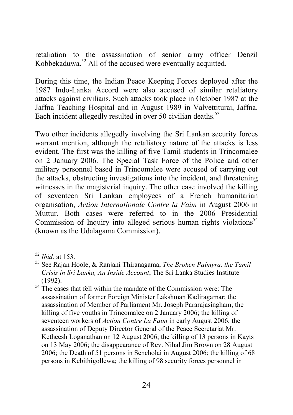retaliation to the assassination of senior army officer Denzil Kobbekaduwa.52 All of the accused were eventually acquitted.

During this time, the Indian Peace Keeping Forces deployed after the 1987 Indo-Lanka Accord were also accused of similar retaliatory attacks against civilians. Such attacks took place in October 1987 at the Jaffna Teaching Hospital and in August 1989 in Valvettiturai, Jaffna. Each incident allegedly resulted in over 50 civilian deaths. $53$ 

Two other incidents allegedly involving the Sri Lankan security forces warrant mention, although the retaliatory nature of the attacks is less evident. The first was the killing of five Tamil students in Trincomalee on 2 January 2006. The Special Task Force of the Police and other military personnel based in Trincomalee were accused of carrying out the attacks, obstructing investigations into the incident, and threatening witnesses in the magisterial inquiry. The other case involved the killing of seventeen Sri Lankan employees of a French humanitarian organisation, *Action Internationale Contre la Faim* in August 2006 in Muttur. Both cases were referred to in the 2006 Presidential Commission of Inquiry into alleged serious human rights violations<sup>54</sup> (known as the Udalagama Commission).

<sup>52</sup> *Ibid.* at 153.

<sup>53</sup> See Rajan Hoole, & Ranjani Thiranagama, *The Broken Palmyra, the Tamil Crisis in Sri Lanka, An Inside Account*, The Sri Lanka Studies Institute (1992).

<sup>&</sup>lt;sup>54</sup> The cases that fell within the mandate of the Commission were: The assassination of former Foreign Minister Lakshman Kadiragamar; the assassination of Member of Parliament Mr. Joseph Pararajasingham; the killing of five youths in Trincomalee on 2 January 2006; the killing of seventeen workers of *Action Contre La Faim* in early August 2006; the assassination of Deputy Director General of the Peace Secretariat Mr. Ketheesh Loganathan on 12 August 2006; the killing of 13 persons in Kayts on 13 May 2006; the disappearance of Rev. Nihal Jim Brown on 28 August 2006; the Death of 51 persons in Sencholai in August 2006; the killing of 68 persons in Kebithigollewa; the killing of 98 security forces personnel in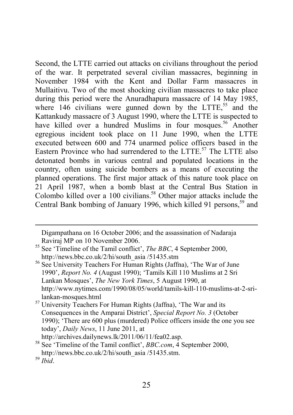Second, the LTTE carried out attacks on civilians throughout the period of the war. It perpetrated several civilian massacres, beginning in November 1984 with the Kent and Dollar Farm massacres in Mullaitivu. Two of the most shocking civilian massacres to take place during this period were the Anuradhapura massacre of 14 May 1985, where  $146$  civilians were gunned down by the LTTE.<sup>55</sup> and the Kattankudy massacre of 3 August 1990, where the LTTE is suspected to have killed over a hundred Muslims in four mosques.<sup>56</sup> Another egregious incident took place on 11 June 1990, when the LTTE executed between 600 and 774 unarmed police officers based in the Eastern Province who had surrendered to the LTTE.<sup>57</sup> The LTTE also detonated bombs in various central and populated locations in the country, often using suicide bombers as a means of executing the planned operations. The first major attack of this nature took place on 21 April 1987, when a bomb blast at the Central Bus Station in Colombo killed over a 100 civilians.<sup>58</sup> Other major attacks include the Central Bank bombing of January 1996, which killed 91 persons.<sup>59</sup> and

Digampathana on 16 October 2006; and the assassination of Nadaraja

 $\overline{a}$ 

<sup>&</sup>lt;sup>55</sup> See 'Timeline of the Tamil conflict', *The BBC*, 4 September 2000, http://news.bbc.co.uk/2/hi/south\_asia /51435.stm

<sup>&</sup>lt;sup>56</sup> See University Teachers For Human Rights (Jaffna), 'The War of June 1990', *Report No. 4* (August 1990); 'Tamils Kill 110 Muslims at 2 Sri Lankan Mosques', *The New York Times*, 5 August 1990, at http://www.nytimes.com/1990/08/05/world/tamils-kill-110-muslims-at-2-sri-

lankan-mosques.html <sup>57</sup> University Teachers For Human Rights (Jaffna), 'The War and its Consequences in the Amparai District', *Special Report No. 3* (October 1990); 'There are 600 plus (murdered) Police officers inside the one you see today', *Daily News*, 11 June 2011, at http://archives.dailynews.lk/2011/06/11/fea02.asp.

<sup>58</sup> See 'Timeline of the Tamil conflict', *BBC.com*, 4 September 2000, http://news.bbc.co.uk/2/hi/south\_asia /51435.stm.

<sup>59</sup> *Ibid*.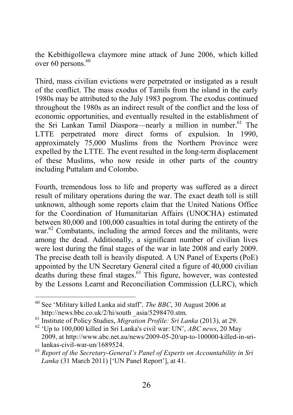the Kebithigollewa claymore mine attack of June 2006, which killed over 60 persons. $60$ 

Third, mass civilian evictions were perpetrated or instigated as a result of the conflict. The mass exodus of Tamils from the island in the early 1980s may be attributed to the July 1983 pogrom. The exodus continued throughout the 1980s as an indirect result of the conflict and the loss of economic opportunities, and eventually resulted in the establishment of the Sri Lankan Tamil Diaspora—nearly a million in number.<sup>61</sup> The LTTE perpetrated more direct forms of expulsion. In 1990, approximately 75,000 Muslims from the Northern Province were expelled by the LTTE. The event resulted in the long-term displacement of these Muslims, who now reside in other parts of the country including Puttalam and Colombo.

Fourth, tremendous loss to life and property was suffered as a direct result of military operations during the war. The exact death toll is still unknown, although some reports claim that the United Nations Office for the Coordination of Humanitarian Affairs (UNOCHA) estimated between 80,000 and 100,000 casualties in total during the entirety of the war.<sup>62</sup> Combatants, including the armed forces and the militants, were among the dead. Additionally, a significant number of civilian lives were lost during the final stages of the war in late 2008 and early 2009. The precise death toll is heavily disputed. A UN Panel of Experts (PoE) appointed by the UN Secretary General cited a figure of 40,000 civilian deaths during these final stages.<sup>63</sup> This figure, however, was contested by the Lessons Learnt and Reconciliation Commission (LLRC), which

<sup>60</sup> See 'Military killed Lanka aid staff'*, The BBC*, 30 August 2006 at http://news.bbc.co.uk/2/hi/south \_asia/5298470.stm.

<sup>61</sup> Institute of Policy Studies, *Migration Profile: Sri Lanka* (2013), at 29.

<sup>62</sup> 'Up to 100,000 killed in Sri Lanka's civil war: UN', *ABC news*, 20 May 2009, at http://www.abc.net.au/news/2009-05-20/up-to-100000-killed-in-srilankas-civil-war-un/1689524.

<sup>63</sup> *Report of the Secretary-General's Panel of Experts on Accountability in Sri Lanka* (31 March 2011) ['UN Panel Report'], at 41.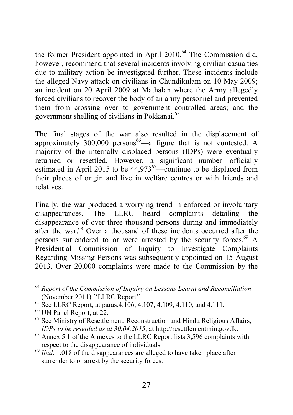the former President appointed in April  $2010<sup>64</sup>$  The Commission did, however, recommend that several incidents involving civilian casualties due to military action be investigated further. These incidents include the alleged Navy attack on civilians in Chundikulam on 10 May 2009; an incident on 20 April 2009 at Mathalan where the Army allegedly forced civilians to recover the body of an army personnel and prevented them from crossing over to government controlled areas; and the government shelling of civilians in Pokkanai.65

The final stages of the war also resulted in the displacement of approximately  $300,000$  persons<sup>66</sup>—a figure that is not contested. A majority of the internally displaced persons (IDPs) were eventually returned or resettled. However, a significant number—officially estimated in April 2015 to be  $44,973^{67}$ —continue to be displaced from their places of origin and live in welfare centres or with friends and relatives.

Finally, the war produced a worrying trend in enforced or involuntary disappearances. The LLRC heard complaints detailing the disappearance of over three thousand persons during and immediately after the war.<sup>68</sup> Over a thousand of these incidents occurred after the persons surrendered to or were arrested by the security forces.<sup>69</sup> A Presidential Commission of Inquiry to Investigate Complaints Regarding Missing Persons was subsequently appointed on 15 August 2013. Over 20,000 complaints were made to the Commission by the

<sup>64</sup> *Report of the Commission of Inquiry on Lessons Learnt and Reconciliation* (November 2011) ['LLRC Report'].

 $^{65}$  See LLRC Report, at paras. 4.106, 4.107, 4.109, 4.110, and 4.111.

<sup>66</sup> UN Panel Report, at 22.

 $67$  See Ministry of Resettlement, Reconstruction and Hindu Religious Affairs, *IDPs to be resettled as at 30.04.2015*, at http://resettlementmin.gov.lk.

<sup>&</sup>lt;sup>68</sup> Annex 5.1 of the Annexes to the LLRC Report lists 3,596 complaints with respect to the disappearance of individuals.

<sup>&</sup>lt;sup>69</sup> *Ibid.* 1,018 of the disappearances are alleged to have taken place after surrender to or arrest by the security forces.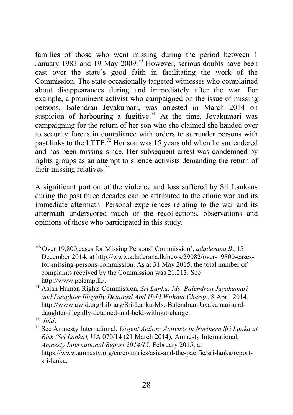families of those who went missing during the period between 1 January 1983 and 19 May 2009.<sup>70</sup> However, serious doubts have been cast over the state's good faith in facilitating the work of the Commission. The state occasionally targeted witnesses who complained about disappearances during and immediately after the war. For example, a prominent activist who campaigned on the issue of missing persons, Balendran Jeyakumari, was arrested in March 2014 on suspicion of harbouring a fugitive.<sup>71</sup> At the time, Jevakumari was campaigning for the return of her son who she claimed she handed over to security forces in compliance with orders to surrender persons with past links to the LTTE.<sup>72</sup> Her son was 15 years old when he surrendered and has been missing since. Her subsequent arrest was condemned by rights groups as an attempt to silence activists demanding the return of their missing relatives.<sup>73</sup>

A significant portion of the violence and loss suffered by Sri Lankans during the past three decades can be attributed to the ethnic war and its immediate aftermath. Personal experiences relating to the war and its aftermath underscored much of the recollections, observations and opinions of those who participated in this study.

70'Over 19,800 cases for Missing Persons' Commission', *adaderana.lk*, 15 December 2014, at http://www.adaderana.lk/news/29082/over-19800-casesfor-missing-persons-commission. As at 31 May 2015, the total number of complaints received by the Commission was 21,213. See http://www.pcicmp.lk/.

<sup>71</sup> Asian Human Rights Commission, *Sri Lanka: Ms. Balendran Jayakumari and Daughter Illegally Detained And Held Without Charge*, 8 April 2014, http://www.awid.org/Library/Sri-Lanka-Ms.-Balendran-Jayakumari-anddaughter-illegally-detained-and-held-without-charge.<br>  $\frac{1}{12}$   $_{\textit{Heid}}$ 

<sup>&</sup>lt;sup>73</sup> See Amnesty International, *Urgent Action: Activists in Northern Sri Lanka at Risk (Sri Lanka),* UA 070/14 (21 March 2014); Amnesty International, *Amnesty International Report 2014/15*, February 2015, at https://www.amnesty.org/en/countries/asia-and-the-pacific/sri-lanka/reportsri-lanka.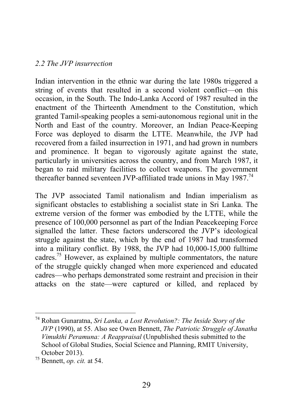#### <span id="page-35-0"></span>*2.2 The JVP insurrection*

Indian intervention in the ethnic war during the late 1980s triggered a string of events that resulted in a second violent conflict—on this occasion, in the South. The Indo-Lanka Accord of 1987 resulted in the enactment of the Thirteenth Amendment to the Constitution, which granted Tamil-speaking peoples a semi-autonomous regional unit in the North and East of the country. Moreover, an Indian Peace-Keeping Force was deployed to disarm the LTTE. Meanwhile, the JVP had recovered from a failed insurrection in 1971, and had grown in numbers and prominence. It began to vigorously agitate against the state, particularly in universities across the country, and from March 1987, it began to raid military facilities to collect weapons. The government thereafter banned seventeen JVP-affiliated trade unions in May  $1987<sup>74</sup>$ 

The JVP associated Tamil nationalism and Indian imperialism as significant obstacles to establishing a socialist state in Sri Lanka. The extreme version of the former was embodied by the LTTE, while the presence of 100,000 personnel as part of the Indian Peacekeeping Force signalled the latter. These factors underscored the JVP's ideological struggle against the state, which by the end of 1987 had transformed into a military conflict. By 1988, the JVP had 10,000-15,000 fulltime cadres.75 However, as explained by multiple commentators, the nature of the struggle quickly changed when more experienced and educated cadres—who perhaps demonstrated some restraint and precision in their attacks on the state—were captured or killed, and replaced by

<sup>74</sup> Rohan Gunaratna, *Sri Lanka, a Lost Revolution?: The Inside Story of the JVP* (1990), at 55. Also see Owen Bennett, *The Patriotic Struggle of Janatha Vimukthi Peramuna: A Reappraisal* (Unpublished thesis submitted to the School of Global Studies, Social Science and Planning, RMIT University, October 2013).

 $^{75}$  Bennett, *op. cit.* at 54.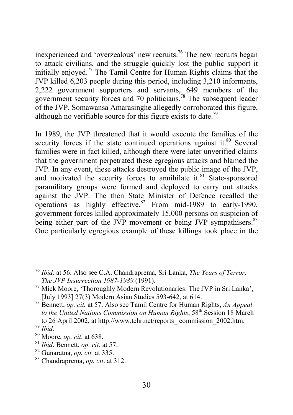inexperienced and 'overzealous' new recruits.<sup>76</sup> The new recruits began to attack civilians, and the struggle quickly lost the public support it initially enjoyed.<sup>77</sup> The Tamil Centre for Human Rights claims that the JVP killed 6,203 people during this period, including 3,210 informants, 2,222 government supporters and servants, 649 members of the government security forces and 70 politicians.<sup>78</sup> The subsequent leader of the JVP, Somawansa Amarasinghe allegedly corroborated this figure, although no verifiable source for this figure exists to date.<sup>79</sup>

In 1989, the JVP threatened that it would execute the families of the security forces if the state continued operations against it. $80$  Several families were in fact killed, although there were later unverified claims that the government perpetrated these egregious attacks and blamed the JVP. In any event, these attacks destroyed the public image of the JVP, and motivated the security forces to annihilate it.<sup>81</sup> State-sponsored paramilitary groups were formed and deployed to carry out attacks against the JVP. The then State Minister of Defence recalled the operations as highly effective. $82$  From mid-1989 to early-1990, government forces killed approximately 15,000 persons on suspicion of being either part of the JVP movement or being JVP sympathisers.<sup>83</sup> One particularly egregious example of these killings took place in the

<sup>76</sup> *Ibid.* at 56. Also see C.A. Chandraprema, Sri Lanka, *The Years of Terror: The JVP Insurrection 1987-1989* (1991). <sup>77</sup> Mick Moore, 'Thoroughly Modern Revolutionaries: The JVP in Sri Lanka',

<sup>[</sup>July 1993] 27(3) Modern Asian Studies 593-642, at 614.

<sup>78</sup> Bennett, *op. cit.* at 57. Also see Tamil Centre for Human Rights, *An Appeal*  to the United Nations Commission on Human Rights, 58<sup>th</sup> Session 18 March to 26 April 2002, at http://www.tchr.net/reports\_ commission\_2002.htm.

<sup>79</sup> *Ibid.*

<sup>80</sup> Moore, *op. cit*. at 638.

<sup>81</sup> *Ibid*. Bennett, *op. cit.* at 57.

<sup>82</sup> Gunaratna, *op. cit.* at 335.

<sup>83</sup> Chandraprema, *op. cit*. at 312.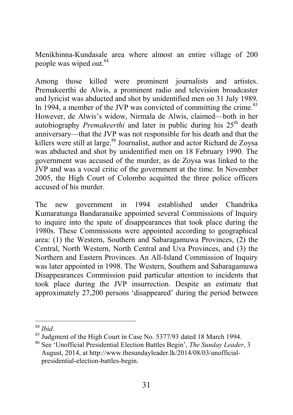Menikhinna-Kundasale area where almost an entire village of 200 people was wiped out.<sup>84</sup>

Among those killed were prominent journalists and artistes. Premakeerthi de Alwis, a prominent radio and television broadcaster and lyricist was abducted and shot by unidentified men on 31 July 1989. In 1994, a member of the JVP was convicted of committing the crime. $85$ However, de Alwis's widow, Nirmala de Alwis, claimed—both in her autobiography *Premakeerthi* and later in public during his 25<sup>th</sup> death anniversary—that the JVP was not responsible for his death and that the killers were still at large.<sup>86</sup> Journalist, author and actor Richard de Zoysa was abducted and shot by unidentified men on 18 February 1990. The government was accused of the murder, as de Zoysa was linked to the JVP and was a vocal critic of the government at the time. In November 2005, the High Court of Colombo acquitted the three police officers accused of his murder.

The new government in 1994 established under Chandrika Kumaratunga Bandaranaike appointed several Commissions of Inquiry to inquire into the spate of disappearances that took place during the 1980s. These Commissions were appointed according to geographical area: (1) the Western, Southern and Sabaragamuwa Provinces, (2) the Central, North Western, North Central and Uva Provinces, and (3) the Northern and Eastern Provinces. An All-Island Commission of Inquiry was later appointed in 1998. The Western, Southern and Sabaragamuwa Disappearances Commission paid particular attention to incidents that took place during the JVP insurrection. Despite an estimate that approximately 27,200 persons 'disappeared' during the period between

<sup>&</sup>lt;sup>84</sup> *Ibid.* 85 Judgment of the High Court in Case No. 5377/93 dated 18 March 1994.

<sup>86</sup> See 'Unofficial Presidential Election Battles Begin', *The Sunday Leader*, 3 August, 2014, at http://www.thesundayleader.lk/2014/08/03/unofficialpresidential-election-battles-begin.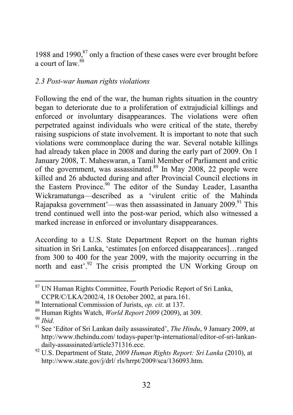1988 and 1990. $87$  only a fraction of these cases were ever brought before a court of  $\int 88$ 

## *2.3 Post-war human rights violations*

Following the end of the war, the human rights situation in the country began to deteriorate due to a proliferation of extrajudicial killings and enforced or involuntary disappearances. The violations were often perpetrated against individuals who were critical of the state, thereby raising suspicions of state involvement. It is important to note that such violations were commonplace during the war. Several notable killings had already taken place in 2008 and during the early part of 2009. On 1 January 2008, T. Maheswaran, a Tamil Member of Parliament and critic of the government, was assassinated. $89$  In May 2008, 22 people were killed and 26 abducted during and after Provincial Council elections in the Eastern Province.<sup>90</sup> The editor of the Sunday Leader, Lasantha Wickramatunga—described as a 'virulent critic of the Mahinda Rajapaksa government'—was then assassinated in January 2009.<sup>91</sup> This trend continued well into the post-war period, which also witnessed a marked increase in enforced or involuntary disappearances.

According to a U.S. State Department Report on the human rights situation in Sri Lanka, 'estimates [on enforced disappearances]…ranged from 300 to 400 for the year 2009, with the majority occurring in the north and east'.<sup>92</sup> The crisis prompted the UN Working Group on

<sup>87</sup> UN Human Rights Committee, Fourth Periodic Report of Sri Lanka, CCPR/C/LKA/2002/4, 18 October 2002, at para.161.

<sup>88</sup> International Commission of Jurists, *op. cit*. at 137.

<sup>89</sup> Human Rights Watch, *World Report 2009* (2009), at 309.

<sup>90</sup> *Ibid.*

<sup>91</sup> See 'Editor of Sri Lankan daily assassinated', *The Hindu*, 9 January 2009, at http://www.thehindu.com/ todays-paper/tp-international/editor-of-sri-lankan-

daily-assassinated/article371316.ece.<br><sup>92</sup> U.S. Department of State, *2009 Human Rights Report: Sri Lanka* (2010), at http://www.state.gov/j/drl/ rls/hrrpt/2009/sca/136093.htm.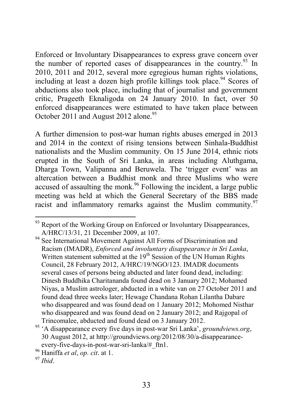Enforced or Involuntary Disappearances to express grave concern over the number of reported cases of disappearances in the country.<sup>93</sup> In 2010, 2011 and 2012, several more egregious human rights violations, including at least a dozen high profile killings took place.<sup>94</sup> Scores of abductions also took place, including that of journalist and government critic, Prageeth Eknaligoda on 24 January 2010. In fact, over 50 enforced disappearances were estimated to have taken place between October 2011 and August 2012 alone.<sup>95</sup>

A further dimension to post-war human rights abuses emerged in 2013 and 2014 in the context of rising tensions between Sinhala-Buddhist nationalists and the Muslim community. On 15 June 2014, ethnic riots erupted in the South of Sri Lanka, in areas including Aluthgama, Dharga Town, Valipanna and Beruwela. The 'trigger event' was an altercation between a Buddhist monk and three Muslims who were accused of assaulting the monk.<sup>96</sup> Following the incident, a large public meeting was held at which the General Secretary of the BBS made racist and inflammatory remarks against the Muslim community.<sup>97</sup>

 $93$  Report of the Working Group on Enforced or Involuntary Disappearances, A/HRC/13/31, 21 December 2009, at 107.

<sup>&</sup>lt;sup>94</sup> See International Movement Against All Forms of Discrimination and Racism (IMADR), *Enforced and involuntary disappearance in Sri Lanka*, Written statement submitted at the  $19<sup>th</sup>$  Session of the UN Human Rights Council, 28 February 2012, A/HRC/19/NGO/123. IMADR documents several cases of persons being abducted and later found dead, including: Dinesh Buddhika Charitananda found dead on 3 January 2012; Mohamed Niyas, a Muslim astrologer, abducted in a white van on 27 October 2011 and found dead three weeks later; Hewage Chandana Rohan Lilantha Dabare who disappeared and was found dead on 1 January 2012; Mohomed Nisthar who disappeared and was found dead on 2 January 2012; and Rajgopal of Trincomalee, abducted and found dead on 3 January 2012.

<sup>95</sup> 'A disappearance every five days in post-war Sri Lanka', *groundviews.org*, 30 August 2012, at http://groundviews.org/2012/08/30/a-disappearanceevery-five-days-in-post-war-sri-lanka/#\_ftn1.

<sup>96</sup> Haniffa *et al*, *op. cit*. at 1.

<sup>97</sup> *Ibid*.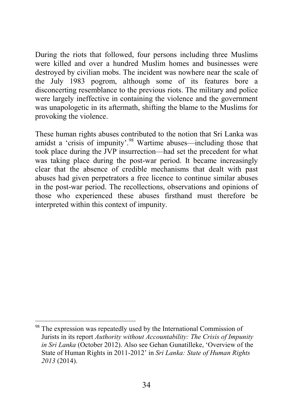During the riots that followed, four persons including three Muslims were killed and over a hundred Muslim homes and businesses were destroyed by civilian mobs. The incident was nowhere near the scale of the July 1983 pogrom, although some of its features bore a disconcerting resemblance to the previous riots. The military and police were largely ineffective in containing the violence and the government was unapologetic in its aftermath, shifting the blame to the Muslims for provoking the violence.

These human rights abuses contributed to the notion that Sri Lanka was amidst a 'crisis of impunity'.<sup>98</sup> Wartime abuses—including those that took place during the JVP insurrection—had set the precedent for what was taking place during the post-war period. It became increasingly clear that the absence of credible mechanisms that dealt with past abuses had given perpetrators a free licence to continue similar abuses in the post-war period. The recollections, observations and opinions of those who experienced these abuses firsthand must therefore be interpreted within this context of impunity.

<sup>&</sup>lt;sup>98</sup> The expression was repeatedly used by the International Commission of Jurists in its report *Authority without Accountability: The Crisis of Impunity in Sri Lanka* (October 2012). Also see Gehan Gunatilleke, 'Overview of the State of Human Rights in 2011-2012' in *Sri Lanka: State of Human Rights 2013* (2014).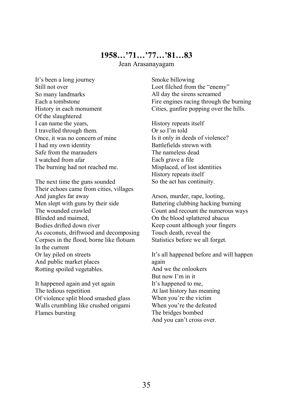## 1958…'71…'77…'81…83

Jean Arasanayagam

It's been a long journey Still not over So many landmarks Each a tombstone History in each monument Of the slaughtered I can name the years, I travelled through them. Once, it was no concern of mine I had my own identity Safe from the marauders I watched from afar The burning had not reached me.

The next time the guns sounded Their echoes came from cities, villages And jungles far away Men slept with guns by their side The wounded crawled Blinded and maimed, Bodies drifted down river As coconuts, driftwood and decomposing Corpses in the flood, borne like flotsam In the current Or lay piled on streets And public market places Rotting spoiled vegetables.

It happened again and yet again The tedious repetition Of violence split blood smashed glass Walls crumbling like crushed origami Flames bursting

Smoke billowing Loot filched from the "enemy" All day the sirens screamed Fire engines racing through the burning Cities, gunfire popping over the hills.

History repeats itself Or so I'm told Is it only in deeds of violence? Battlefields strewn with The nameless dead Each grave a file Misplaced, of lost identities History repeats itself So the act has continuity.

Arson, murder, rape, looting, Battering clubbing hacking burning Count and recount the numerous ways On the blood splattered abacus Keep count although your fingers Touch death, reveal the Statistics before we all forget.

It's all happened before and will happen again And we the onlookers But now I'm in it It's happened to me, At last history has meaning When you're the victim When you're the defeated The bridges bombed And you can't cross over.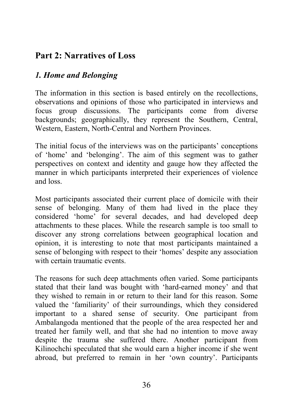# Part 2: Narratives of Loss

# *1. Home and Belonging*

The information in this section is based entirely on the recollections, observations and opinions of those who participated in interviews and focus group discussions. The participants come from diverse backgrounds; geographically, they represent the Southern, Central, Western, Eastern, North-Central and Northern Provinces.

The initial focus of the interviews was on the participants' conceptions of 'home' and 'belonging'. The aim of this segment was to gather perspectives on context and identity and gauge how they affected the manner in which participants interpreted their experiences of violence and loss.

Most participants associated their current place of domicile with their sense of belonging. Many of them had lived in the place they considered 'home' for several decades, and had developed deep attachments to these places. While the research sample is too small to discover any strong correlations between geographical location and opinion, it is interesting to note that most participants maintained a sense of belonging with respect to their 'homes' despite any association with certain traumatic events.

The reasons for such deep attachments often varied. Some participants stated that their land was bought with 'hard-earned money' and that they wished to remain in or return to their land for this reason. Some valued the 'familiarity' of their surroundings, which they considered important to a shared sense of security. One participant from Ambalangoda mentioned that the people of the area respected her and treated her family well, and that she had no intention to move away despite the trauma she suffered there. Another participant from Kilinochchi speculated that she would earn a higher income if she went abroad, but preferred to remain in her 'own country'. Participants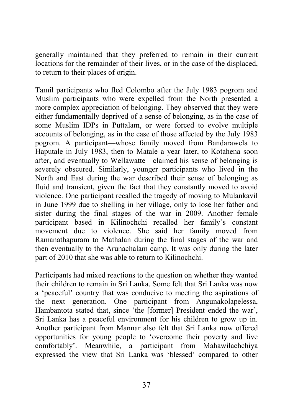generally maintained that they preferred to remain in their current locations for the remainder of their lives, or in the case of the displaced, to return to their places of origin.

Tamil participants who fled Colombo after the July 1983 pogrom and Muslim participants who were expelled from the North presented a more complex appreciation of belonging. They observed that they were either fundamentally deprived of a sense of belonging, as in the case of some Muslim IDPs in Puttalam, or were forced to evolve multiple accounts of belonging, as in the case of those affected by the July 1983 pogrom. A participant—whose family moved from Bandarawela to Haputale in July 1983, then to Matale a year later, to Kotahena soon after, and eventually to Wellawatte—claimed his sense of belonging is severely obscured. Similarly, younger participants who lived in the North and East during the war described their sense of belonging as fluid and transient, given the fact that they constantly moved to avoid violence. One participant recalled the tragedy of moving to Mulankavil in June 1999 due to shelling in her village, only to lose her father and sister during the final stages of the war in 2009. Another female participant based in Kilinochchi recalled her family's constant movement due to violence. She said her family moved from Ramanathapuram to Mathalan during the final stages of the war and then eventually to the Arunachalam camp. It was only during the later part of 2010 that she was able to return to Kilinochchi.

Participants had mixed reactions to the question on whether they wanted their children to remain in Sri Lanka. Some felt that Sri Lanka was now a 'peaceful' country that was conducive to meeting the aspirations of the next generation. One participant from Angunakolapelessa, Hambantota stated that, since 'the [former] President ended the war', Sri Lanka has a peaceful environment for his children to grow up in. Another participant from Mannar also felt that Sri Lanka now offered opportunities for young people to 'overcome their poverty and live comfortably'. Meanwhile, a participant from Mahawilachchiya expressed the view that Sri Lanka was 'blessed' compared to other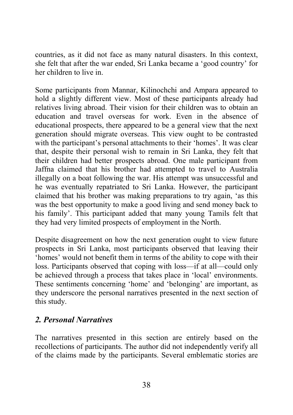countries, as it did not face as many natural disasters. In this context, she felt that after the war ended, Sri Lanka became a 'good country' for her children to live in.

Some participants from Mannar, Kilinochchi and Ampara appeared to hold a slightly different view. Most of these participants already had relatives living abroad. Their vision for their children was to obtain an education and travel overseas for work. Even in the absence of educational prospects, there appeared to be a general view that the next generation should migrate overseas. This view ought to be contrasted with the participant's personal attachments to their 'homes'. It was clear that, despite their personal wish to remain in Sri Lanka, they felt that their children had better prospects abroad. One male participant from Jaffna claimed that his brother had attempted to travel to Australia illegally on a boat following the war. His attempt was unsuccessful and he was eventually repatriated to Sri Lanka. However, the participant claimed that his brother was making preparations to try again, 'as this was the best opportunity to make a good living and send money back to his family'. This participant added that many young Tamils felt that they had very limited prospects of employment in the North.

Despite disagreement on how the next generation ought to view future prospects in Sri Lanka, most participants observed that leaving their 'homes' would not benefit them in terms of the ability to cope with their loss. Participants observed that coping with loss—if at all—could only be achieved through a process that takes place in 'local' environments. These sentiments concerning 'home' and 'belonging' are important, as they underscore the personal narratives presented in the next section of this study.

## *2. Personal Narratives*

The narratives presented in this section are entirely based on the recollections of participants. The author did not independently verify all of the claims made by the participants. Several emblematic stories are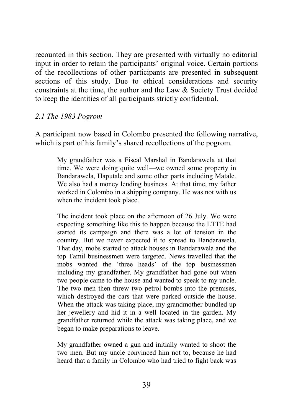recounted in this section. They are presented with virtually no editorial input in order to retain the participants' original voice. Certain portions of the recollections of other participants are presented in subsequent sections of this study. Due to ethical considerations and security constraints at the time, the author and the Law & Society Trust decided to keep the identities of all participants strictly confidential.

### *2.1 The 1983 Pogrom*

A participant now based in Colombo presented the following narrative, which is part of his family's shared recollections of the pogrom.

My grandfather was a Fiscal Marshal in Bandarawela at that time. We were doing quite well—we owned some property in Bandarawela, Haputale and some other parts including Matale. We also had a money lending business. At that time, my father worked in Colombo in a shipping company. He was not with us when the incident took place.

The incident took place on the afternoon of 26 July. We were expecting something like this to happen because the LTTE had started its campaign and there was a lot of tension in the country. But we never expected it to spread to Bandarawela. That day, mobs started to attack houses in Bandarawela and the top Tamil businessmen were targeted. News travelled that the mobs wanted the 'three heads' of the top businessmen including my grandfather. My grandfather had gone out when two people came to the house and wanted to speak to my uncle. The two men then threw two petrol bombs into the premises, which destroyed the cars that were parked outside the house. When the attack was taking place, my grandmother bundled up her jewellery and hid it in a well located in the garden. My grandfather returned while the attack was taking place, and we began to make preparations to leave.

My grandfather owned a gun and initially wanted to shoot the two men. But my uncle convinced him not to, because he had heard that a family in Colombo who had tried to fight back was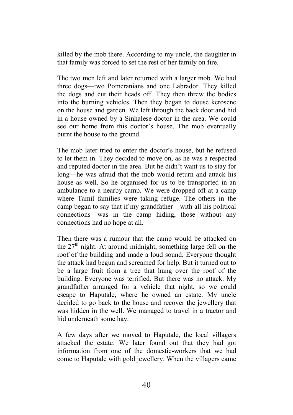killed by the mob there. According to my uncle, the daughter in that family was forced to set the rest of her family on fire.

The two men left and later returned with a larger mob. We had three dogs—two Pomeranians and one Labrador. They killed the dogs and cut their heads off. They then threw the bodies into the burning vehicles. Then they began to douse kerosene on the house and garden. We left through the back door and hid in a house owned by a Sinhalese doctor in the area. We could see our home from this doctor's house. The mob eventually burnt the house to the ground.

The mob later tried to enter the doctor's house, but he refused to let them in. They decided to move on, as he was a respected and reputed doctor in the area. But he didn't want us to stay for long—he was afraid that the mob would return and attack his house as well. So he organised for us to be transported in an ambulance to a nearby camp. We were dropped off at a camp where Tamil families were taking refuge. The others in the camp began to say that if my grandfather—with all his political connections—was in the camp hiding, those without any connections had no hope at all.

Then there was a rumour that the camp would be attacked on the 27<sup>th</sup> night. At around midnight, something large fell on the roof of the building and made a loud sound. Everyone thought the attack had begun and screamed for help. But it turned out to be a large fruit from a tree that hung over the roof of the building. Everyone was terrified. But there was no attack. My grandfather arranged for a vehicle that night, so we could escape to Haputale, where he owned an estate. My uncle decided to go back to the house and recover the jewellery that was hidden in the well. We managed to travel in a tractor and hid underneath some hay.

A few days after we moved to Haputale, the local villagers attacked the estate. We later found out that they had got information from one of the domestic-workers that we had come to Haputale with gold jewellery. When the villagers came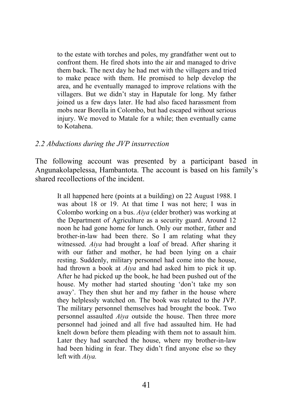to the estate with torches and poles, my grandfather went out to confront them. He fired shots into the air and managed to drive them back. The next day he had met with the villagers and tried to make peace with them. He promised to help develop the area, and he eventually managed to improve relations with the villagers. But we didn't stay in Haputale for long. My father joined us a few days later. He had also faced harassment from mobs near Borella in Colombo, but had escaped without serious injury. We moved to Matale for a while; then eventually came to Kotahena.

#### *2.2 Abductions during the JVP insurrection*

The following account was presented by a participant based in Angunakolapelessa, Hambantota. The account is based on his family's shared recollections of the incident.

It all happened here (points at a building) on 22 August 1988. I was about 18 or 19. At that time I was not here; I was in Colombo working on a bus. *Aiya* (elder brother) was working at the Department of Agriculture as a security guard. Around 12 noon he had gone home for lunch. Only our mother, father and brother-in-law had been there. So I am relating what they witnessed. *Aiya* had brought a loaf of bread. After sharing it with our father and mother, he had been lying on a chair resting. Suddenly, military personnel had come into the house, had thrown a book at *Aiya* and had asked him to pick it up. After he had picked up the book, he had been pushed out of the house. My mother had started shouting 'don't take my son away'. They then shut her and my father in the house where they helplessly watched on. The book was related to the JVP. The military personnel themselves had brought the book. Two personnel assaulted *Aiya* outside the house. Then three more personnel had joined and all five had assaulted him. He had knelt down before them pleading with them not to assault him. Later they had searched the house, where my brother-in-law had been hiding in fear. They didn't find anyone else so they left with *Aiya.*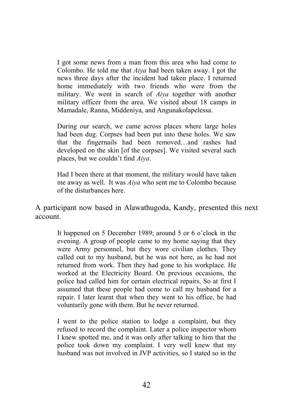I got some news from a man from this area who had come to Colombo. He told me that *Aiya* had been taken away. I got the news three days after the incident had taken place. I returned home immediately with two friends who were from the military. We went in search of *Aiya* together with another military officer from the area. We visited about 18 camps in Mamadale, Ranna, Middeniya, and Angunakolapelessa.

During our search, we came across places where large holes had been dug. Corpses had been put into these holes. We saw that the fingernails had been removed…and rashes had developed on the skin [of the corpses]. We visited several such places, but we couldn't find *Aiya*.

Had I been there at that moment, the military would have taken me away as well. It was *Aiya* who sent me to Colombo because of the disturbances here.

A participant now based in Alawathugoda, Kandy, presented this next account.

It happened on 5 December 1989; around 5 or 6 o'clock in the evening. A group of people came to my home saying that they were Army personnel, but they wore civilian clothes. They called out to my husband, but he was not here, as he had not returned from work. Then they had gone to his workplace. He worked at the Electricity Board. On previous occasions, the police had called him for certain electrical repairs. So at first I assumed that these people had come to call my husband for a repair. I later learnt that when they went to his office, he had voluntarily gone with them. But he never returned.

I went to the police station to lodge a complaint, but they refused to record the complaint. Later a police inspector whom I knew spotted me, and it was only after talking to him that the police took down my complaint. I very well knew that my husband was not involved in JVP activities, so I stated so in the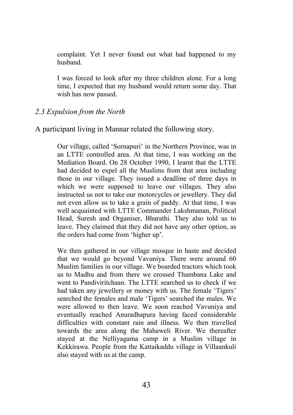complaint. Yet I never found out what had happened to my husband.

I was forced to look after my three children alone. For a long time, I expected that my husband would return some day. That wish has now passed.

### *2.3 Expulsion from the North*

A participant living in Mannar related the following story.

Our village, called 'Sornapuri' in the Northern Province, was in an LTTE controlled area. At that time, I was working on the Mediation Board. On 28 October 1990, I learnt that the LTTE had decided to expel all the Muslims from that area including those in our village. They issued a deadline of three days in which we were supposed to leave our villages. They also instructed us not to take our motorcycles or jewellery. They did not even allow us to take a grain of paddy. At that time, I was well acquainted with LTTE Commander Lakshmanan, Political Head, Suresh and Organiser, Bharathi. They also told us to leave. They claimed that they did not have any other option, as the orders had come from 'higher up'.

We then gathered in our village mosque in haste and decided that we would go beyond Vavuniya. There were around 60 Muslim families in our village. We boarded tractors which took us to Madhu and from there we crossed Thambana Lake and went to Pandiviritchaan. The LTTE searched us to check if we had taken any jewellery or money with us. The female 'Tigers' searched the females and male 'Tigers' searched the males. We were allowed to then leave. We soon reached Vavuniya and eventually reached Anuradhapura having faced considerable difficulties with constant rain and illness. We then travelled towards the area along the Mahaweli River. We thereafter stayed at the Nelliyagama camp in a Muslim village in Kekkirawa. People from the Kattaikaddu village in Villaankuli also stayed with us at the camp.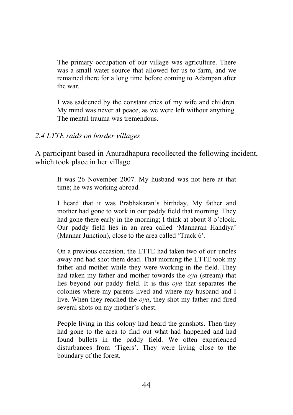The primary occupation of our village was agriculture. There was a small water source that allowed for us to farm, and we remained there for a long time before coming to Adampan after the war.

I was saddened by the constant cries of my wife and children. My mind was never at peace, as we were left without anything. The mental trauma was tremendous.

### *2.4 LTTE raids on border villages*

A participant based in Anuradhapura recollected the following incident, which took place in her village.

It was 26 November 2007. My husband was not here at that time; he was working abroad.

I heard that it was Prabhakaran's birthday. My father and mother had gone to work in our paddy field that morning. They had gone there early in the morning; I think at about 8 o'clock. Our paddy field lies in an area called 'Mannaran Handiya' (Mannar Junction), close to the area called 'Track 6'.

On a previous occasion, the LTTE had taken two of our uncles away and had shot them dead. That morning the LTTE took my father and mother while they were working in the field. They had taken my father and mother towards the *oya* (stream) that lies beyond our paddy field. It is this *oya* that separates the colonies where my parents lived and where my husband and I live. When they reached the *oya*, they shot my father and fired several shots on my mother's chest.

People living in this colony had heard the gunshots. Then they had gone to the area to find out what had happened and had found bullets in the paddy field. We often experienced disturbances from 'Tigers'. They were living close to the boundary of the forest.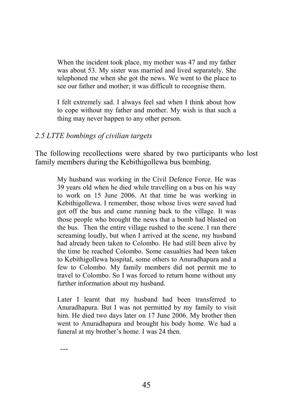When the incident took place, my mother was 47 and my father was about 53. My sister was married and lived separately. She telephoned me when she got the news. We went to the place to see our father and mother; it was difficult to recognise them.

I felt extremely sad. I always feel sad when I think about how to cope without my father and mother. My wish is that such a thing may never happen to any other person.

### *2.5 LTTE bombings of civilian targets*

The following recollections were shared by two participants who lost family members during the Kebithigollewa bus bombing.

My husband was working in the Civil Defence Force. He was 39 years old when he died while travelling on a bus on his way to work on 15 June 2006. At that time he was working in Kebithigollewa. I remember, those whose lives were saved had got off the bus and came running back to the village. It was those people who brought the news that a bomb had blasted on the bus. Then the entire village rushed to the scene. I ran there screaming loudly, but when I arrived at the scene, my husband had already been taken to Colombo. He had still been alive by the time he reached Colombo. Some casualties had been taken to Kebithigollewa hospital, some others to Anuradhapura and a few to Colombo. My family members did not permit me to travel to Colombo. So I was forced to return home without any further information about my husband.

Later I learnt that my husband had been transferred to Anuradhapura. But I was not permitted by my family to visit him. He died two days later on 17 June 2006. My brother then went to Anuradhapura and brought his body home. We had a funeral at my brother's home. I was 24 then.

---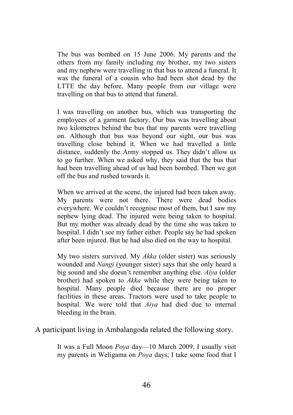The bus was bombed on 15 June 2006. My parents and the others from my family including my brother, my two sisters and my nephew were travelling in that bus to attend a funeral. It was the funeral of a cousin who had been shot dead by the LTTE the day before. Many people from our village were travelling on that bus to attend that funeral.

I was travelling on another bus, which was transporting the employees of a garment factory. Our bus was travelling about two kilometres behind the bus that my parents were travelling on. Although that bus was beyond our sight, our bus was travelling close behind it. When we had travelled a little distance, suddenly the Army stopped us. They didn't allow us to go further. When we asked why, they said that the bus that had been travelling ahead of us had been bombed. Then we got off the bus and rushed towards it.

When we arrived at the scene, the injured had been taken away. My parents were not there. There were dead bodies everywhere. We couldn't recognise most of them, but I saw my nephew lying dead. The injured were being taken to hospital. But my mother was already dead by the time she was taken to hospital. I didn't see my father either. People say he had spoken after been injured. But he had also died on the way to hospital.

My two sisters survived. My *Akka* (older sister) was seriously wounded and *Nangi* (younger sister) says that she only heard a big sound and she doesn't remember anything else. *Aiya* (older brother) had spoken to *Akka* while they were being taken to hospital. Many people died because there are no proper facilities in these areas. Tractors were used to take people to hospital. We were told that *Aiya* had died due to internal bleeding in the brain.

A participant living in Ambalangoda related the following story.

It was a Full Moon *Poya* day—10 March 2009. I usually visit my parents in Weligama on *Poya* days; I take some food that I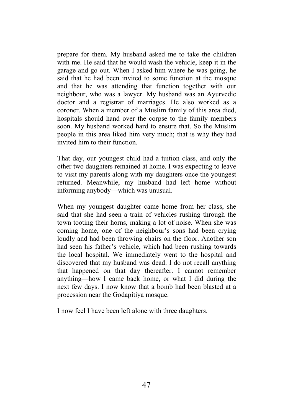prepare for them. My husband asked me to take the children with me. He said that he would wash the vehicle, keep it in the garage and go out. When I asked him where he was going, he said that he had been invited to some function at the mosque and that he was attending that function together with our neighbour, who was a lawyer. My husband was an Ayurvedic doctor and a registrar of marriages. He also worked as a coroner. When a member of a Muslim family of this area died, hospitals should hand over the corpse to the family members soon. My husband worked hard to ensure that. So the Muslim people in this area liked him very much; that is why they had invited him to their function.

That day, our youngest child had a tuition class, and only the other two daughters remained at home. I was expecting to leave to visit my parents along with my daughters once the youngest returned. Meanwhile, my husband had left home without informing anybody—which was unusual.

When my youngest daughter came home from her class, she said that she had seen a train of vehicles rushing through the town tooting their horns, making a lot of noise. When she was coming home, one of the neighbour's sons had been crying loudly and had been throwing chairs on the floor. Another son had seen his father's vehicle, which had been rushing towards the local hospital. We immediately went to the hospital and discovered that my husband was dead. I do not recall anything that happened on that day thereafter. I cannot remember anything—how I came back home, or what I did during the next few days. I now know that a bomb had been blasted at a procession near the Godapitiya mosque.

I now feel I have been left alone with three daughters.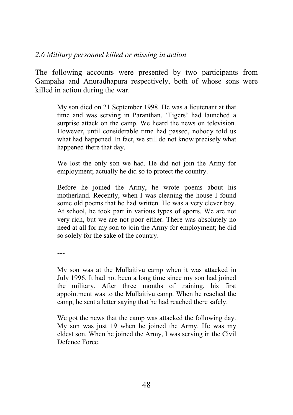### *2.6 Military personnel killed or missing in action*

The following accounts were presented by two participants from Gampaha and Anuradhapura respectively, both of whose sons were killed in action during the war.

My son died on 21 September 1998. He was a lieutenant at that time and was serving in Paranthan. 'Tigers' had launched a surprise attack on the camp. We heard the news on television. However, until considerable time had passed, nobody told us what had happened. In fact, we still do not know precisely what happened there that day.

We lost the only son we had. He did not join the Army for employment; actually he did so to protect the country.

Before he joined the Army, he wrote poems about his motherland. Recently, when I was cleaning the house I found some old poems that he had written. He was a very clever boy. At school, he took part in various types of sports. We are not very rich, but we are not poor either. There was absolutely no need at all for my son to join the Army for employment; he did so solely for the sake of the country.

---

My son was at the Mullaitivu camp when it was attacked in July 1996. It had not been a long time since my son had joined the military. After three months of training, his first appointment was to the Mullaitivu camp. When he reached the camp, he sent a letter saying that he had reached there safely.

We got the news that the camp was attacked the following day. My son was just 19 when he joined the Army. He was my eldest son. When he joined the Army, I was serving in the Civil Defence Force.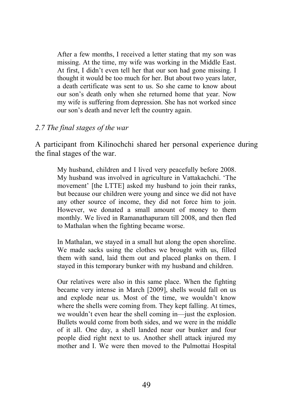After a few months, I received a letter stating that my son was missing. At the time, my wife was working in the Middle East. At first, I didn't even tell her that our son had gone missing. I thought it would be too much for her. But about two years later, a death certificate was sent to us. So she came to know about our son's death only when she returned home that year. Now my wife is suffering from depression. She has not worked since our son's death and never left the country again.

#### *2.7 The final stages of the war*

A participant from Kilinochchi shared her personal experience during the final stages of the war.

My husband, children and I lived very peacefully before 2008. My husband was involved in agriculture in Vattakachchi. 'The movement' [the LTTE] asked my husband to join their ranks, but because our children were young and since we did not have any other source of income, they did not force him to join. However, we donated a small amount of money to them monthly. We lived in Ramanathapuram till 2008, and then fled to Mathalan when the fighting became worse.

In Mathalan, we stayed in a small hut along the open shoreline. We made sacks using the clothes we brought with us, filled them with sand, laid them out and placed planks on them. I stayed in this temporary bunker with my husband and children.

Our relatives were also in this same place. When the fighting became very intense in March [2009], shells would fall on us and explode near us. Most of the time, we wouldn't know where the shells were coming from. They kept falling. At times, we wouldn't even hear the shell coming in—just the explosion. Bullets would come from both sides, and we were in the middle of it all. One day, a shell landed near our bunker and four people died right next to us. Another shell attack injured my mother and I. We were then moved to the Pulmottai Hospital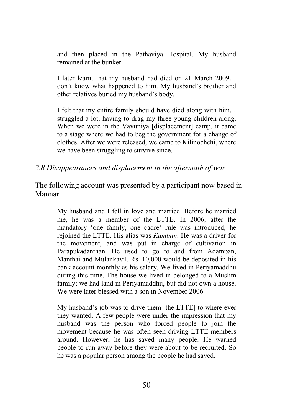and then placed in the Pathaviya Hospital. My husband remained at the bunker.

I later learnt that my husband had died on 21 March 2009. I don't know what happened to him. My husband's brother and other relatives buried my husband's body.

I felt that my entire family should have died along with him. I struggled a lot, having to drag my three young children along. When we were in the Vavuniya [displacement] camp, it came to a stage where we had to beg the government for a change of clothes. After we were released, we came to Kilinochchi, where we have been struggling to survive since.

#### *2.8 Disappearances and displacement in the aftermath of war*

The following account was presented by a participant now based in Mannar.

> My husband and I fell in love and married. Before he married me, he was a member of the LTTE. In 2006, after the mandatory 'one family, one cadre' rule was introduced, he rejoined the LTTE. His alias was *Kamban*. He was a driver for the movement, and was put in charge of cultivation in Parapukadanthan. He used to go to and from Adampan, Manthai and Mulankavil. Rs. 10,000 would be deposited in his bank account monthly as his salary. We lived in Periyamaddhu during this time. The house we lived in belonged to a Muslim family; we had land in Periyamaddhu, but did not own a house. We were later blessed with a son in November 2006.

> My husband's job was to drive them [the LTTE] to where ever they wanted. A few people were under the impression that my husband was the person who forced people to join the movement because he was often seen driving LTTE members around. However, he has saved many people. He warned people to run away before they were about to be recruited. So he was a popular person among the people he had saved.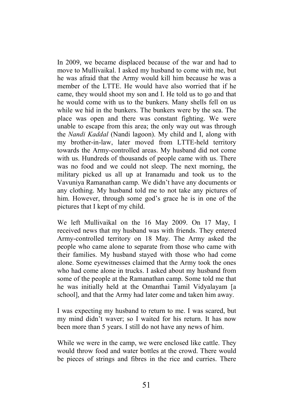In 2009, we became displaced because of the war and had to move to Mullivaikal. I asked my husband to come with me, but he was afraid that the Army would kill him because he was a member of the LTTE. He would have also worried that if he came, they would shoot my son and I. He told us to go and that he would come with us to the bunkers. Many shells fell on us while we hid in the bunkers. The bunkers were by the sea. The place was open and there was constant fighting. We were unable to escape from this area; the only way out was through the *Nandi Kaddal* (Nandi lagoon). My child and I, along with my brother-in-law, later moved from LTTE-held territory towards the Army-controlled areas. My husband did not come with us. Hundreds of thousands of people came with us. There was no food and we could not sleep. The next morning, the military picked us all up at Iranamadu and took us to the Vavuniya Ramanathan camp. We didn't have any documents or any clothing. My husband told me to not take any pictures of him. However, through some god's grace he is in one of the pictures that I kept of my child.

We left Mullivaikal on the 16 May 2009. On 17 May, I received news that my husband was with friends. They entered Army-controlled territory on 18 May. The Army asked the people who came alone to separate from those who came with their families. My husband stayed with those who had come alone. Some eyewitnesses claimed that the Army took the ones who had come alone in trucks. I asked about my husband from some of the people at the Ramanathan camp. Some told me that he was initially held at the Omanthai Tamil Vidyalayam [a school], and that the Army had later come and taken him away.

I was expecting my husband to return to me. I was scared, but my mind didn't waver; so I waited for his return. It has now been more than 5 years. I still do not have any news of him.

While we were in the camp, we were enclosed like cattle. They would throw food and water bottles at the crowd. There would be pieces of strings and fibres in the rice and curries. There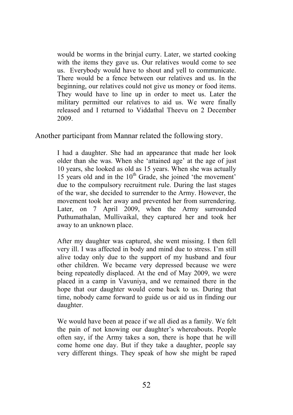would be worms in the brinjal curry. Later, we started cooking with the items they gave us. Our relatives would come to see us. Everybody would have to shout and yell to communicate. There would be a fence between our relatives and us. In the beginning, our relatives could not give us money or food items. They would have to line up in order to meet us. Later the military permitted our relatives to aid us. We were finally released and I returned to Viddathal Theevu on 2 December 2009.

Another participant from Mannar related the following story.

I had a daughter. She had an appearance that made her look older than she was. When she 'attained age' at the age of just 10 years, she looked as old as 15 years. When she was actually 15 years old and in the  $10<sup>th</sup>$  Grade, she joined 'the movement' due to the compulsory recruitment rule. During the last stages of the war, she decided to surrender to the Army. However, the movement took her away and prevented her from surrendering. Later, on 7 April 2009, when the Army surrounded Puthumathalan, Mullivaikal, they captured her and took her away to an unknown place.

After my daughter was captured, she went missing. I then fell very ill. I was affected in body and mind due to stress. I'm still alive today only due to the support of my husband and four other children. We became very depressed because we were being repeatedly displaced. At the end of May 2009, we were placed in a camp in Vavuniya, and we remained there in the hope that our daughter would come back to us. During that time, nobody came forward to guide us or aid us in finding our daughter.

We would have been at peace if we all died as a family. We felt the pain of not knowing our daughter's whereabouts. People often say, if the Army takes a son, there is hope that he will come home one day. But if they take a daughter, people say very different things. They speak of how she might be raped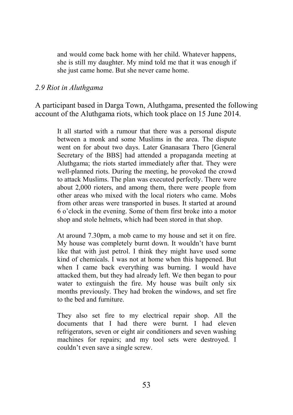and would come back home with her child. Whatever happens, she is still my daughter. My mind told me that it was enough if she just came home. But she never came home.

#### *2.9 Riot in Aluthgama*

A participant based in Darga Town, Aluthgama, presented the following account of the Aluthgama riots, which took place on 15 June 2014.

It all started with a rumour that there was a personal dispute between a monk and some Muslims in the area. The dispute went on for about two days. Later Gnanasara Thero [General Secretary of the BBS] had attended a propaganda meeting at Aluthgama; the riots started immediately after that. They were well-planned riots. During the meeting, he provoked the crowd to attack Muslims. The plan was executed perfectly. There were about 2,000 rioters, and among them, there were people from other areas who mixed with the local rioters who came. Mobs from other areas were transported in buses. It started at around 6 o'clock in the evening. Some of them first broke into a motor shop and stole helmets, which had been stored in that shop.

At around 7.30pm, a mob came to my house and set it on fire. My house was completely burnt down. It wouldn't have burnt like that with just petrol. I think they might have used some kind of chemicals. I was not at home when this happened. But when I came back everything was burning. I would have attacked them, but they had already left. We then began to pour water to extinguish the fire. My house was built only six months previously. They had broken the windows, and set fire to the bed and furniture.

They also set fire to my electrical repair shop. All the documents that I had there were burnt. I had eleven refrigerators, seven or eight air conditioners and seven washing machines for repairs; and my tool sets were destroyed. I couldn't even save a single screw.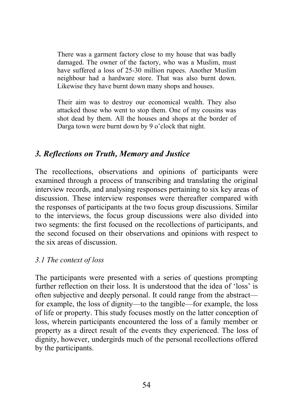There was a garment factory close to my house that was badly damaged. The owner of the factory, who was a Muslim, must have suffered a loss of 25-30 million rupees. Another Muslim neighbour had a hardware store. That was also burnt down. Likewise they have burnt down many shops and houses.

Their aim was to destroy our economical wealth. They also attacked those who went to stop them. One of my cousins was shot dead by them. All the houses and shops at the border of Darga town were burnt down by 9 o'clock that night.

# *3. Reflections on Truth, Memory and Justice*

The recollections, observations and opinions of participants were examined through a process of transcribing and translating the original interview records, and analysing responses pertaining to six key areas of discussion. These interview responses were thereafter compared with the responses of participants at the two focus group discussions. Similar to the interviews, the focus group discussions were also divided into two segments: the first focused on the recollections of participants, and the second focused on their observations and opinions with respect to the six areas of discussion.

## *3.1 The context of loss*

The participants were presented with a series of questions prompting further reflection on their loss. It is understood that the idea of 'loss' is often subjective and deeply personal. It could range from the abstract for example, the loss of dignity—to the tangible—for example, the loss of life or property. This study focuses mostly on the latter conception of loss, wherein participants encountered the loss of a family member or property as a direct result of the events they experienced. The loss of dignity, however, undergirds much of the personal recollections offered by the participants.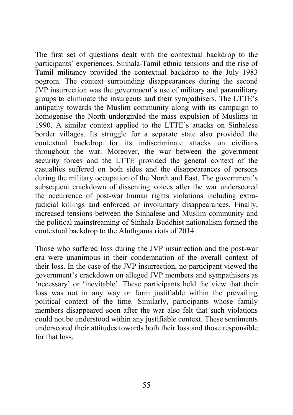The first set of questions dealt with the contextual backdrop to the participants' experiences. Sinhala-Tamil ethnic tensions and the rise of Tamil militancy provided the contextual backdrop to the July 1983 pogrom. The context surrounding disappearances during the second JVP insurrection was the government's use of military and paramilitary groups to eliminate the insurgents and their sympathisers. The LTTE's antipathy towards the Muslim community along with its campaign to homogenise the North undergirded the mass expulsion of Muslims in 1990. A similar context applied to the LTTE's attacks on Sinhalese border villages. Its struggle for a separate state also provided the contextual backdrop for its indiscriminate attacks on civilians throughout the war. Moreover, the war between the government security forces and the LTTE provided the general context of the casualties suffered on both sides and the disappearances of persons during the military occupation of the North and East. The government's subsequent crackdown of dissenting voices after the war underscored the occurrence of post-war human rights violations including extrajudicial killings and enforced or involuntary disappearances. Finally, increased tensions between the Sinhalese and Muslim community and the political mainstreaming of Sinhala-Buddhist nationalism formed the contextual backdrop to the Aluthgama riots of 2014.

Those who suffered loss during the JVP insurrection and the post-war era were unanimous in their condemnation of the overall context of their loss. In the case of the JVP insurrection, no participant viewed the government's crackdown on alleged JVP members and sympathisers as 'necessary' or 'inevitable'. These participants held the view that their loss was not in any way or form justifiable within the prevailing political context of the time. Similarly, participants whose family members disappeared soon after the war also felt that such violations could not be understood within any justifiable context. These sentiments underscored their attitudes towards both their loss and those responsible for that loss.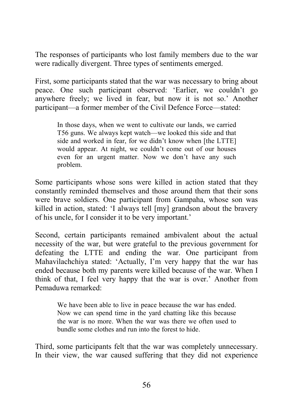The responses of participants who lost family members due to the war were radically divergent. Three types of sentiments emerged.

First, some participants stated that the war was necessary to bring about peace. One such participant observed: 'Earlier, we couldn't go anywhere freely; we lived in fear, but now it is not so.' Another participant—a former member of the Civil Defence Force—stated:

In those days, when we went to cultivate our lands, we carried T56 guns. We always kept watch—we looked this side and that side and worked in fear, for we didn't know when [the LTTE] would appear. At night, we couldn't come out of our houses even for an urgent matter. Now we don't have any such problem.

Some participants whose sons were killed in action stated that they constantly reminded themselves and those around them that their sons were brave soldiers. One participant from Gampaha, whose son was killed in action, stated: 'I always tell [my] grandson about the bravery of his uncle, for I consider it to be very important.'

Second, certain participants remained ambivalent about the actual necessity of the war, but were grateful to the previous government for defeating the LTTE and ending the war. One participant from Mahavilachchiya stated: 'Actually, I'm very happy that the war has ended because both my parents were killed because of the war. When I think of that, I feel very happy that the war is over.' Another from Pemaduwa remarked:

We have been able to live in peace because the war has ended. Now we can spend time in the yard chatting like this because the war is no more. When the war was there we often used to bundle some clothes and run into the forest to hide.

Third, some participants felt that the war was completely unnecessary. In their view, the war caused suffering that they did not experience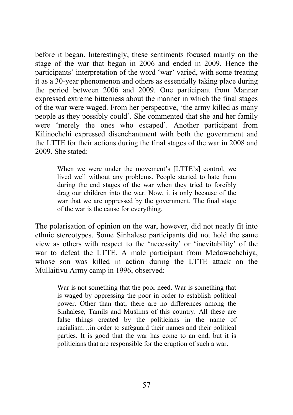before it began. Interestingly, these sentiments focused mainly on the stage of the war that began in 2006 and ended in 2009. Hence the participants' interpretation of the word 'war' varied, with some treating it as a 30-year phenomenon and others as essentially taking place during the period between 2006 and 2009. One participant from Mannar expressed extreme bitterness about the manner in which the final stages of the war were waged. From her perspective, 'the army killed as many people as they possibly could'. She commented that she and her family were 'merely the ones who escaped'. Another participant from Kilinochchi expressed disenchantment with both the government and the LTTE for their actions during the final stages of the war in 2008 and 2009. She stated:

When we were under the movement's [LTTE's] control, we lived well without any problems. People started to hate them during the end stages of the war when they tried to forcibly drag our children into the war. Now, it is only because of the war that we are oppressed by the government. The final stage of the war is the cause for everything.

The polarisation of opinion on the war, however, did not neatly fit into ethnic stereotypes. Some Sinhalese participants did not hold the same view as others with respect to the 'necessity' or 'inevitability' of the war to defeat the LTTE. A male participant from Medawachchiya, whose son was killed in action during the LTTE attack on the Mullaitivu Army camp in 1996, observed:

War is not something that the poor need. War is something that is waged by oppressing the poor in order to establish political power. Other than that, there are no differences among the Sinhalese, Tamils and Muslims of this country. All these are false things created by the politicians in the name of racialism…in order to safeguard their names and their political parties. It is good that the war has come to an end, but it is politicians that are responsible for the eruption of such a war.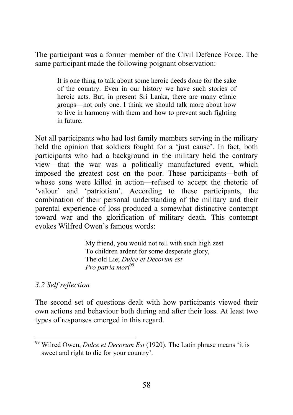The participant was a former member of the Civil Defence Force. The same participant made the following poignant observation:

It is one thing to talk about some heroic deeds done for the sake of the country. Even in our history we have such stories of heroic acts. But, in present Sri Lanka, there are many ethnic groups—not only one. I think we should talk more about how to live in harmony with them and how to prevent such fighting in future.

Not all participants who had lost family members serving in the military held the opinion that soldiers fought for a 'just cause'. In fact, both participants who had a background in the military held the contrary view—that the war was a politically manufactured event, which imposed the greatest cost on the poor. These participants—both of whose sons were killed in action—refused to accept the rhetoric of 'valour' and 'patriotism'. According to these participants, the combination of their personal understanding of the military and their parental experience of loss produced a somewhat distinctive contempt toward war and the glorification of military death. This contempt evokes Wilfred Owen's famous words:

> My friend, you would not tell with such high zest To children ardent for some desperate glory, The old Lie; *Dulce et Decorum est Pro patria mori*<sup>99</sup>

### *3.2 Self reflection*

The second set of questions dealt with how participants viewed their own actions and behaviour both during and after their loss. At least two types of responses emerged in this regard.

<sup>99</sup> Wilred Owen, *Dulce et Decorum Est* (1920). The Latin phrase means 'it is sweet and right to die for your country'.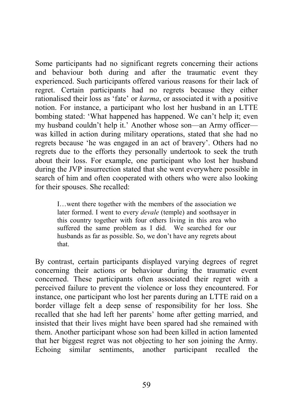Some participants had no significant regrets concerning their actions and behaviour both during and after the traumatic event they experienced. Such participants offered various reasons for their lack of regret. Certain participants had no regrets because they either rationalised their loss as 'fate' or *karma*, or associated it with a positive notion. For instance, a participant who lost her husband in an LTTE bombing stated: 'What happened has happened. We can't help it; even my husband couldn't help it.' Another whose son—an Army officer was killed in action during military operations, stated that she had no regrets because 'he was engaged in an act of bravery'. Others had no regrets due to the efforts they personally undertook to seek the truth about their loss. For example, one participant who lost her husband during the JVP insurrection stated that she went everywhere possible in search of him and often cooperated with others who were also looking for their spouses. She recalled:

I…went there together with the members of the association we later formed. I went to every *devale* (temple) and soothsayer in this country together with four others living in this area who suffered the same problem as I did. We searched for our husbands as far as possible. So, we don't have any regrets about that.

By contrast, certain participants displayed varying degrees of regret concerning their actions or behaviour during the traumatic event concerned. These participants often associated their regret with a perceived failure to prevent the violence or loss they encountered. For instance, one participant who lost her parents during an LTTE raid on a border village felt a deep sense of responsibility for her loss. She recalled that she had left her parents' home after getting married, and insisted that their lives might have been spared had she remained with them. Another participant whose son had been killed in action lamented that her biggest regret was not objecting to her son joining the Army. Echoing similar sentiments, another participant recalled the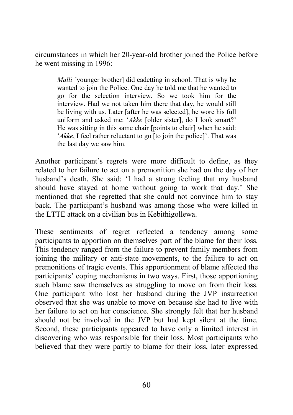circumstances in which her 20-year-old brother joined the Police before he went missing in 1996:

*Malli* [younger brother] did cadetting in school. That is why he wanted to join the Police. One day he told me that he wanted to go for the selection interview. So we took him for the interview. Had we not taken him there that day, he would still be living with us. Later [after he was selected], he wore his full uniform and asked me: '*Akke* [older sister], do I look smart?' He was sitting in this same chair [points to chair] when he said: *'Akke*, I feel rather reluctant to go [to join the police]'. That was the last day we saw him.

Another participant's regrets were more difficult to define, as they related to her failure to act on a premonition she had on the day of her husband's death. She said: 'I had a strong feeling that my husband should have stayed at home without going to work that day.' She mentioned that she regretted that she could not convince him to stay back. The participant's husband was among those who were killed in the LTTE attack on a civilian bus in Kebithigollewa.

These sentiments of regret reflected a tendency among some participants to apportion on themselves part of the blame for their loss. This tendency ranged from the failure to prevent family members from joining the military or anti-state movements, to the failure to act on premonitions of tragic events. This apportionment of blame affected the participants' coping mechanisms in two ways. First, those apportioning such blame saw themselves as struggling to move on from their loss. One participant who lost her husband during the JVP insurrection observed that she was unable to move on because she had to live with her failure to act on her conscience. She strongly felt that her husband should not be involved in the JVP but had kept silent at the time. Second, these participants appeared to have only a limited interest in discovering who was responsible for their loss. Most participants who believed that they were partly to blame for their loss, later expressed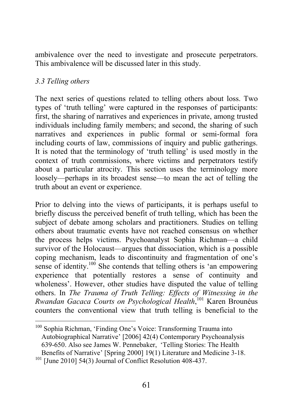ambivalence over the need to investigate and prosecute perpetrators. This ambivalence will be discussed later in this study.

## *3.3 Telling others*

The next series of questions related to telling others about loss. Two types of 'truth telling' were captured in the responses of participants: first, the sharing of narratives and experiences in private, among trusted individuals including family members; and second, the sharing of such narratives and experiences in public formal or semi-formal fora including courts of law, commissions of inquiry and public gatherings. It is noted that the terminology of 'truth telling' is used mostly in the context of truth commissions, where victims and perpetrators testify about a particular atrocity. This section uses the terminology more loosely—perhaps in its broadest sense—to mean the act of telling the truth about an event or experience.

Prior to delving into the views of participants, it is perhaps useful to briefly discuss the perceived benefit of truth telling, which has been the subject of debate among scholars and practitioners. Studies on telling others about traumatic events have not reached consensus on whether the process helps victims. Psychoanalyst Sophia Richman—a child survivor of the Holocaust—argues that dissociation, which is a possible coping mechanism, leads to discontinuity and fragmentation of one's sense of identity.<sup>100</sup> She contends that telling others is 'an empowering experience that potentially restores a sense of continuity and wholeness'. However, other studies have disputed the value of telling others. In *The Trauma of Truth Telling: Effects of Witnessing in the Rwandan Gacaca Courts on Psychological Health*, <sup>101</sup> Karen Brounéus counters the conventional view that truth telling is beneficial to the

<sup>100</sup> Sophia Richman, 'Finding One's Voice: Transforming Trauma into Autobiographical Narrative' [2006] 42(4) Contemporary Psychoanalysis 639-650. Also see James W. Pennebaker, 'Telling Stories: The Health Benefits of Narrative' [Spring 2000] 19(1) Literature and Medicine 3-18.  $101$  [June 2010] 54(3) Journal of Conflict Resolution 408-437.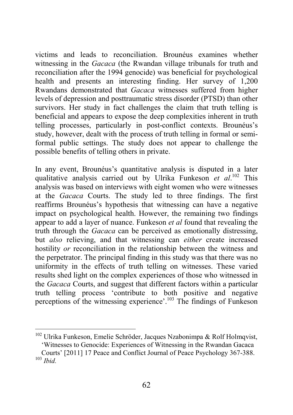victims and leads to reconciliation. Brounéus examines whether witnessing in the *Gacaca* (the Rwandan village tribunals for truth and reconciliation after the 1994 genocide) was beneficial for psychological health and presents an interesting finding. Her survey of 1,200 Rwandans demonstrated that *Gacaca* witnesses suffered from higher levels of depression and posttraumatic stress disorder (PTSD) than other survivors. Her study in fact challenges the claim that truth telling is beneficial and appears to expose the deep complexities inherent in truth telling processes, particularly in post-conflict contexts. Brounéus's study, however, dealt with the process of truth telling in formal or semiformal public settings. The study does not appear to challenge the possible benefits of telling others in private.

In any event, Brounéus's quantitative analysis is disputed in a later qualitative analysis carried out by Ulrika Funkeson *et al*. <sup>102</sup> This analysis was based on interviews with eight women who were witnesses at the *Gacaca* Courts. The study led to three findings. The first reaffirms Brounéus's hypothesis that witnessing can have a negative impact on psychological health. However, the remaining two findings appear to add a layer of nuance. Funkeson *et al* found that revealing the truth through the *Gacaca* can be perceived as emotionally distressing, but *also* relieving, and that witnessing can *either* create increased hostility *or* reconciliation in the relationship between the witness and the perpetrator. The principal finding in this study was that there was no uniformity in the effects of truth telling on witnesses. These varied results shed light on the complex experiences of those who witnessed in the *Gacaca* Courts, and suggest that different factors within a particular truth telling process 'contribute to both positive and negative perceptions of the witnessing experience'.103 The findings of Funkeson

<sup>&</sup>lt;sup>102</sup> Ulrika Funkeson, Emelie Schröder, Jacques Nzabonimpa & Rolf Holmqvist, 'Witnesses to Genocide: Experiences of Witnessing in the Rwandan Gacaca

Courts' [2011] 17 Peace and Conflict Journal of Peace Psychology 367-388. <sup>103</sup> *Ibid.*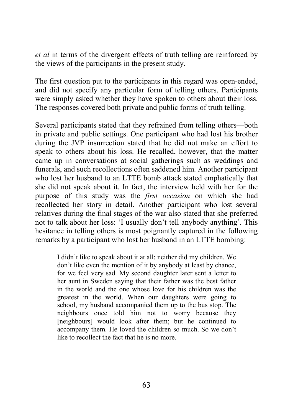*et al* in terms of the divergent effects of truth telling are reinforced by the views of the participants in the present study.

The first question put to the participants in this regard was open-ended, and did not specify any particular form of telling others. Participants were simply asked whether they have spoken to others about their loss. The responses covered both private and public forms of truth telling.

Several participants stated that they refrained from telling others—both in private and public settings. One participant who had lost his brother during the JVP insurrection stated that he did not make an effort to speak to others about his loss. He recalled, however, that the matter came up in conversations at social gatherings such as weddings and funerals, and such recollections often saddened him. Another participant who lost her husband to an LTTE bomb attack stated emphatically that she did not speak about it. In fact, the interview held with her for the purpose of this study was the *first occasion* on which she had recollected her story in detail. Another participant who lost several relatives during the final stages of the war also stated that she preferred not to talk about her loss: 'I usually don't tell anybody anything'. This hesitance in telling others is most poignantly captured in the following remarks by a participant who lost her husband in an LTTE bombing:

I didn't like to speak about it at all; neither did my children. We don't like even the mention of it by anybody at least by chance, for we feel very sad. My second daughter later sent a letter to her aunt in Sweden saying that their father was the best father in the world and the one whose love for his children was the greatest in the world. When our daughters were going to school, my husband accompanied them up to the bus stop. The neighbours once told him not to worry because they [neighbours] would look after them; but he continued to accompany them. He loved the children so much. So we don't like to recollect the fact that he is no more.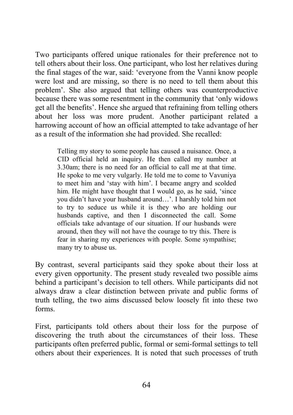Two participants offered unique rationales for their preference not to tell others about their loss. One participant, who lost her relatives during the final stages of the war, said: 'everyone from the Vanni know people were lost and are missing, so there is no need to tell them about this problem'. She also argued that telling others was counterproductive because there was some resentment in the community that 'only widows get all the benefits'. Hence she argued that refraining from telling others about her loss was more prudent. Another participant related a harrowing account of how an official attempted to take advantage of her as a result of the information she had provided. She recalled:

Telling my story to some people has caused a nuisance. Once, a CID official held an inquiry. He then called my number at 3.30am; there is no need for an official to call me at that time. He spoke to me very vulgarly. He told me to come to Vavuniya to meet him and 'stay with him'. I became angry and scolded him. He might have thought that I would go, as he said, 'since you didn't have your husband around…'. I harshly told him not to try to seduce us while it is they who are holding our husbands captive, and then I disconnected the call. Some officials take advantage of our situation. If our husbands were around, then they will not have the courage to try this. There is fear in sharing my experiences with people. Some sympathise; many try to abuse us.

By contrast, several participants said they spoke about their loss at every given opportunity. The present study revealed two possible aims behind a participant's decision to tell others. While participants did not always draw a clear distinction between private and public forms of truth telling, the two aims discussed below loosely fit into these two forms.

First, participants told others about their loss for the purpose of discovering the truth about the circumstances of their loss. These participants often preferred public, formal or semi-formal settings to tell others about their experiences. It is noted that such processes of truth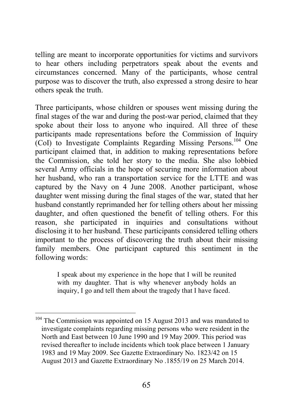telling are meant to incorporate opportunities for victims and survivors to hear others including perpetrators speak about the events and circumstances concerned. Many of the participants, whose central purpose was to discover the truth, also expressed a strong desire to hear others speak the truth.

Three participants, whose children or spouses went missing during the final stages of the war and during the post-war period, claimed that they spoke about their loss to anyone who inquired. All three of these participants made representations before the Commission of Inquiry (CoI) to Investigate Complaints Regarding Missing Persons.104 One participant claimed that, in addition to making representations before the Commission, she told her story to the media. She also lobbied several Army officials in the hope of securing more information about her husband, who ran a transportation service for the LTTE and was captured by the Navy on 4 June 2008. Another participant, whose daughter went missing during the final stages of the war, stated that her husband constantly reprimanded her for telling others about her missing daughter, and often questioned the benefit of telling others. For this reason, she participated in inquiries and consultations without disclosing it to her husband. These participants considered telling others important to the process of discovering the truth about their missing family members. One participant captured this sentiment in the following words:

I speak about my experience in the hope that I will be reunited with my daughter. That is why whenever anybody holds an inquiry, I go and tell them about the tragedy that I have faced.

<sup>&</sup>lt;sup>104</sup> The Commission was appointed on 15 August 2013 and was mandated to investigate complaints regarding missing persons who were resident in the North and East between 10 June 1990 and 19 May 2009. This period was revised thereafter to include incidents which took place between 1 January 1983 and 19 May 2009. See Gazette Extraordinary No. 1823/42 on 15 August 2013 and Gazette Extraordinary No .1855/19 on 25 March 2014.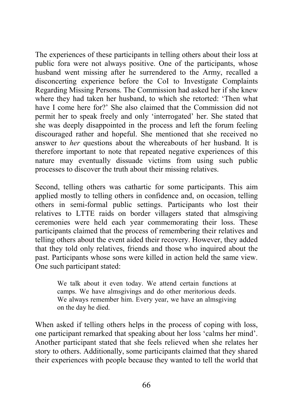The experiences of these participants in telling others about their loss at public fora were not always positive. One of the participants, whose husband went missing after he surrendered to the Army, recalled a disconcerting experience before the CoI to Investigate Complaints Regarding Missing Persons. The Commission had asked her if she knew where they had taken her husband, to which she retorted: 'Then what have I come here for?' She also claimed that the Commission did not permit her to speak freely and only 'interrogated' her. She stated that she was deeply disappointed in the process and left the forum feeling discouraged rather and hopeful. She mentioned that she received no answer to *her* questions about the whereabouts of her husband. It is therefore important to note that repeated negative experiences of this nature may eventually dissuade victims from using such public processes to discover the truth about their missing relatives.

Second, telling others was cathartic for some participants. This aim applied mostly to telling others in confidence and, on occasion, telling others in semi-formal public settings. Participants who lost their relatives to LTTE raids on border villagers stated that almsgiving ceremonies were held each year commemorating their loss. These participants claimed that the process of remembering their relatives and telling others about the event aided their recovery. However, they added that they told only relatives, friends and those who inquired about the past. Participants whose sons were killed in action held the same view. One such participant stated:

We talk about it even today. We attend certain functions at camps. We have almsgivings and do other meritorious deeds. We always remember him. Every year, we have an almsgiving on the day he died.

When asked if telling others helps in the process of coping with loss, one participant remarked that speaking about her loss 'calms her mind'. Another participant stated that she feels relieved when she relates her story to others. Additionally, some participants claimed that they shared their experiences with people because they wanted to tell the world that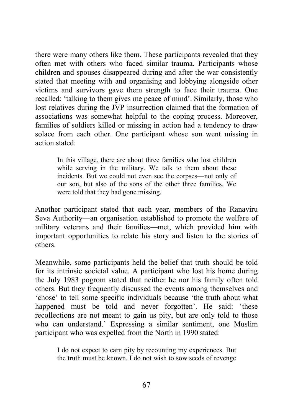there were many others like them. These participants revealed that they often met with others who faced similar trauma. Participants whose children and spouses disappeared during and after the war consistently stated that meeting with and organising and lobbying alongside other victims and survivors gave them strength to face their trauma. One recalled: 'talking to them gives me peace of mind'. Similarly, those who lost relatives during the JVP insurrection claimed that the formation of associations was somewhat helpful to the coping process. Moreover, families of soldiers killed or missing in action had a tendency to draw solace from each other. One participant whose son went missing in action stated:

In this village, there are about three families who lost children while serving in the military. We talk to them about these incidents. But we could not even see the corpses—not only of our son, but also of the sons of the other three families. We were told that they had gone missing.

Another participant stated that each year, members of the Ranaviru Seva Authority—an organisation established to promote the welfare of military veterans and their families—met, which provided him with important opportunities to relate his story and listen to the stories of others.

Meanwhile, some participants held the belief that truth should be told for its intrinsic societal value. A participant who lost his home during the July 1983 pogrom stated that neither he nor his family often told others. But they frequently discussed the events among themselves and 'chose' to tell some specific individuals because 'the truth about what happened must be told and never forgotten'. He said: 'these recollections are not meant to gain us pity, but are only told to those who can understand.' Expressing a similar sentiment, one Muslim participant who was expelled from the North in 1990 stated:

I do not expect to earn pity by recounting my experiences. But the truth must be known. I do not wish to sow seeds of revenge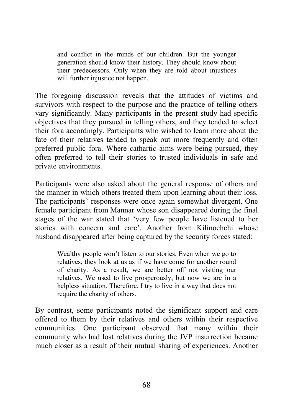and conflict in the minds of our children. But the younger generation should know their history. They should know about their predecessors. Only when they are told about injustices will further injustice not happen.

The foregoing discussion reveals that the attitudes of victims and survivors with respect to the purpose and the practice of telling others vary significantly. Many participants in the present study had specific objectives that they pursued in telling others, and they tended to select their fora accordingly. Participants who wished to learn more about the fate of their relatives tended to speak out more frequently and often preferred public fora. Where cathartic aims were being pursued, they often preferred to tell their stories to trusted individuals in safe and private environments.

Participants were also asked about the general response of others and the manner in which others treated them upon learning about their loss. The participants' responses were once again somewhat divergent. One female participant from Mannar whose son disappeared during the final stages of the war stated that 'very few people have listened to her stories with concern and care'. Another from Kilinochchi whose husband disappeared after being captured by the security forces stated:

Wealthy people won't listen to our stories. Even when we go to relatives, they look at us as if we have come for another round of charity. As a result, we are better off not visiting our relatives. We used to live prosperously, but now we are in a helpless situation. Therefore, I try to live in a way that does not require the charity of others.

By contrast, some participants noted the significant support and care offered to them by their relatives and others within their respective communities. One participant observed that many within their community who had lost relatives during the JVP insurrection became much closer as a result of their mutual sharing of experiences. Another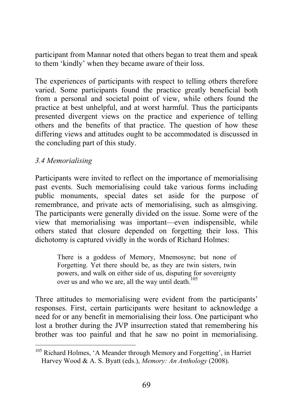participant from Mannar noted that others began to treat them and speak to them 'kindly' when they became aware of their loss.

The experiences of participants with respect to telling others therefore varied. Some participants found the practice greatly beneficial both from a personal and societal point of view, while others found the practice at best unhelpful, and at worst harmful. Thus the participants presented divergent views on the practice and experience of telling others and the benefits of that practice. The question of how these differing views and attitudes ought to be accommodated is discussed in the concluding part of this study.

### *3.4 Memorialising*

Participants were invited to reflect on the importance of memorialising past events. Such memorialising could take various forms including public monuments, special dates set aside for the purpose of remembrance, and private acts of memorialising, such as almsgiving. The participants were generally divided on the issue. Some were of the view that memorialising was important—even indispensible, while others stated that closure depended on forgetting their loss. This dichotomy is captured vividly in the words of Richard Holmes:

There is a goddess of Memory, Mnemosyne; but none of Forgetting. Yet there should be, as they are twin sisters, twin powers, and walk on either side of us, disputing for sovereignty over us and who we are, all the way until death.<sup>105</sup>

Three attitudes to memorialising were evident from the participants' responses. First, certain participants were hesitant to acknowledge a need for or any benefit in memorialising their loss. One participant who lost a brother during the JVP insurrection stated that remembering his brother was too painful and that he saw no point in memorialising.

<sup>&</sup>lt;sup>105</sup> Richard Holmes, 'A Meander through Memory and Forgetting', in Harriet Harvey Wood & A. S. Byatt (eds.), *Memory: An Anthology* (2008).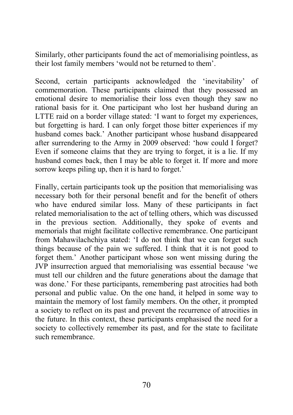Similarly, other participants found the act of memorialising pointless, as their lost family members 'would not be returned to them'.

Second, certain participants acknowledged the 'inevitability' of commemoration. These participants claimed that they possessed an emotional desire to memorialise their loss even though they saw no rational basis for it. One participant who lost her husband during an LTTE raid on a border village stated: 'I want to forget my experiences, but forgetting is hard. I can only forget those bitter experiences if my husband comes back.' Another participant whose husband disappeared after surrendering to the Army in 2009 observed: 'how could I forget? Even if someone claims that they are trying to forget, it is a lie. If my husband comes back, then I may be able to forget it. If more and more sorrow keeps piling up, then it is hard to forget.'

Finally, certain participants took up the position that memorialising was necessary both for their personal benefit and for the benefit of others who have endured similar loss. Many of these participants in fact related memorialisation to the act of telling others, which was discussed in the previous section. Additionally, they spoke of events and memorials that might facilitate collective remembrance. One participant from Mahawilachchiya stated: 'I do not think that we can forget such things because of the pain we suffered. I think that it is not good to forget them.' Another participant whose son went missing during the JVP insurrection argued that memorialising was essential because 'we must tell our children and the future generations about the damage that was done.' For these participants, remembering past atrocities had both personal and public value. On the one hand, it helped in some way to maintain the memory of lost family members. On the other, it prompted a society to reflect on its past and prevent the recurrence of atrocities in the future. In this context, these participants emphasised the need for a society to collectively remember its past, and for the state to facilitate such remembrance.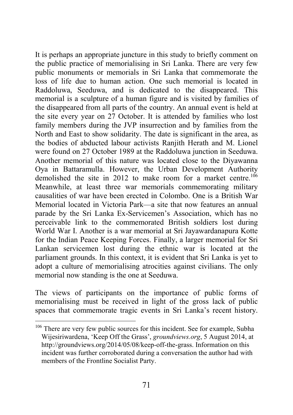It is perhaps an appropriate juncture in this study to briefly comment on the public practice of memorialising in Sri Lanka. There are very few public monuments or memorials in Sri Lanka that commemorate the loss of life due to human action. One such memorial is located in Raddoluwa, Seeduwa, and is dedicated to the disappeared. This memorial is a sculpture of a human figure and is visited by families of the disappeared from all parts of the country. An annual event is held at the site every year on 27 October. It is attended by families who lost family members during the JVP insurrection and by families from the North and East to show solidarity. The date is significant in the area, as the bodies of abducted labour activists Ranjith Herath and M. Lionel were found on 27 October 1989 at the Raddoluwa junction in Seeduwa. Another memorial of this nature was located close to the Diyawanna Oya in Battaramulla. However, the Urban Development Authority demolished the site in 2012 to make room for a market centre.<sup>106</sup> Meanwhile, at least three war memorials commemorating military causalities of war have been erected in Colombo. One is a British War Memorial located in Victoria Park—a site that now features an annual parade by the Sri Lanka Ex-Servicemen's Association, which has no perceivable link to the commemorated British soldiers lost during World War I. Another is a war memorial at Sri Jayawardanapura Kotte for the Indian Peace Keeping Forces. Finally, a larger memorial for Sri Lankan servicemen lost during the ethnic war is located at the parliament grounds. In this context, it is evident that Sri Lanka is yet to adopt a culture of memorialising atrocities against civilians. The only memorial now standing is the one at Seeduwa.

The views of participants on the importance of public forms of memorialising must be received in light of the gross lack of public spaces that commemorate tragic events in Sri Lanka's recent history.

<sup>&</sup>lt;sup>106</sup> There are very few public sources for this incident. See for example, Subha Wijesiriwardena, 'Keep Off the Grass', *groundviews.org*, 5 August 2014, at http://groundviews.org/2014/05/08/keep-off-the-grass. Information on this incident was further corroborated during a conversation the author had with members of the Frontline Socialist Party.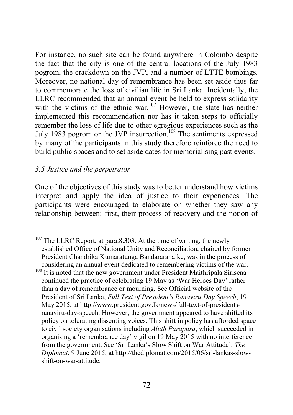For instance, no such site can be found anywhere in Colombo despite the fact that the city is one of the central locations of the July 1983 pogrom, the crackdown on the JVP, and a number of LTTE bombings. Moreover, no national day of remembrance has been set aside thus far to commemorate the loss of civilian life in Sri Lanka. Incidentally, the LLRC recommended that an annual event be held to express solidarity with the victims of the ethnic war.<sup>107</sup> However, the state has neither implemented this recommendation nor has it taken steps to officially remember the loss of life due to other egregious experiences such as the July 1983 pogrom or the JVP insurrection.<sup>108</sup> The sentiments expressed by many of the participants in this study therefore reinforce the need to build public spaces and to set aside dates for memorialising past events.

### *3.5 Justice and the perpetrator*

One of the objectives of this study was to better understand how victims interpret and apply the idea of justice to their experiences. The participants were encouraged to elaborate on whether they saw any relationship between: first, their process of recovery and the notion of

 $107$  The LLRC Report, at para.8.303. At the time of writing, the newly established Office of National Unity and Reconciliation, chaired by former President Chandrika Kumaratunga Bandararanaike, was in the process of considering an annual event dedicated to remembering victims of the war.

<sup>&</sup>lt;sup>108</sup> It is noted that the new government under President Maithripala Sirisena continued the practice of celebrating 19 May as 'War Heroes Day' rather than a day of remembrance or mourning. See Official website of the President of Sri Lanka, *Full Text of President's Ranaviru Day Speech*, 19 May 2015, at http://www.president.gov.lk/news/full-text-of-presidentsranaviru-day-speech. However, the government appeared to have shifted its policy on tolerating dissenting voices. This shift in policy has afforded space to civil society organisations including *Aluth Parapura*, which succeeded in organising a 'remembrance day' vigil on 19 May 2015 with no interference from the government. See 'Sri Lanka's Slow Shift on War Attitude', *The Diplomat*, 9 June 2015, at http://thediplomat.com/2015/06/sri-lankas-slowshift-on-war-attitude.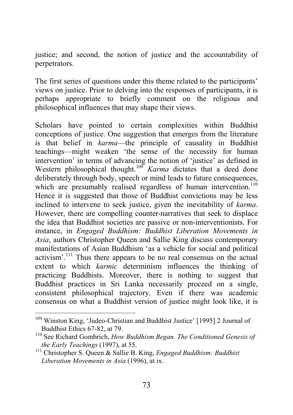justice; and second, the notion of justice and the accountability of perpetrators.

The first series of questions under this theme related to the participants' views on justice. Prior to delving into the responses of participants, it is perhaps appropriate to briefly comment on the religious and philosophical influences that may shape their views.

Scholars have pointed to certain complexities within Buddhist conceptions of justice. One suggestion that emerges from the literature is that belief in *karma*—the principle of causality in Buddhist teachings—might weaken 'the sense of the necessity for human intervention' in terms of advancing the notion of 'justice' as defined in Western philosophical thought.<sup>109</sup> *Karma* dictates that a deed done deliberately through body, speech or mind leads to future consequences, which are presumably realised regardless of human intervention.<sup>110</sup> Hence it is suggested that those of Buddhist convictions may be less inclined to intervene to seek justice, given the inevitability of *karma*. However, there are compelling counter-narratives that seek to displace the idea that Buddhist societies are passive or non-interventionists. For instance, in *Engaged Buddhism: Buddhist Liberation Movements in Asia*, authors Christopher Queen and Sallie King discuss contemporary manifestations of Asian Buddhism 'as a vehicle for social and political activism'.<sup>111</sup> Thus there appears to be no real consensus on the actual extent to which *karmic* determinism influences the thinking of practicing Buddhists. Moreover, there is nothing to suggest that Buddhist practices in Sri Lanka necessarily proceed on a single, consistent philosophical trajectory. Even if there was academic consensus on what a Buddhist version of justice might look like, it is

<sup>109</sup> Winston King, 'Judeo-Christian and Buddhist Justice' [1995] 2 Journal of Buddhist Ethics 67-82, at 79.

<sup>&</sup>lt;sup>110</sup> See Richard Gombrich, *How Buddhism Began. The Conditioned Genesis of the Early Teachings* (1997), at 55.

<sup>&</sup>lt;sup>111</sup> Christopher S. Oueen & Sallie B. King, *Engaged Buddhism: Buddhist Liberation Movements in Asia* (1996), at ix.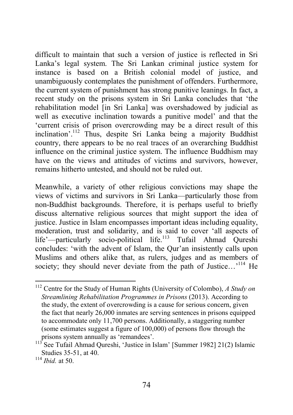difficult to maintain that such a version of justice is reflected in Sri Lanka's legal system. The Sri Lankan criminal justice system for instance is based on a British colonial model of justice, and unambiguously contemplates the punishment of offenders. Furthermore, the current system of punishment has strong punitive leanings. In fact, a recent study on the prisons system in Sri Lanka concludes that 'the rehabilitation model [in Sri Lanka] was overshadowed by judicial as well as executive inclination towards a punitive model' and that the 'current crisis of prison overcrowding may be a direct result of this inclination'.112 Thus, despite Sri Lanka being a majority Buddhist country, there appears to be no real traces of an overarching Buddhist influence on the criminal justice system. The influence Buddhism may have on the views and attitudes of victims and survivors, however, remains hitherto untested, and should not be ruled out.

Meanwhile, a variety of other religious convictions may shape the views of victims and survivors in Sri Lanka—particularly those from non-Buddhist backgrounds. Therefore, it is perhaps useful to briefly discuss alternative religious sources that might support the idea of justice. Justice in Islam encompasses important ideas including equality, moderation, trust and solidarity, and is said to cover 'all aspects of life'—particularly socio-political life.<sup>113</sup> Tufail Ahmad Qureshi concludes: 'with the advent of Islam, the Qur'an insistently calls upon Muslims and others alike that, as rulers, judges and as members of society; they should never deviate from the path of Justice...<sup>114</sup> He

<sup>112</sup> Centre for the Study of Human Rights (University of Colombo), *A Study on Streamlining Rehabilitation Programmes in Prisons* (2013). According to the study, the extent of overcrowding is a cause for serious concern, given the fact that nearly 26,000 inmates are serving sentences in prisons equipped to accommodate only 11,700 persons. Additionally, a staggering number (some estimates suggest a figure of 100,000) of persons flow through the prisons system annually as 'remandees'.

<sup>&</sup>lt;sup>113</sup> See Tufail Ahmad Qureshi, 'Justice in Islam' [Summer 1982] 21(2) Islamic Studies 35-51, at 40.

 $114$  *Ibid.* at 50.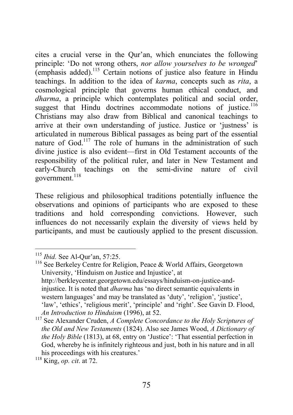cites a crucial verse in the Qur'an, which enunciates the following principle: 'Do not wrong others, *nor allow yourselves to be wronged*' (emphasis added).115 Certain notions of justice also feature in Hindu teachings. In addition to the idea of *karma*, concepts such as *rita*, a cosmological principle that governs human ethical conduct, and *dharma*, a principle which contemplates political and social order, suggest that Hindu doctrines accommodate notions of justice.<sup>116</sup> Christians may also draw from Biblical and canonical teachings to arrive at their own understanding of justice. Justice or 'justness' is articulated in numerous Biblical passages as being part of the essential nature of God.<sup>117</sup> The role of humans in the administration of such divine justice is also evident—first in Old Testament accounts of the responsibility of the political ruler, and later in New Testament and early-Church teachings on the semi-divine nature of civil government.<sup>118</sup>

These religious and philosophical traditions potentially influence the observations and opinions of participants who are exposed to these traditions and hold corresponding convictions. However, such influences do not necessarily explain the diversity of views held by participants, and must be cautiously applied to the present discussion.

<sup>115</sup> *Ibid.* See Al-Qur'an, 57:25.

<sup>&</sup>lt;sup>116</sup> See Berkeley Centre for Religion, Peace & World Affairs, Georgetown University, 'Hinduism on Justice and Injustice', at http://berkleycenter.georgetown.edu/essays/hinduism-on-justice-andinjustice. It is noted that *dharma* has 'no direct semantic equivalents in western languages' and may be translated as 'duty', 'religion', 'justice', 'law', 'ethics', 'religious merit', 'principle' and 'right'. See Gavin D. Flood, *An Introduction to Hinduism* (1996), at 52.

<sup>117</sup> See Alexander Cruden, *A Complete Concordance to the Holy Scriptures of the Old and New Testaments* (1824). Also see James Wood, *A Dictionary of the Holy Bible* (1813), at 68, entry on 'Justice': 'That essential perfection in God, whereby he is infinitely righteous and just, both in his nature and in all his proceedings with his creatures.'

<sup>118</sup> King, *op. cit*. at 72.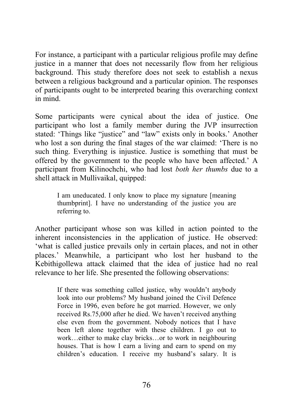For instance, a participant with a particular religious profile may define justice in a manner that does not necessarily flow from her religious background. This study therefore does not seek to establish a nexus between a religious background and a particular opinion. The responses of participants ought to be interpreted bearing this overarching context in mind.

Some participants were cynical about the idea of justice. One participant who lost a family member during the JVP insurrection stated: 'Things like "justice" and "law" exists only in books.' Another who lost a son during the final stages of the war claimed: 'There is no such thing. Everything is injustice. Justice is something that must be offered by the government to the people who have been affected.' A participant from Kilinochchi, who had lost *both her thumbs* due to a shell attack in Mullivaikal, quipped:

I am uneducated. I only know to place my signature [meaning thumbprint]. I have no understanding of the justice you are referring to.

Another participant whose son was killed in action pointed to the inherent inconsistencies in the application of justice. He observed: 'what is called justice prevails only in certain places, and not in other places.' Meanwhile, a participant who lost her husband to the Kebithigollewa attack claimed that the idea of justice had no real relevance to her life. She presented the following observations:

If there was something called justice, why wouldn't anybody look into our problems? My husband joined the Civil Defence Force in 1996, even before he got married. However, we only received Rs.75,000 after he died. We haven't received anything else even from the government. Nobody notices that I have been left alone together with these children. I go out to work…either to make clay bricks…or to work in neighbouring houses. That is how I earn a living and earn to spend on my children's education. I receive my husband's salary. It is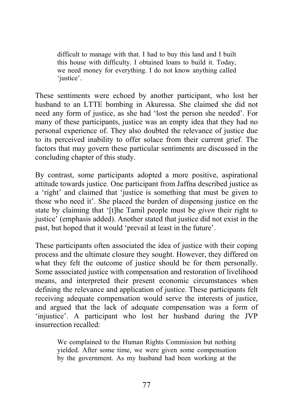difficult to manage with that. I had to buy this land and I built this house with difficulty. I obtained loans to build it. Today, we need money for everything. I do not know anything called 'iustice'.

These sentiments were echoed by another participant, who lost her husband to an LTTE bombing in Akuressa. She claimed she did not need any form of justice, as she had 'lost the person she needed'. For many of these participants, justice was an empty idea that they had no personal experience of. They also doubted the relevance of justice due to its perceived inability to offer solace from their current grief. The factors that may govern these particular sentiments are discussed in the concluding chapter of this study.

By contrast, some participants adopted a more positive, aspirational attitude towards justice. One participant from Jaffna described justice as a 'right' and claimed that 'justice is something that must be given to those who need it'. She placed the burden of dispensing justice on the state by claiming that '[t]he Tamil people must be *given* their right to justice' (emphasis added). Another stated that justice did not exist in the past, but hoped that it would 'prevail at least in the future'.

These participants often associated the idea of justice with their coping process and the ultimate closure they sought. However, they differed on what they felt the outcome of justice should be for them personally. Some associated justice with compensation and restoration of livelihood means, and interpreted their present economic circumstances when defining the relevance and application of justice. These participants felt receiving adequate compensation would serve the interests of justice, and argued that the lack of adequate compensation was a form of 'injustice'. A participant who lost her husband during the JVP insurrection recalled:

We complained to the Human Rights Commission but nothing yielded. After some time, we were given some compensation by the government. As my husband had been working at the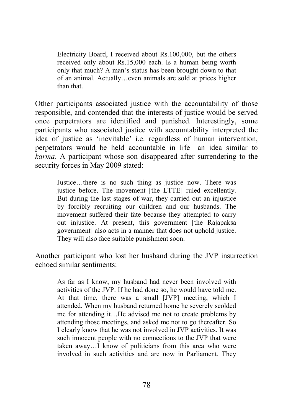Electricity Board, I received about Rs.100,000, but the others received only about Rs.15,000 each. Is a human being worth only that much? A man's status has been brought down to that of an animal. Actually…even animals are sold at prices higher than that.

Other participants associated justice with the accountability of those responsible, and contended that the interests of justice would be served once perpetrators are identified and punished. Interestingly, some participants who associated justice with accountability interpreted the idea of justice as 'inevitable' i.e. regardless of human intervention, perpetrators would be held accountable in life—an idea similar to *karma*. A participant whose son disappeared after surrendering to the security forces in May 2009 stated:

Justice…there is no such thing as justice now. There was justice before. The movement [the LTTE] ruled excellently. But during the last stages of war, they carried out an injustice by forcibly recruiting our children and our husbands. The movement suffered their fate because they attempted to carry out injustice. At present, this government [the Rajapaksa government] also acts in a manner that does not uphold justice. They will also face suitable punishment soon.

Another participant who lost her husband during the JVP insurrection echoed similar sentiments:

As far as I know, my husband had never been involved with activities of the JVP. If he had done so, he would have told me. At that time, there was a small [JVP] meeting, which I attended. When my husband returned home he severely scolded me for attending it…He advised me not to create problems by attending those meetings, and asked me not to go thereafter. So I clearly know that he was not involved in JVP activities. It was such innocent people with no connections to the JVP that were taken away…I know of politicians from this area who were involved in such activities and are now in Parliament. They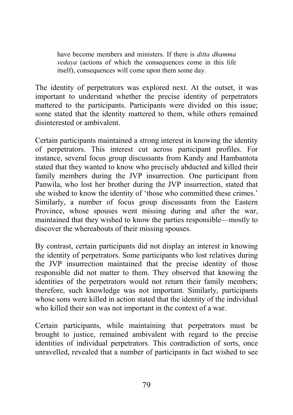have become members and ministers. If there is *ditta dhamma vedaya* (actions of which the consequences come in this life itself), consequences will come upon them some day.

The identity of perpetrators was explored next. At the outset, it was important to understand whether the precise identity of perpetrators mattered to the participants. Participants were divided on this issue; some stated that the identity mattered to them, while others remained disinterested or ambivalent.

Certain participants maintained a strong interest in knowing the identity of perpetrators. This interest cut across participant profiles. For instance, several focus group discussants from Kandy and Hambantota stated that they wanted to know who precisely abducted and killed their family members during the JVP insurrection. One participant from Panwila, who lost her brother during the JVP insurrection, stated that she wished to know the identity of 'those who committed these crimes.' Similarly, a number of focus group discussants from the Eastern Province, whose spouses went missing during and after the war, maintained that they wished to know the parties responsible—mostly to discover the whereabouts of their missing spouses.

By contrast, certain participants did not display an interest in knowing the identity of perpetrators. Some participants who lost relatives during the JVP insurrection maintained that the precise identity of those responsible did not matter to them. They observed that knowing the identities of the perpetrators would not return their family members; therefore, such knowledge was not important. Similarly, participants whose sons were killed in action stated that the identity of the individual who killed their son was not important in the context of a war.

Certain participants, while maintaining that perpetrators must be brought to justice, remained ambivalent with regard to the precise identities of individual perpetrators. This contradiction of sorts, once unravelled, revealed that a number of participants in fact wished to see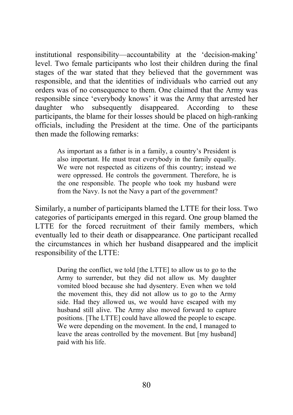institutional responsibility—accountability at the 'decision-making' level. Two female participants who lost their children during the final stages of the war stated that they believed that the government was responsible, and that the identities of individuals who carried out any orders was of no consequence to them. One claimed that the Army was responsible since 'everybody knows' it was the Army that arrested her daughter who subsequently disappeared. According to these participants, the blame for their losses should be placed on high-ranking officials, including the President at the time. One of the participants then made the following remarks:

As important as a father is in a family, a country's President is also important. He must treat everybody in the family equally. We were not respected as citizens of this country; instead we were oppressed. He controls the government. Therefore, he is the one responsible. The people who took my husband were from the Navy. Is not the Navy a part of the government?

Similarly, a number of participants blamed the LTTE for their loss. Two categories of participants emerged in this regard. One group blamed the LTTE for the forced recruitment of their family members, which eventually led to their death or disappearance. One participant recalled the circumstances in which her husband disappeared and the implicit responsibility of the LTTE:

During the conflict, we told [the LTTE] to allow us to go to the Army to surrender, but they did not allow us. My daughter vomited blood because she had dysentery. Even when we told the movement this, they did not allow us to go to the Army side. Had they allowed us, we would have escaped with my husband still alive. The Army also moved forward to capture positions. [The LTTE] could have allowed the people to escape. We were depending on the movement. In the end, I managed to leave the areas controlled by the movement. But [my husband] paid with his life.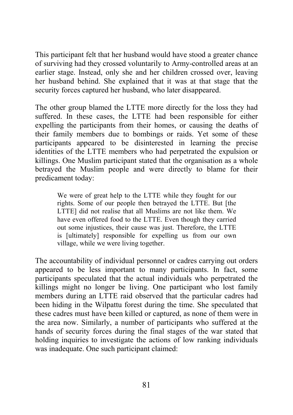This participant felt that her husband would have stood a greater chance of surviving had they crossed voluntarily to Army-controlled areas at an earlier stage. Instead, only she and her children crossed over, leaving her husband behind. She explained that it was at that stage that the security forces captured her husband, who later disappeared.

The other group blamed the LTTE more directly for the loss they had suffered. In these cases, the LTTE had been responsible for either expelling the participants from their homes, or causing the deaths of their family members due to bombings or raids. Yet some of these participants appeared to be disinterested in learning the precise identities of the LTTE members who had perpetrated the expulsion or killings. One Muslim participant stated that the organisation as a whole betrayed the Muslim people and were directly to blame for their predicament today:

We were of great help to the LTTE while they fought for our rights. Some of our people then betrayed the LTTE. But [the LTTE] did not realise that all Muslims are not like them. We have even offered food to the LTTE. Even though they carried out some injustices, their cause was just. Therefore, the LTTE is [ultimately] responsible for expelling us from our own village, while we were living together.

The accountability of individual personnel or cadres carrying out orders appeared to be less important to many participants. In fact, some participants speculated that the actual individuals who perpetrated the killings might no longer be living. One participant who lost family members during an LTTE raid observed that the particular cadres had been hiding in the Wilpattu forest during the time. She speculated that these cadres must have been killed or captured, as none of them were in the area now. Similarly, a number of participants who suffered at the hands of security forces during the final stages of the war stated that holding inquiries to investigate the actions of low ranking individuals was inadequate. One such participant claimed: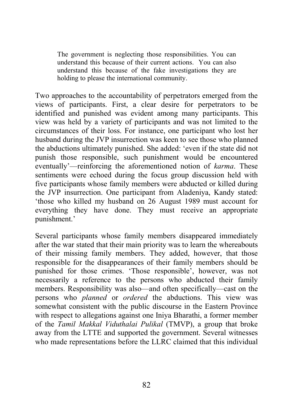The government is neglecting those responsibilities. You can understand this because of their current actions. You can also understand this because of the fake investigations they are holding to please the international community.

Two approaches to the accountability of perpetrators emerged from the views of participants. First, a clear desire for perpetrators to be identified and punished was evident among many participants. This view was held by a variety of participants and was not limited to the circumstances of their loss. For instance, one participant who lost her husband during the JVP insurrection was keen to see those who planned the abductions ultimately punished. She added: 'even if the state did not punish those responsible, such punishment would be encountered eventually'—reinforcing the aforementioned notion of *karma*. These sentiments were echoed during the focus group discussion held with five participants whose family members were abducted or killed during the JVP insurrection. One participant from Aladeniya, Kandy stated: 'those who killed my husband on 26 August 1989 must account for everything they have done. They must receive an appropriate punishment.'

Several participants whose family members disappeared immediately after the war stated that their main priority was to learn the whereabouts of their missing family members. They added, however, that those responsible for the disappearances of their family members should be punished for those crimes. 'Those responsible', however, was not necessarily a reference to the persons who abducted their family members. Responsibility was also—and often specifically—cast on the persons who *planned* or *ordered* the abductions. This view was somewhat consistent with the public discourse in the Eastern Province with respect to allegations against one Iniya Bharathi, a former member of the *Tamil Makkal Viduthalai Pulikal* (TMVP), a group that broke away from the LTTE and supported the government. Several witnesses who made representations before the LLRC claimed that this individual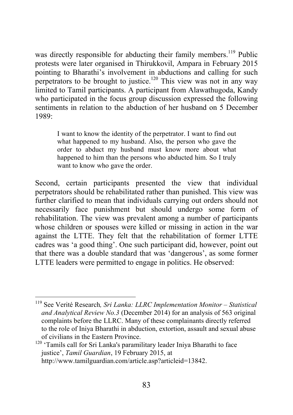was directly responsible for abducting their family members.<sup>119</sup> Public protests were later organised in Thirukkovil, Ampara in February 2015 pointing to Bharathi's involvement in abductions and calling for such perpetrators to be brought to justice.<sup>120</sup> This view was not in any way limited to Tamil participants. A participant from Alawathugoda, Kandy who participated in the focus group discussion expressed the following sentiments in relation to the abduction of her husband on 5 December 1989:

I want to know the identity of the perpetrator. I want to find out what happened to my husband. Also, the person who gave the order to abduct my husband must know more about what happened to him than the persons who abducted him. So I truly want to know who gave the order.

Second, certain participants presented the view that individual perpetrators should be rehabilitated rather than punished. This view was further clarified to mean that individuals carrying out orders should not necessarily face punishment but should undergo some form of rehabilitation. The view was prevalent among a number of participants whose children or spouses were killed or missing in action in the war against the LTTE. They felt that the rehabilitation of former LTTE cadres was 'a good thing'. One such participant did, however, point out that there was a double standard that was 'dangerous', as some former LTTE leaders were permitted to engage in politics. He observed:

<sup>120</sup> 'Tamils call for Sri Lanka's paramilitary leader Iniya Bharathi to face justice', *Tamil Guardian*, 19 February 2015, at http://www.tamilguardian.com/article.asp?articleid=13842.

<sup>119</sup> See Verité Research*, Sri Lanka: LLRC Implementation Monitor – Statistical and Analytical Review No.3* (December 2014) for an analysis of 563 original complaints before the LLRC. Many of these complainants directly referred to the role of Iniya Bharathi in abduction, extortion, assault and sexual abuse of civilians in the Eastern Province.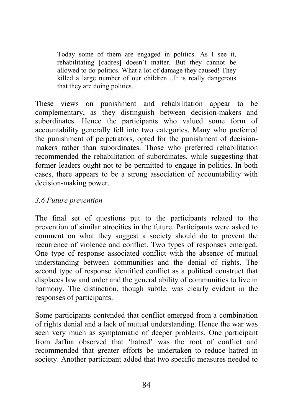Today some of them are engaged in politics. As I see it, rehabilitating [cadres] doesn't matter. But they cannot be allowed to do politics. What a lot of damage they caused! They killed a large number of our children…It is really dangerous that they are doing politics.

These views on punishment and rehabilitation appear to be complementary, as they distinguish between decision-makers and subordinates. Hence the participants who valued some form of accountability generally fell into two categories. Many who preferred the punishment of perpetrators, opted for the punishment of decisionmakers rather than subordinates. Those who preferred rehabilitation recommended the rehabilitation of subordinates, while suggesting that former leaders ought not to be permitted to engage in politics. In both cases, there appears to be a strong association of accountability with decision-making power.

### *3.6 Future prevention*

The final set of questions put to the participants related to the prevention of similar atrocities in the future. Participants were asked to comment on what they suggest a society should do to prevent the recurrence of violence and conflict. Two types of responses emerged. One type of response associated conflict with the absence of mutual understanding between communities and the denial of rights. The second type of response identified conflict as a political construct that displaces law and order and the general ability of communities to live in harmony. The distinction, though subtle, was clearly evident in the responses of participants.

Some participants contended that conflict emerged from a combination of rights denial and a lack of mutual understanding. Hence the war was seen very much as symptomatic of deeper problems. One participant from Jaffna observed that 'hatred' was the root of conflict and recommended that greater efforts be undertaken to reduce hatred in society. Another participant added that two specific measures needed to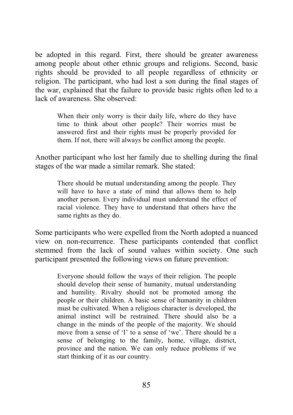be adopted in this regard. First, there should be greater awareness among people about other ethnic groups and religions. Second, basic rights should be provided to all people regardless of ethnicity or religion. The participant, who had lost a son during the final stages of the war, explained that the failure to provide basic rights often led to a lack of awareness. She observed:

When their only worry is their daily life, where do they have time to think about other people? Their worries must be answered first and their rights must be properly provided for them. If not, there will always be conflict among the people.

Another participant who lost her family due to shelling during the final stages of the war made a similar remark. She stated:

There should be mutual understanding among the people. They will have to have a state of mind that allows them to help another person. Every individual must understand the effect of racial violence. They have to understand that others have the same rights as they do.

Some participants who were expelled from the North adopted a nuanced view on non-recurrence. These participants contended that conflict stemmed from the lack of sound values within society. One such participant presented the following views on future prevention:

Everyone should follow the ways of their religion. The people should develop their sense of humanity, mutual understanding and humility. Rivalry should not be promoted among the people or their children. A basic sense of humanity in children must be cultivated. When a religious character is developed, the animal instinct will be restrained. There should also be a change in the minds of the people of the majority. We should move from a sense of 'I' to a sense of 'we'. There should be a sense of belonging to the family, home, village, district, province and the nation. We can only reduce problems if we start thinking of it as our country.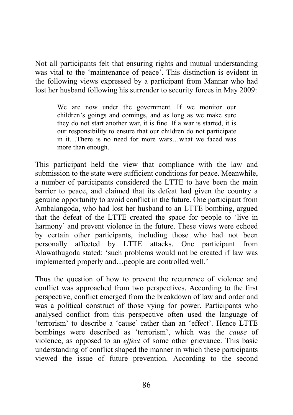Not all participants felt that ensuring rights and mutual understanding was vital to the 'maintenance of peace'. This distinction is evident in the following views expressed by a participant from Mannar who had lost her husband following his surrender to security forces in May 2009:

We are now under the government. If we monitor our children's goings and comings, and as long as we make sure they do not start another war, it is fine. If a war is started, it is our responsibility to ensure that our children do not participate in it…There is no need for more wars…what we faced was more than enough.

This participant held the view that compliance with the law and submission to the state were sufficient conditions for peace. Meanwhile, a number of participants considered the LTTE to have been the main barrier to peace, and claimed that its defeat had given the country a genuine opportunity to avoid conflict in the future. One participant from Ambalangoda, who had lost her husband to an LTTE bombing, argued that the defeat of the LTTE created the space for people to 'live in harmony' and prevent violence in the future. These views were echoed by certain other participants, including those who had not been personally affected by LTTE attacks. One participant from Alawathugoda stated: 'such problems would not be created if law was implemented properly and…people are controlled well.'

Thus the question of how to prevent the recurrence of violence and conflict was approached from two perspectives. According to the first perspective, conflict emerged from the breakdown of law and order and was a political construct of those vying for power. Participants who analysed conflict from this perspective often used the language of 'terrorism' to describe a 'cause' rather than an 'effect'. Hence LTTE bombings were described as 'terrorism', which was the *cause* of violence, as opposed to an *effect* of some other grievance. This basic understanding of conflict shaped the manner in which these participants viewed the issue of future prevention. According to the second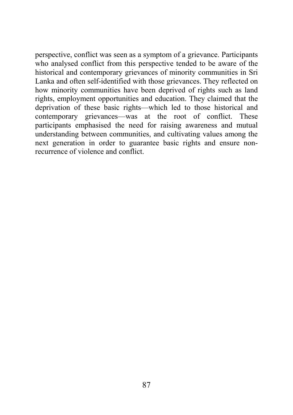perspective, conflict was seen as a symptom of a grievance. Participants who analysed conflict from this perspective tended to be aware of the historical and contemporary grievances of minority communities in Sri Lanka and often self-identified with those grievances. They reflected on how minority communities have been deprived of rights such as land rights, employment opportunities and education. They claimed that the deprivation of these basic rights—which led to those historical and contemporary grievances—was at the root of conflict. These participants emphasised the need for raising awareness and mutual understanding between communities, and cultivating values among the next generation in order to guarantee basic rights and ensure nonrecurrence of violence and conflict.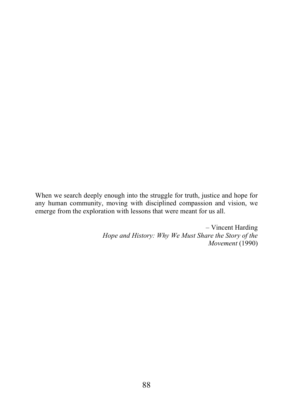When we search deeply enough into the struggle for truth, justice and hope for any human community, moving with disciplined compassion and vision, we emerge from the exploration with lessons that were meant for us all.

> – Vincent Harding *Hope and History: Why We Must Share the Story of the Movement* (1990)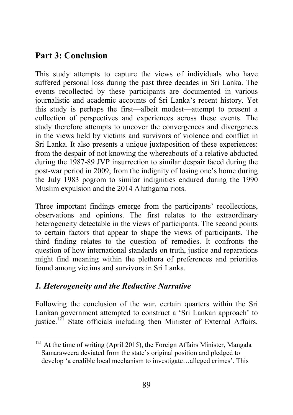# Part 3: Conclusion

This study attempts to capture the views of individuals who have suffered personal loss during the past three decades in Sri Lanka. The events recollected by these participants are documented in various journalistic and academic accounts of Sri Lanka's recent history. Yet this study is perhaps the first—albeit modest—attempt to present a collection of perspectives and experiences across these events. The study therefore attempts to uncover the convergences and divergences in the views held by victims and survivors of violence and conflict in Sri Lanka. It also presents a unique juxtaposition of these experiences: from the despair of not knowing the whereabouts of a relative abducted during the 1987-89 JVP insurrection to similar despair faced during the post-war period in 2009; from the indignity of losing one's home during the July 1983 pogrom to similar indignities endured during the 1990 Muslim expulsion and the 2014 Aluthgama riots.

Three important findings emerge from the participants' recollections, observations and opinions. The first relates to the extraordinary heterogeneity detectable in the views of participants. The second points to certain factors that appear to shape the views of participants. The third finding relates to the question of remedies. It confronts the question of how international standards on truth, justice and reparations might find meaning within the plethora of preferences and priorities found among victims and survivors in Sri Lanka.

## *1. Heterogeneity and the Reductive Narrative*

Following the conclusion of the war, certain quarters within the Sri Lankan government attempted to construct a 'Sri Lankan approach' to justice.<sup>121</sup> State officials including then Minister of External Affairs,

<sup>&</sup>lt;sup>121</sup> At the time of writing (April 2015), the Foreign Affairs Minister, Mangala Samaraweera deviated from the state's original position and pledged to develop 'a credible local mechanism to investigate…alleged crimes'. This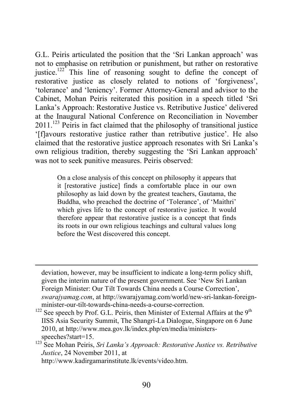G.L. Peiris articulated the position that the 'Sri Lankan approach' was not to emphasise on retribution or punishment, but rather on restorative justice.<sup>122</sup> This line of reasoning sought to define the concept of restorative justice as closely related to notions of 'forgiveness', 'tolerance' and 'leniency'. Former Attorney-General and advisor to the Cabinet, Mohan Peiris reiterated this position in a speech titled 'Sri Lanka's Approach: Restorative Justice vs. Retributive Justice' delivered at the Inaugural National Conference on Reconciliation in November  $2011$ <sup>123</sup> Peiris in fact claimed that the philosophy of transitional justice '[f]avours restorative justice rather than retributive justice'. He also claimed that the restorative justice approach resonates with Sri Lanka's own religious tradition, thereby suggesting the 'Sri Lankan approach' was not to seek punitive measures. Peiris observed:

On a close analysis of this concept on philosophy it appears that it [restorative justice] finds a comfortable place in our own philosophy as laid down by the greatest teachers, Gautama, the Buddha, who preached the doctrine of 'Tolerance', of 'Maithri' which gives life to the concept of restorative justice. It would therefore appear that restorative justice is a concept that finds its roots in our own religious teachings and cultural values long before the West discovered this concept.

 $\overline{a}$ 

deviation, however, may be insufficient to indicate a long-term policy shift, given the interim nature of the present government. See 'New Sri Lankan Foreign Minister: Our Tilt Towards China needs a Course Correction', *swarajyamag.com*, at http://swarajyamag.com/world/new-sri-lankan-foreign-

 $122$  See speech by Prof. G.L. Peiris, then Minister of External Affairs at the 9<sup>th</sup> IISS Asia Security Summit, The Shangri-La Dialogue, Singapore on 6 June 2010, at http://www.mea.gov.lk/index.php/en/media/ministersspeeches?start=15.

<sup>123</sup> See Mohan Peiris, *Sri Lanka's Approach: Restorative Justice vs. Retributive Justice*, 24 November 2011, at

http://www.kadirgamarinstitute.lk/events/video.htm.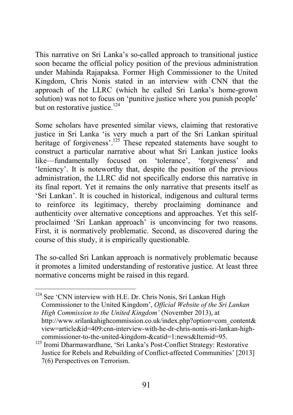This narrative on Sri Lanka's so-called approach to transitional justice soon became the official policy position of the previous administration under Mahinda Rajapaksa. Former High Commissioner to the United Kingdom, Chris Nonis stated in an interview with CNN that the approach of the LLRC (which he called Sri Lanka's home-grown solution) was not to focus on 'punitive justice where you punish people' but on restorative justice.<sup>124</sup>

Some scholars have presented similar views, claiming that restorative justice in Sri Lanka 'is very much a part of the Sri Lankan spiritual heritage of forgiveness'.<sup>125</sup> These repeated statements have sought to construct a particular narrative about what Sri Lankan justice looks like—fundamentally focused on 'tolerance', 'forgiveness' and 'leniency'. It is noteworthy that, despite the position of the previous administration, the LLRC did not specifically endorse this narrative in its final report. Yet it remains the only narrative that presents itself as 'Sri Lankan'. It is couched in historical, indigenous and cultural terms to reinforce its legitimacy, thereby proclaiming dominance and authenticity over alternative conceptions and approaches. Yet this selfproclaimed 'Sri Lankan approach' is unconvincing for two reasons. First, it is normatively problematic. Second, as discovered during the course of this study, it is empirically questionable.

The so-called Sri Lankan approach is normatively problematic because it promotes a limited understanding of restorative justice. At least three normative concerns might be raised in this regard.

<sup>&</sup>lt;sup>124</sup> See 'CNN interview with H.E. Dr. Chris Nonis, Sri Lankan High Commissioner to the United Kingdom', *Official Website of the Sri Lankan High Commission to the United Kingdom'* (November 2013), at http://www.srilankahighcommission.co.uk/index.php?option=com\_content& view=article&id=409:cnn-interview-with-he-dr-chris-nonis-sri-lankan-highcommissioner-to-the-united-kingdom-&catid=1:news&Itemid=95.

<sup>&</sup>lt;sup>125</sup> Iromi Dharmawardhane, 'Sri Lanka's Post-Conflict Strategy: Restorative Justice for Rebels and Rebuilding of Conflict-affected Communities' [2013] 7(6) Perspectives on Terrorism.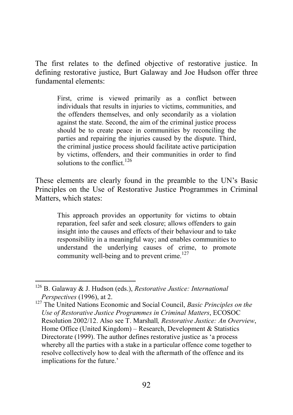The first relates to the defined objective of restorative justice. In defining restorative justice, Burt Galaway and Joe Hudson offer three fundamental elements:

First, crime is viewed primarily as a conflict between individuals that results in injuries to victims, communities, and the offenders themselves, and only secondarily as a violation against the state. Second, the aim of the criminal justice process should be to create peace in communities by reconciling the parties and repairing the injuries caused by the dispute. Third, the criminal justice process should facilitate active participation by victims, offenders, and their communities in order to find solutions to the conflict.<sup>126</sup>

These elements are clearly found in the preamble to the UN's Basic Principles on the Use of Restorative Justice Programmes in Criminal Matters, which states:

This approach provides an opportunity for victims to obtain reparation, feel safer and seek closure; allows offenders to gain insight into the causes and effects of their behaviour and to take responsibility in a meaningful way; and enables communities to understand the underlying causes of crime, to promote community well-being and to prevent crime.<sup>127</sup>

<sup>126</sup> B. Galaway & J. Hudson (eds.), *Restorative Justice: International Perspectives* (1996), at 2.

<sup>127</sup> The United Nations Economic and Social Council, *Basic Principles on the Use of Restorative Justice Programmes in Criminal Matters*, ECOSOC Resolution 2002/12. Also see T. Marshall*, Restorative Justice: An Overview*, Home Office (United Kingdom) – Research, Development & Statistics Directorate (1999). The author defines restorative justice as 'a process whereby all the parties with a stake in a particular offence come together to resolve collectively how to deal with the aftermath of the offence and its implications for the future.'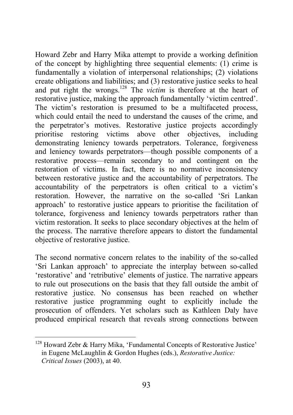Howard Zebr and Harry Mika attempt to provide a working definition of the concept by highlighting three sequential elements: (1) crime is fundamentally a violation of interpersonal relationships; (2) violations create obligations and liabilities; and (3) restorative justice seeks to heal and put right the wrongs.<sup>128</sup> The *victim* is therefore at the heart of restorative justice, making the approach fundamentally 'victim centred'. The victim's restoration is presumed to be a multifaceted process, which could entail the need to understand the causes of the crime, and the perpetrator's motives. Restorative justice projects accordingly prioritise restoring victims above other objectives, including prioritise restoring victims above other objectives, including demonstrating leniency towards perpetrators. Tolerance, forgiveness and leniency towards perpetrators—though possible components of a restorative process—remain secondary to and contingent on the restoration of victims. In fact, there is no normative inconsistency between restorative justice and the accountability of perpetrators. The accountability of the perpetrators is often critical to a victim's restoration. However, the narrative on the so-called 'Sri Lankan approach' to restorative justice appears to prioritise the facilitation of tolerance, forgiveness and leniency towards perpetrators rather than victim restoration. It seeks to place secondary objectives at the helm of the process. The narrative therefore appears to distort the fundamental objective of restorative justice.

The second normative concern relates to the inability of the so-called 'Sri Lankan approach' to appreciate the interplay between so-called 'restorative' and 'retributive' elements of justice. The narrative appears to rule out prosecutions on the basis that they fall outside the ambit of restorative justice. No consensus has been reached on whether restorative justice programming ought to explicitly include the prosecution of offenders. Yet scholars such as Kathleen Daly have produced empirical research that reveals strong connections between

<sup>128</sup> Howard Zebr & Harry Mika, 'Fundamental Concepts of Restorative Justice' in Eugene McLaughlin & Gordon Hughes (eds.), *Restorative Justice: Critical Issues* (2003), at 40.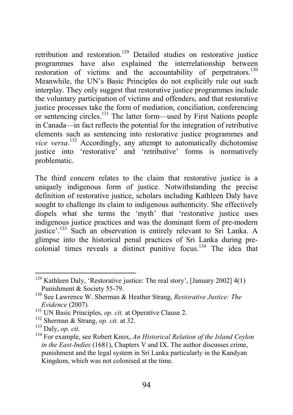retribution and restoration.<sup>129</sup> Detailed studies on restorative justice programmes have also explained the interrelationship between restoration of victims and the accountability of perpetrators.<sup>130</sup> Meanwhile, the UN's Basic Principles do not explicitly rule out such interplay. They only suggest that restorative justice programmes include the voluntary participation of victims and offenders, and that restorative justice processes take the form of mediation, conciliation, conferencing or sentencing circles.131 The latter form—used by First Nations people in Canada—in fact reflects the potential for the integration of retributive elements such as sentencing into restorative justice programmes and *vice versa*. <sup>132</sup> Accordingly, any attempt to automatically dichotomise justice into 'restorative' and 'retributive' forms is normatively problematic.

The third concern relates to the claim that restorative justice is a uniquely indigenous form of justice. Notwithstanding the precise definition of restorative justice, scholars including Kathleen Daly have sought to challenge its claim to indigenous authenticity. She effectively dispels what she terms the 'myth' that 'restorative justice uses indigenous justice practices and was the dominant form of pre-modern justice'.133 Such an observation is entirely relevant to Sri Lanka. A glimpse into the historical penal practices of Sri Lanka during precolonial times reveals a distinct punitive focus.134 The idea that

<sup>129</sup> Kathleen Daly, 'Restorative justice: The real story', [January 2002] 4(1) Punishment & Society 55-79.

<sup>130</sup> See Lawrence W. Sherman & Heather Strang, *Restorative Justice: The Evidence* (2007)*.* <sup>131</sup> UN Basic Principles, *op. cit.* at Operative Clause 2.

<sup>132</sup> Sherman & Strang, *op. cit.* at 32.

<sup>&</sup>lt;sup>134</sup> For example, see Robert Knox, *An Historical Relation of the Island Ceylon in the East-Indies* (1681), Chapters V and IX. The author discusses crime, punishment and the legal system in Sri Lanka particularly in the Kandyan Kingdom, which was not colonised at the time.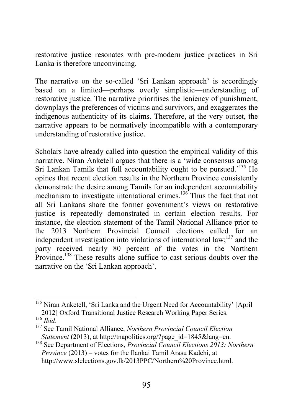restorative justice resonates with pre-modern justice practices in Sri Lanka is therefore unconvincing.

The narrative on the so-called 'Sri Lankan approach' is accordingly based on a limited—perhaps overly simplistic—understanding of restorative justice. The narrative prioritises the leniency of punishment, downplays the preferences of victims and survivors, and exaggerates the indigenous authenticity of its claims. Therefore, at the very outset, the narrative appears to be normatively incompatible with a contemporary understanding of restorative justice.

Scholars have already called into question the empirical validity of this narrative. Niran Anketell argues that there is a 'wide consensus among Sri Lankan Tamils that full accountability ought to be pursued.<sup>'135</sup> He opines that recent election results in the Northern Province consistently demonstrate the desire among Tamils for an independent accountability mechanism to investigate international crimes.<sup>136</sup> Thus the fact that not all Sri Lankans share the former government's views on restorative justice is repeatedly demonstrated in certain election results. For instance, the election statement of the Tamil National Alliance prior to the 2013 Northern Provincial Council elections called for an independent investigation into violations of international law;<sup>137</sup> and the party received nearly 80 percent of the votes in the Northern Province.<sup>138</sup> These results alone suffice to cast serious doubts over the narrative on the 'Sri Lankan approach'.

<sup>&</sup>lt;sup>135</sup> Niran Anketell, 'Sri Lanka and the Urgent Need for Accountability' [April] 2012] Oxford Transitional Justice Research Working Paper Series.<br><br/>  $^{136}$   $_{\rm{Hid}}$ 

<sup>&</sup>lt;sup>137</sup> See Tamil National Alliance, *Northern Provincial Council Election Statement* (2013), at http://tnapolitics.org/?page\_id=1845&lang=en.

<sup>138</sup> See Department of Elections, *Provincial Council Elections 2013: Northern Province* (2013) – votes for the Ilankai Tamil Arasu Kadchi, at http://www.slelections.gov.lk/2013PPC/Northern%20Province.html.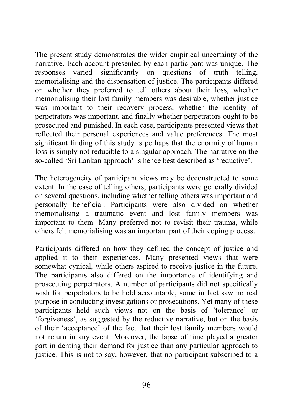The present study demonstrates the wider empirical uncertainty of the narrative. Each account presented by each participant was unique. The responses varied significantly on questions of truth telling, memorialising and the dispensation of justice. The participants differed on whether they preferred to tell others about their loss, whether memorialising their lost family members was desirable, whether justice was important to their recovery process, whether the identity of perpetrators was important, and finally whether perpetrators ought to be prosecuted and punished. In each case, participants presented views that reflected their personal experiences and value preferences. The most significant finding of this study is perhaps that the enormity of human loss is simply not reducible to a singular approach. The narrative on the so-called 'Sri Lankan approach' is hence best described as 'reductive'.

The heterogeneity of participant views may be deconstructed to some extent. In the case of telling others, participants were generally divided on several questions, including whether telling others was important and personally beneficial. Participants were also divided on whether memorialising a traumatic event and lost family members was important to them. Many preferred not to revisit their trauma, while others felt memorialising was an important part of their coping process.

Participants differed on how they defined the concept of justice and applied it to their experiences. Many presented views that were somewhat cynical, while others aspired to receive justice in the future. The participants also differed on the importance of identifying and prosecuting perpetrators. A number of participants did not specifically wish for perpetrators to be held accountable; some in fact saw no real purpose in conducting investigations or prosecutions. Yet many of these participants held such views not on the basis of 'tolerance' or 'forgiveness', as suggested by the reductive narrative, but on the basis of their 'acceptance' of the fact that their lost family members would not return in any event. Moreover, the lapse of time played a greater part in denting their demand for justice than any particular approach to justice. This is not to say, however, that no participant subscribed to a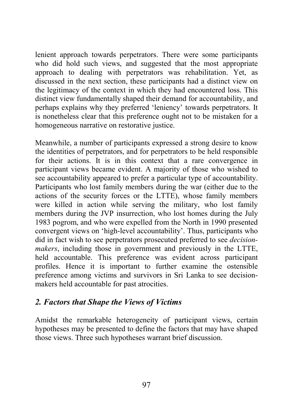lenient approach towards perpetrators. There were some participants who did hold such views, and suggested that the most appropriate approach to dealing with perpetrators was rehabilitation. Yet, as discussed in the next section, these participants had a distinct view on the legitimacy of the context in which they had encountered loss. This distinct view fundamentally shaped their demand for accountability, and perhaps explains why they preferred 'leniency' towards perpetrators. It is nonetheless clear that this preference ought not to be mistaken for a homogeneous narrative on restorative justice.

Meanwhile, a number of participants expressed a strong desire to know the identities of perpetrators, and for perpetrators to be held responsible for their actions. It is in this context that a rare convergence in participant views became evident. A majority of those who wished to see accountability appeared to prefer a particular type of accountability. Participants who lost family members during the war (either due to the actions of the security forces or the LTTE), whose family members were killed in action while serving the military, who lost family members during the JVP insurrection, who lost homes during the July 1983 pogrom, and who were expelled from the North in 1990 presented convergent views on 'high-level accountability'. Thus, participants who did in fact wish to see perpetrators prosecuted preferred to see *decisionmakers*, including those in government and previously in the LTTE, held accountable. This preference was evident across participant profiles. Hence it is important to further examine the ostensible preference among victims and survivors in Sri Lanka to see decisionmakers held accountable for past atrocities.

## *2. Factors that Shape the Views of Victims*

Amidst the remarkable heterogeneity of participant views, certain hypotheses may be presented to define the factors that may have shaped those views. Three such hypotheses warrant brief discussion.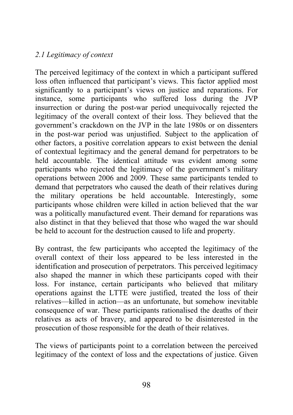## *2.1 Legitimacy of context*

The perceived legitimacy of the context in which a participant suffered loss often influenced that participant's views. This factor applied most significantly to a participant's views on justice and reparations. For instance, some participants who suffered loss during the JVP insurrection or during the post-war period unequivocally rejected the legitimacy of the overall context of their loss. They believed that the government's crackdown on the JVP in the late 1980s or on dissenters in the post-war period was unjustified. Subject to the application of other factors, a positive correlation appears to exist between the denial of contextual legitimacy and the general demand for perpetrators to be held accountable. The identical attitude was evident among some participants who rejected the legitimacy of the government's military operations between 2006 and 2009. These same participants tended to demand that perpetrators who caused the death of their relatives during the military operations be held accountable. Interestingly, some participants whose children were killed in action believed that the war was a politically manufactured event. Their demand for reparations was also distinct in that they believed that those who waged the war should be held to account for the destruction caused to life and property.

By contrast, the few participants who accepted the legitimacy of the overall context of their loss appeared to be less interested in the identification and prosecution of perpetrators. This perceived legitimacy also shaped the manner in which these participants coped with their loss. For instance, certain participants who believed that military operations against the LTTE were justified, treated the loss of their relatives—killed in action—as an unfortunate, but somehow inevitable consequence of war. These participants rationalised the deaths of their relatives as acts of bravery, and appeared to be disinterested in the prosecution of those responsible for the death of their relatives.

The views of participants point to a correlation between the perceived legitimacy of the context of loss and the expectations of justice. Given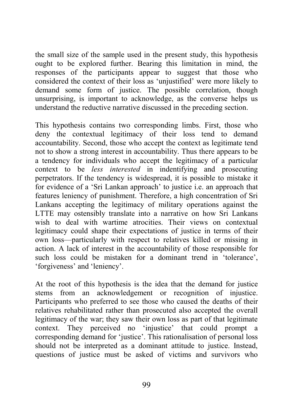the small size of the sample used in the present study, this hypothesis ought to be explored further. Bearing this limitation in mind, the responses of the participants appear to suggest that those who considered the context of their loss as 'unjustified' were more likely to demand some form of justice. The possible correlation, though unsurprising, is important to acknowledge, as the converse helps us understand the reductive narrative discussed in the preceding section.

This hypothesis contains two corresponding limbs. First, those who deny the contextual legitimacy of their loss tend to demand accountability. Second, those who accept the context as legitimate tend not to show a strong interest in accountability. Thus there appears to be a tendency for individuals who accept the legitimacy of a particular context to be *less interested* in indentifying and prosecuting perpetrators. If the tendency is widespread, it is possible to mistake it for evidence of a 'Sri Lankan approach' to justice i.e. an approach that features leniency of punishment. Therefore, a high concentration of Sri Lankans accepting the legitimacy of military operations against the LTTE may ostensibly translate into a narrative on how Sri Lankans wish to deal with wartime atrocities. Their views on contextual legitimacy could shape their expectations of justice in terms of their own loss—particularly with respect to relatives killed or missing in action. A lack of interest in the accountability of those responsible for such loss could be mistaken for a dominant trend in 'tolerance', 'forgiveness' and 'leniency'.

At the root of this hypothesis is the idea that the demand for justice stems from an acknowledgement or recognition of injustice. Participants who preferred to see those who caused the deaths of their relatives rehabilitated rather than prosecuted also accepted the overall legitimacy of the war; they saw their own loss as part of that legitimate context. They perceived no 'injustice' that could prompt a corresponding demand for 'justice'. This rationalisation of personal loss should not be interpreted as a dominant attitude to justice. Instead, questions of justice must be asked of victims and survivors who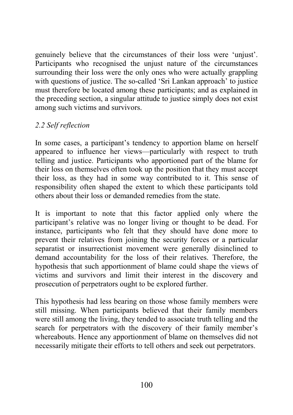genuinely believe that the circumstances of their loss were 'unjust'. Participants who recognised the unjust nature of the circumstances surrounding their loss were the only ones who were actually grappling with questions of justice. The so-called 'Sri Lankan approach' to justice must therefore be located among these participants; and as explained in the preceding section, a singular attitude to justice simply does not exist among such victims and survivors.

### *2.2 Self reflection*

In some cases, a participant's tendency to apportion blame on herself appeared to influence her views—particularly with respect to truth telling and justice. Participants who apportioned part of the blame for their loss on themselves often took up the position that they must accept their loss, as they had in some way contributed to it. This sense of responsibility often shaped the extent to which these participants told others about their loss or demanded remedies from the state.

It is important to note that this factor applied only where the participant's relative was no longer living or thought to be dead. For instance, participants who felt that they should have done more to prevent their relatives from joining the security forces or a particular separatist or insurrectionist movement were generally disinclined to demand accountability for the loss of their relatives. Therefore, the hypothesis that such apportionment of blame could shape the views of victims and survivors and limit their interest in the discovery and prosecution of perpetrators ought to be explored further.

This hypothesis had less bearing on those whose family members were still missing. When participants believed that their family members were still among the living, they tended to associate truth telling and the search for perpetrators with the discovery of their family member's whereabouts. Hence any apportionment of blame on themselves did not necessarily mitigate their efforts to tell others and seek out perpetrators.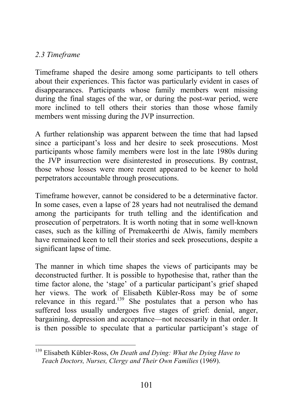### *2.3 Timeframe*

Timeframe shaped the desire among some participants to tell others about their experiences. This factor was particularly evident in cases of disappearances. Participants whose family members went missing during the final stages of the war, or during the post-war period, were more inclined to tell others their stories than those whose family members went missing during the JVP insurrection.

A further relationship was apparent between the time that had lapsed since a participant's loss and her desire to seek prosecutions. Most participants whose family members were lost in the late 1980s during the JVP insurrection were disinterested in prosecutions. By contrast, those whose losses were more recent appeared to be keener to hold perpetrators accountable through prosecutions.

Timeframe however, cannot be considered to be a determinative factor. In some cases, even a lapse of 28 years had not neutralised the demand among the participants for truth telling and the identification and prosecution of perpetrators. It is worth noting that in some well-known cases, such as the killing of Premakeerthi de Alwis, family members have remained keen to tell their stories and seek prosecutions, despite a significant lapse of time.

The manner in which time shapes the views of participants may be deconstructed further. It is possible to hypothesise that, rather than the time factor alone, the 'stage' of a particular participant's grief shaped her views. The work of Elisabeth Kübler-Ross may be of some relevance in this regard.<sup>139</sup> She postulates that a person who has suffered loss usually undergoes five stages of grief: denial, anger, bargaining, depression and acceptance—not necessarily in that order. It is then possible to speculate that a particular participant's stage of

<sup>139</sup> Elisabeth Kübler-Ross, *On Death and Dying: What the Dying Have to Teach Doctors, Nurses, Clergy and Their Own Families* (1969).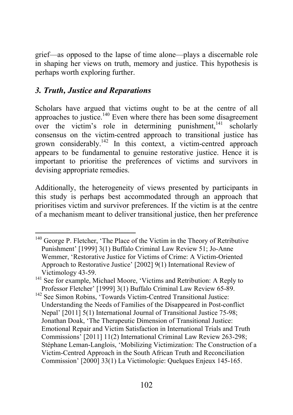grief—as opposed to the lapse of time alone—plays a discernable role in shaping her views on truth, memory and justice. This hypothesis is perhaps worth exploring further.

# *3. Truth, Justice and Reparations*

Scholars have argued that victims ought to be at the centre of all approaches to justice.<sup>140</sup> Even where there has been some disagreement over the victim's role in determining punishment,  $141$  scholarly consensus on the victim-centred approach to transitional justice has grown considerably.142 In this context, a victim-centred approach appears to be fundamental to genuine restorative justice. Hence it is important to prioritise the preferences of victims and survivors in devising appropriate remedies.

Additionally, the heterogeneity of views presented by participants in this study is perhaps best accommodated through an approach that prioritises victim and survivor preferences. If the victim is at the centre of a mechanism meant to deliver transitional justice, then her preference

<sup>&</sup>lt;sup>140</sup> George P. Fletcher, 'The Place of the Victim in the Theory of Retributive Punishment' [1999] 3(1) Buffalo Criminal Law Review 51; Jo-Anne Wemmer, 'Restorative Justice for Victims of Crime: A Victim-Oriented Approach to Restorative Justice' [2002] 9(1) International Review of Victimology 43-59.

 $^{141}$  See for example, Michael Moore, 'Victims and Retribution: A Reply to Professor Fletcher' [1999] 3(1) Buffalo Criminal Law Review 65-89. <sup>142</sup> See Simon Robins, 'Towards Victim-Centred Transitional Justice:

Understanding the Needs of Families of the Disappeared in Post-conflict Nepal' [2011] 5(1) International Journal of Transitional Justice 75-98; Jonathan Doak, 'The Therapeutic Dimension of Transitional Justice: Emotional Repair and Victim Satisfaction in International Trials and Truth Commissions' [2011] 11(2) International Criminal Law Review 263-298; Stéphane Leman-Langlois, 'Mobilizing Victimization: The Construction of a Victim-Centred Approach in the South African Truth and Reconciliation Commission' [2000] 33(1) La Victimologie: Quelques Enjeux 145-165.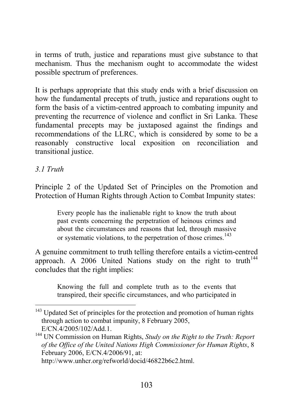in terms of truth, justice and reparations must give substance to that mechanism. Thus the mechanism ought to accommodate the widest possible spectrum of preferences.

It is perhaps appropriate that this study ends with a brief discussion on how the fundamental precepts of truth, justice and reparations ought to form the basis of a victim-centred approach to combating impunity and preventing the recurrence of violence and conflict in Sri Lanka. These fundamental precepts may be juxtaposed against the findings and recommendations of the LLRC, which is considered by some to be a reasonably constructive local exposition on reconciliation and transitional justice.

## *3.1 Truth*

Principle 2 of the Updated Set of Principles on the Promotion and Protection of Human Rights through Action to Combat Impunity states:

Every people has the inalienable right to know the truth about past events concerning the perpetration of heinous crimes and about the circumstances and reasons that led, through massive or systematic violations, to the perpetration of those crimes.<sup>143</sup>

A genuine commitment to truth telling therefore entails a victim-centred approach. A 2006 United Nations study on the right to truth<sup> $144$ </sup> concludes that the right implies:

Knowing the full and complete truth as to the events that transpired, their specific circumstances, and who participated in

http://www.unhcr.org/refworld/docid/46822b6c2.html.

<sup>&</sup>lt;sup>143</sup> Updated Set of principles for the protection and promotion of human rights through action to combat impunity, 8 February 2005,

E/CN.4/2005/102/Add.1. <sup>144</sup> UN Commission on Human Rights, *Study on the Right to the Truth: Report of the Office of the United Nations High Commissioner for Human Rights*, 8 February 2006, E/CN.4/2006/91, at: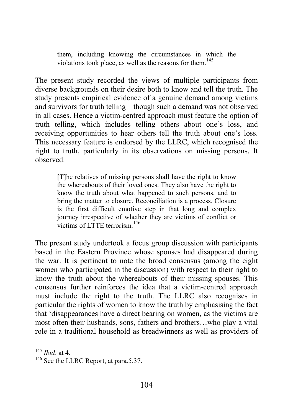them, including knowing the circumstances in which the violations took place, as well as the reasons for them. $145$ 

The present study recorded the views of multiple participants from diverse backgrounds on their desire both to know and tell the truth. The study presents empirical evidence of a genuine demand among victims and survivors for truth telling—though such a demand was not observed in all cases. Hence a victim-centred approach must feature the option of truth telling, which includes telling others about one's loss, and receiving opportunities to hear others tell the truth about one's loss. This necessary feature is endorsed by the LLRC, which recognised the right to truth, particularly in its observations on missing persons. It observed:

[T]he relatives of missing persons shall have the right to know the whereabouts of their loved ones. They also have the right to know the truth about what happened to such persons, and to bring the matter to closure. Reconciliation is a process. Closure is the first difficult emotive step in that long and complex journey irrespective of whether they are victims of conflict or victims of LTTE terrorism  $^{146}$ 

The present study undertook a focus group discussion with participants based in the Eastern Province whose spouses had disappeared during the war. It is pertinent to note the broad consensus (among the eight women who participated in the discussion) with respect to their right to know the truth about the whereabouts of their missing spouses. This consensus further reinforces the idea that a victim-centred approach must include the right to the truth. The LLRC also recognises in particular the rights of women to know the truth by emphasising the fact that 'disappearances have a direct bearing on women, as the victims are most often their husbands, sons, fathers and brothers…who play a vital role in a traditional household as breadwinners as well as providers of

<sup>145</sup> *Ibid*. at 4.

<sup>&</sup>lt;sup>146</sup> See the LLRC Report, at para.5.37.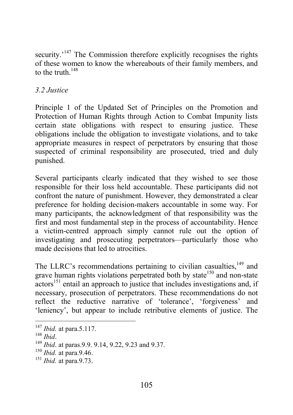security.<sup>'147</sup> The Commission therefore explicitly recognises the rights of these women to know the whereabouts of their family members, and to the truth  $148$ 

### *3.2 Justice*

Principle 1 of the Updated Set of Principles on the Promotion and Protection of Human Rights through Action to Combat Impunity lists certain state obligations with respect to ensuring justice. These obligations include the obligation to investigate violations, and to take appropriate measures in respect of perpetrators by ensuring that those suspected of criminal responsibility are prosecuted, tried and duly punished.

Several participants clearly indicated that they wished to see those responsible for their loss held accountable. These participants did not confront the nature of punishment. However, they demonstrated a clear preference for holding decision-makers accountable in some way. For many participants, the acknowledgment of that responsibility was the first and most fundamental step in the process of accountability. Hence a victim-centred approach simply cannot rule out the option of investigating and prosecuting perpetrators—particularly those who made decisions that led to atrocities.

The LLRC's recommendations pertaining to civilian casualties.<sup>149</sup> and grave human rights violations perpetrated both by state<sup>150</sup> and non-state  $\arccos$ <sup>151</sup> entail an approach to justice that includes investigations and, if necessary, prosecution of perpetrators. These recommendations do not reflect the reductive narrative of 'tolerance', 'forgiveness' and 'leniency', but appear to include retributive elements of justice. The

<sup>&</sup>lt;sup>147</sup> *Ibid.* at para.5.117.<br><sup>148</sup> *Ibid* 

<sup>&</sup>lt;sup>149</sup> *Ibid.* at paras. 9.9. 9.14, 9.22, 9.23 and 9.37.

<sup>150</sup> *Ibid.* at para.9.46.

<sup>151</sup> *Ibid.* at para.9.73.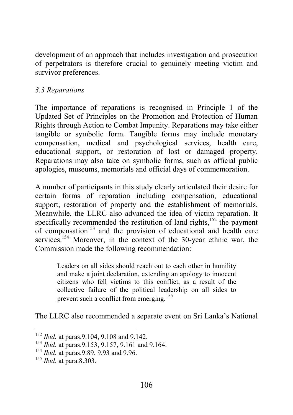development of an approach that includes investigation and prosecution of perpetrators is therefore crucial to genuinely meeting victim and survivor preferences.

### *3.3 Reparations*

The importance of reparations is recognised in Principle 1 of the Updated Set of Principles on the Promotion and Protection of Human Rights through Action to Combat Impunity. Reparations may take either tangible or symbolic form. Tangible forms may include monetary compensation, medical and psychological services, health care, educational support, or restoration of lost or damaged property. Reparations may also take on symbolic forms, such as official public apologies, museums, memorials and official days of commemoration.

A number of participants in this study clearly articulated their desire for certain forms of reparation including compensation, educational support, restoration of property and the establishment of memorials. Meanwhile, the LLRC also advanced the idea of victim reparation. It specifically recommended the restitution of land rights, $152$  the payment of compensation<sup>153</sup> and the provision of educational and health care services.<sup>154</sup> Moreover, in the context of the 30-year ethnic war, the Commission made the following recommendation:

Leaders on all sides should reach out to each other in humility and make a joint declaration, extending an apology to innocent citizens who fell victims to this conflict, as a result of the collective failure of the political leadership on all sides to prevent such a conflict from emerging.<sup>155</sup>

The LLRC also recommended a separate event on Sri Lanka's National

<sup>&</sup>lt;sup>152</sup> *Ibid.* at paras.9.104, 9.108 and 9.142.

<sup>153</sup> *Ibid.* at paras.9.153, 9.157, 9.161 and 9.164.

<sup>154</sup> *Ibid.* at paras.9.89, 9.93 and 9.96.

<sup>155</sup> *Ibid.* at para.8.303.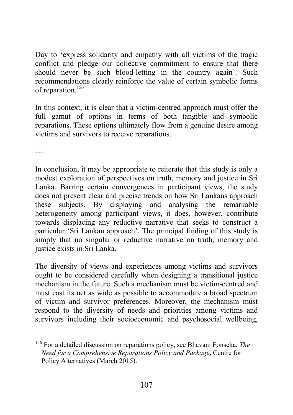Day to 'express solidarity and empathy with all victims of the tragic conflict and pledge our collective commitment to ensure that there should never be such blood-letting in the country again'. Such recommendations clearly reinforce the value of certain symbolic forms of reparation.<sup>156</sup>

In this context, it is clear that a victim-centred approach must offer the full gamut of options in terms of both tangible and symbolic reparations. These options ultimately flow from a genuine desire among victims and survivors to receive reparations.

---

In conclusion, it may be appropriate to reiterate that this study is only a modest exploration of perspectives on truth, memory and justice in Sri Lanka. Barring certain convergences in participant views, the study does not present clear and precise trends on how Sri Lankans approach these subjects. By displaying and analysing the remarkable heterogeneity among participant views, it does, however, contribute towards displacing any reductive narrative that seeks to construct a particular 'Sri Lankan approach'. The principal finding of this study is simply that no singular or reductive narrative on truth, memory and justice exists in Sri Lanka.

The diversity of views and experiences among victims and survivors ought to be considered carefully when designing a transitional justice mechanism in the future. Such a mechanism must be victim-centred and must cast its net as wide as possible to accommodate a broad spectrum of victim and survivor preferences. Moreover, the mechanism must respond to the diversity of needs and priorities among victims and survivors including their socioeconomic and psychosocial wellbeing,

<sup>156</sup> For a detailed discussion on reparations policy, see Bhavani Fonseka, *The Need for a Comprehensive Reparations Policy and Package*, Centre for Policy Alternatives (March 2015).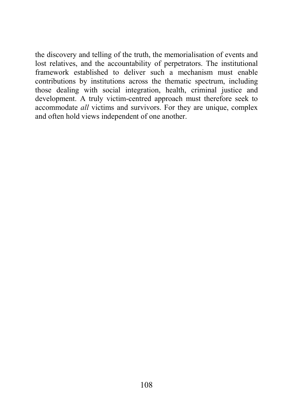the discovery and telling of the truth, the memorialisation of events and lost relatives, and the accountability of perpetrators. The institutional framework established to deliver such a mechanism must enable contributions by institutions across the thematic spectrum, including those dealing with social integration, health, criminal justice and development. A truly victim-centred approach must therefore seek to accommodate *all* victims and survivors. For they are unique, complex and often hold views independent of one another.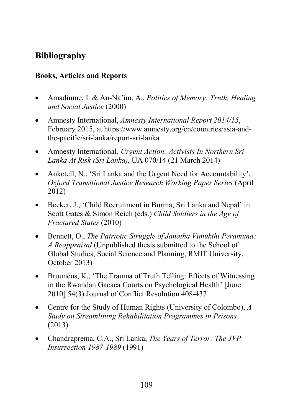# Bibliography

## Books, Articles and Reports

- Amadiume, I. & An-Na'im, A., *Politics of Memory: Truth, Healing and Social Justice* (2000)
- Amnesty International, *Amnesty International Report 2014/15*, February 2015, at https://www.amnesty.org/en/countries/asia-andthe-pacific/sri-lanka/report-sri-lanka
- Amnesty International, *Urgent Action: Activists In Northern Sri Lanka At Risk (Sri Lanka),* UA 070/14 (21 March 2014)
- Anketell, N., 'Sri Lanka and the Urgent Need for Accountability', *Oxford Transitional Justice Research Working Paper Series* (April 2012)
- Becker, J., 'Child Recruitment in Burma, Sri Lanka and Nepal' in Scott Gates & Simon Reich (eds.) *Child Soldiers in the Age of Fractured States* (2010)
- Bennett, O., *The Patriotic Struggle of Janatha Vimukthi Peramuna: A Reappraisal* (Unpublished thesis submitted to the School of Global Studies, Social Science and Planning, RMIT University, October 2013)
- Brounéus, K., 'The Trauma of Truth Telling: Effects of Witnessing in the Rwandan Gacaca Courts on Psychological Health' [June 2010] 54(3) Journal of Conflict Resolution 408-437
- Centre for the Study of Human Rights (University of Colombo), *A Study on Streamlining Rehabilitation Programmes in Prisons* (2013)
- Chandraprema, C.A., Sri Lanka, *The Years of Terror: The JVP Insurrection 1987-1989* (1991)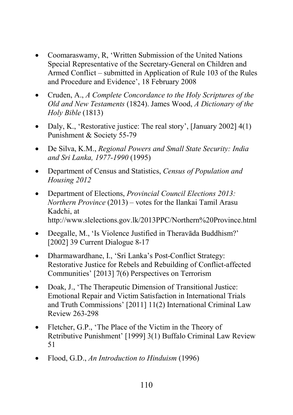- Coomaraswamy, R, 'Written Submission of the United Nations Special Representative of the Secretary-General on Children and Armed Conflict – submitted in Application of Rule 103 of the Rules and Procedure and Evidence', 18 February 2008
- Cruden, A., *A Complete Concordance to the Holy Scriptures of the Old and New Testaments* (1824). James Wood, *A Dictionary of the Holy Bible* (1813)
- Daly, K., 'Restorative justice: The real story', [January 2002] 4(1) Punishment & Society 55-79
- De Silva, K.M., *Regional Powers and Small State Security: India and Sri Lanka, 1977-1990* (1995)
- Department of Census and Statistics, *Census of Population and Housing 2012*
- Department of Elections, *Provincial Council Elections 2013: Northern Province* (2013) – votes for the Ilankai Tamil Arasu Kadchi, at http://www.slelections.gov.lk/2013PPC/Northern%20Province.html
- Deegalle, M., 'Is Violence Justified in Theravāda Buddhism?' [2002] 39 Current Dialogue 8-17
- Dharmawardhane, I., 'Sri Lanka's Post-Conflict Strategy: Restorative Justice for Rebels and Rebuilding of Conflict-affected Communities' [2013] 7(6) Perspectives on Terrorism
- Doak, J., 'The Therapeutic Dimension of Transitional Justice: Emotional Repair and Victim Satisfaction in International Trials and Truth Commissions' [2011] 11(2) International Criminal Law Review 263-298
- Fletcher, G.P., 'The Place of the Victim in the Theory of Retributive Punishment' [1999] 3(1) Buffalo Criminal Law Review 51
- Flood, G.D., *An Introduction to Hinduism* (1996)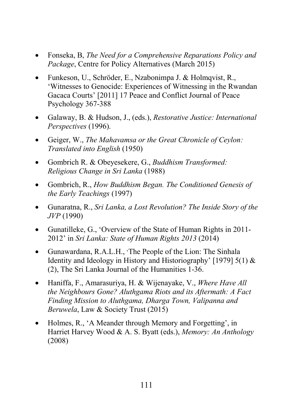- Fonseka, B, *The Need for a Comprehensive Reparations Policy and Package*, Centre for Policy Alternatives (March 2015)
- Funkeson, U., Schröder, E., Nzabonimpa J. & Holmqvist, R., 'Witnesses to Genocide: Experiences of Witnessing in the Rwandan Gacaca Courts' [2011] 17 Peace and Conflict Journal of Peace Psychology 367-388
- Galaway, B. & Hudson, J., (eds.), *Restorative Justice: International Perspectives* (1996).
- Geiger, W., *The Mahavamsa or the Great Chronicle of Ceylon: Translated into English* (1950)
- Gombrich R. & Obeyesekere, G., *Buddhism Transformed: Religious Change in Sri Lanka* (1988)
- Gombrich, R., *How Buddhism Began. The Conditioned Genesis of the Early Teachings* (1997)
- Gunaratna, R., *Sri Lanka, a Lost Revolution? The Inside Story of the JVP* (1990)
- Gunatilleke, G., 'Overview of the State of Human Rights in 2011- 2012' in *Sri Lanka: State of Human Rights 2013* (2014)
- Gunawardana, R.A.L.H., 'The People of the Lion: The Sinhala Identity and Ideology in History and Historiography' [1979] 5(1) & (2), The Sri Lanka Journal of the Humanities 1-36.
- Haniffa, F., Amarasuriya, H. & Wijenayake, V., *Where Have All the Neighbours Gone? Aluthgama Riots and its Aftermath: A Fact Finding Mission to Aluthgama, Dharga Town, Valipanna and Beruwela*, Law & Society Trust (2015)
- Holmes, R., 'A Meander through Memory and Forgetting', in Harriet Harvey Wood & A. S. Byatt (eds.), *Memory: An Anthology*  (2008)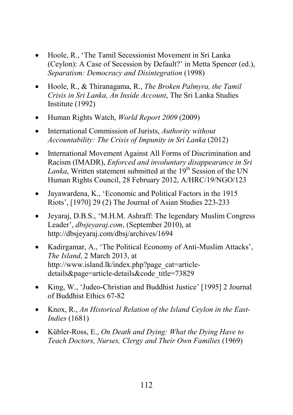- Hoole, R., 'The Tamil Secessionist Movement in Sri Lanka (Ceylon): A Case of Secession by Default?' in Metta Spencer (ed.), *Separatism: Democracy and Disintegration* (1998)
- Hoole, R., & Thiranagama, R., *The Broken Palmyra, the Tamil Crisis in Sri Lanka, An Inside Account*, The Sri Lanka Studies Institute (1992)
- Human Rights Watch, *World Report 2009* (2009)
- International Commission of Jurists, *Authority without Accountability: The Crisis of Impunity in Sri Lanka* (2012)
- International Movement Against All Forms of Discrimination and Racism (IMADR), *Enforced and involuntary disappearance in Sri Lanka*. Written statement submitted at the 19<sup>th</sup> Session of the UN Human Rights Council, 28 February 2012, A/HRC/19/NGO/123
- Jayawardena, K., 'Economic and Political Factors in the 1915 Riots', [1970] 29 (2) The Journal of Asian Studies 223-233
- Jeyaraj, D.B.S., 'M.H.M. Ashraff: The legendary Muslim Congress Leader', *dbsjeyaraj.com*, (September 2010), at http://dbsjeyaraj.com/dbsj/archives/1694
- Kadirgamar, A., 'The Political Economy of Anti-Muslim Attacks', *The Island*, 2 March 2013, at http://www.island.lk/index.php?page\_cat=articledetails&page=article-details&code\_title=73829
- King, W., 'Judeo-Christian and Buddhist Justice' [1995] 2 Journal of Buddhist Ethics 67-82
- Knox, R., *An Historical Relation of the Island Ceylon in the East-Indies* (1681)
- Kübler-Ross, E., *On Death and Dying: What the Dying Have to Teach Doctors, Nurses, Clergy and Their Own Families* (1969)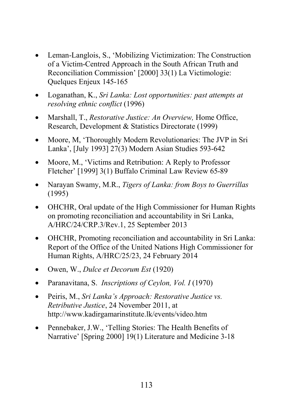- Leman-Langlois, S., 'Mobilizing Victimization: The Construction of a Victim-Centred Approach in the South African Truth and Reconciliation Commission' [2000] 33(1) La Victimologie: Quelques Enjeux 145-165
- Loganathan, K., *Sri Lanka: Lost opportunities: past attempts at resolving ethnic conflict* (1996)
- Marshall, T., *Restorative Justice: An Overview,* Home Office, Research, Development & Statistics Directorate (1999)
- Moore, M, 'Thoroughly Modern Revolutionaries: The JVP in Sri Lanka', [July 1993] 27(3) Modern Asian Studies 593-642
- Moore, M., 'Victims and Retribution: A Reply to Professor Fletcher' [1999] 3(1) Buffalo Criminal Law Review 65-89
- Narayan Swamy, M.R., *Tigers of Lanka: from Boys to Guerrillas* (1995)
- OHCHR, Oral update of the High Commissioner for Human Rights on promoting reconciliation and accountability in Sri Lanka, A/HRC/24/CRP.3/Rev.1, 25 September 2013
- OHCHR, Promoting reconciliation and accountability in Sri Lanka: Report of the Office of the United Nations High Commissioner for Human Rights, A/HRC/25/23, 24 February 2014
- Owen, W., *Dulce et Decorum Est* (1920)
- Paranavitana, S. *Inscriptions of Ceylon, Vol. I* (1970)
- Peiris, M., *Sri Lanka's Approach: Restorative Justice vs. Retributive Justice*, 24 November 2011, at http://www.kadirgamarinstitute.lk/events/video.htm
- Pennebaker, J.W., 'Telling Stories: The Health Benefits of Narrative' [Spring 2000] 19(1) Literature and Medicine 3-18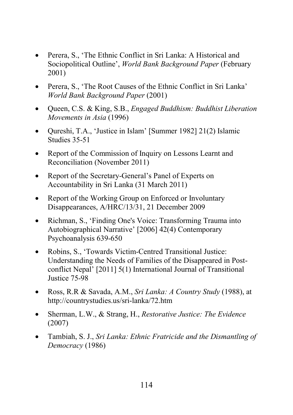- Perera, S., 'The Ethnic Conflict in Sri Lanka: A Historical and Sociopolitical Outline', *World Bank Background Paper* (February 2001)
- Perera, S., 'The Root Causes of the Ethnic Conflict in Sri Lanka' *World Bank Background Paper* (2001)
- Queen, C.S. & King, S.B., *Engaged Buddhism: Buddhist Liberation Movements in Asia* (1996)
- Qureshi, T.A., 'Justice in Islam' [Summer 1982] 21(2) Islamic Studies 35-51
- Report of the Commission of Inquiry on Lessons Learnt and Reconciliation (November 2011)
- Report of the Secretary-General's Panel of Experts on Accountability in Sri Lanka (31 March 2011)
- Report of the Working Group on Enforced or Involuntary Disappearances, A/HRC/13/31, 21 December 2009
- Richman, S., 'Finding One's Voice: Transforming Trauma into Autobiographical Narrative' [2006] 42(4) Contemporary Psychoanalysis 639-650
- Robins, S., 'Towards Victim-Centred Transitional Justice: Understanding the Needs of Families of the Disappeared in Postconflict Nepal' [2011] 5(1) International Journal of Transitional Justice 75-98
- Ross, R.R & Savada, A.M., *Sri Lanka: A Country Study* (1988), at http://countrystudies.us/sri-lanka/72.htm
- Sherman, L.W., & Strang, H., *Restorative Justice: The Evidence* (2007)
- Tambiah, S. J., *Sri Lanka: Ethnic Fratricide and the Dismantling of Democracy* (1986)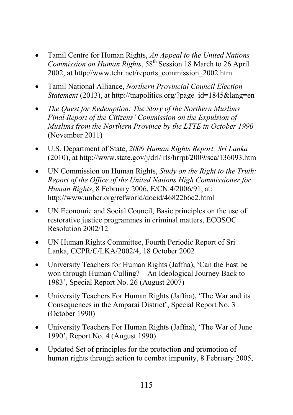- Tamil Centre for Human Rights, *An Appeal to the United Nations Commission on Human Rights*, 58<sup>th</sup> Session 18 March to 26 April 2002, at http://www.tchr.net/reports\_commission\_2002.htm
- Tamil National Alliance, *Northern Provincial Council Election Statement* (2013), at http://tnapolitics.org/?page\_id=1845&lang=en
- *The Quest for Redemption: The Story of the Northern Muslims – Final Report of the Citizens' Commission on the Expulsion of Muslims from the Northern Province by the LTTE in October 1990* (November 2011)
- U.S. Department of State, *2009 Human Rights Report: Sri Lanka*  $(2010)$ , at http://www.state.gov/j/drl/ rls/hrrpt/2009/sca/136093.htm
- UN Commission on Human Rights, *Study on the Right to the Truth: Report of the Office of the United Nations High Commissioner for Human Rights*, 8 February 2006, E/CN.4/2006/91, at: http://www.unhcr.org/refworld/docid/46822b6c2.html
- UN Economic and Social Council, Basic principles on the use of restorative justice programmes in criminal matters, ECOSOC Resolution 2002/12
- UN Human Rights Committee, Fourth Periodic Report of Sri Lanka, CCPR/C/LKA/2002/4, 18 October 2002
- University Teachers for Human Rights (Jaffna), 'Can the East be won through Human Culling? – An Ideological Journey Back to 1983', Special Report No. 26 (August 2007)
- University Teachers For Human Rights (Jaffna), 'The War and its Consequences in the Amparai District', Special Report No. 3 (October 1990)
- University Teachers For Human Rights (Jaffna), 'The War of June 1990', Report No. 4 (August 1990)
- Updated Set of principles for the protection and promotion of human rights through action to combat impunity, 8 February 2005,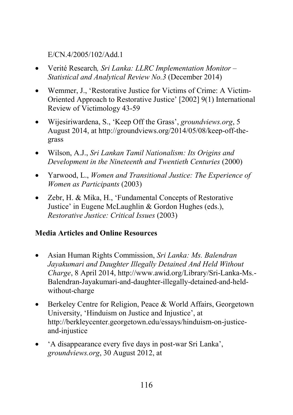E/CN.4/2005/102/Add.1

- Verité Research*, Sri Lanka: LLRC Implementation Monitor – Statistical and Analytical Review No.3* (December 2014)
- Wemmer, J., 'Restorative Justice for Victims of Crime: A Victim-Oriented Approach to Restorative Justice' [2002] 9(1) International Review of Victimology 43-59
- Wijesiriwardena, S., 'Keep Off the Grass', *groundviews.org*, 5 August 2014, at http://groundviews.org/2014/05/08/keep-off-thegrass
- Wilson, A.J., *Sri Lankan Tamil Nationalism: Its Origins and Development in the Nineteenth and Twentieth Centuries* (2000)
- Yarwood, L., *Women and Transitional Justice: The Experience of Women as Participants* (2003)
- Zebr, H. & Mika, H., 'Fundamental Concepts of Restorative Justice' in Eugene McLaughlin & Gordon Hughes (eds.), *Restorative Justice: Critical Issues* (2003)

# Media Articles and Online Resources

- Asian Human Rights Commission, *Sri Lanka: Ms. Balendran Jayakumari and Daughter Illegally Detained And Held Without Charge*, 8 April 2014, http://www.awid.org/Library/Sri-Lanka-Ms.- Balendran-Jayakumari-and-daughter-illegally-detained-and-heldwithout-charge
- Berkeley Centre for Religion, Peace & World Affairs, Georgetown University, 'Hinduism on Justice and Injustice', at http://berkleycenter.georgetown.edu/essays/hinduism-on-justiceand-injustice
- 'A disappearance every five days in post-war Sri Lanka', *groundviews.org*, 30 August 2012, at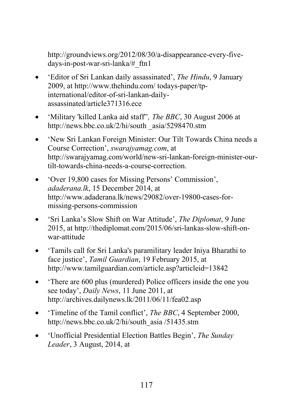http://groundviews.org/2012/08/30/a-disappearance-every-fivedays-in-post-war-sri-lanka/#\_ftn1

- 'Editor of Sri Lankan daily assassinated', *The Hindu*, 9 January 2009, at http://www.thehindu.com/ todays-paper/tpinternational/editor-of-sri-lankan-dailyassassinated/article371316.ece
- 'Military 'killed Lanka aid staff''*, The BBC*, 30 August 2006 at http://news.bbc.co.uk/2/hi/south \_asia/5298470.stm
- 'New Sri Lankan Foreign Minister: Our Tilt Towards China needs a Course Correction', *swarajyamag.com*, at http://swarajyamag.com/world/new-sri-lankan-foreign-minister-ourtilt-towards-china-needs-a-course-correction.
- 'Over 19,800 cases for Missing Persons' Commission', *adaderana.lk*, 15 December 2014, at http://www.adaderana.lk/news/29082/over-19800-cases-formissing-persons-commission
- 'Sri Lanka's Slow Shift on War Attitude', *The Diplomat*, 9 June 2015, at http://thediplomat.com/2015/06/sri-lankas-slow-shift-onwar-attitude
- 'Tamils call for Sri Lanka's paramilitary leader Iniya Bharathi to face justice', *Tamil Guardian*, 19 February 2015, at http://www.tamilguardian.com/article.asp?articleid=13842
- 'There are 600 plus (murdered) Police officers inside the one you see today', *Daily News*, 11 June 2011, at http://archives.dailynews.lk/2011/06/11/fea02.asp
- 'Timeline of the Tamil conflict', *The BBC*, 4 September 2000, http://news.bbc.co.uk/2/hi/south\_asia /51435.stm
- 'Unofficial Presidential Election Battles Begin', *The Sunday Leader*, 3 August, 2014, at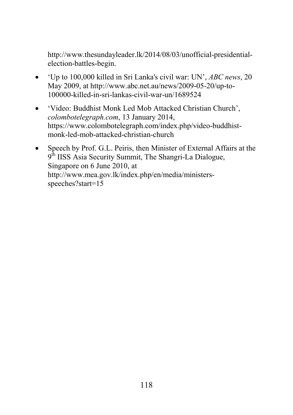http://www.thesundayleader.lk/2014/08/03/unofficial-presidentialelection-battles-begin.

- 'Up to 100,000 killed in Sri Lanka's civil war: UN', *ABC news*, 20 May 2009, at http://www.abc.net.au/news/2009-05-20/up-to-100000-killed-in-sri-lankas-civil-war-un/1689524
- 'Video: Buddhist Monk Led Mob Attacked Christian Church', *colombotelegraph.com*, 13 January 2014, https://www.colombotelegraph.com/index.php/video-buddhistmonk-led-mob-attacked-christian-church
- Speech by Prof. G.L. Peiris, then Minister of External Affairs at the  $9<sup>th</sup> IISS Asia Security Summit, The Shangri-La Dialogue,$ Singapore on 6 June 2010, at http://www.mea.gov.lk/index.php/en/media/ministersspeeches?start=15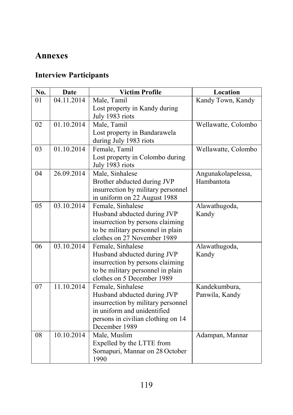# Annexes

# Interview Participants

| No. | Date       | <b>Victim Profile</b><br>Location  |                     |  |
|-----|------------|------------------------------------|---------------------|--|
| 01  | 04.11.2014 | Male, Tamil                        | Kandy Town, Kandy   |  |
|     |            | Lost property in Kandy during      |                     |  |
|     |            | July 1983 riots                    |                     |  |
| 02  | 01.10.2014 | Male, Tamil                        | Wellawatte, Colombo |  |
|     |            | Lost property in Bandarawela       |                     |  |
|     |            | during July 1983 riots             |                     |  |
| 03  | 01.10.2014 | Female, Tamil                      | Wellawatte, Colombo |  |
|     |            | Lost property in Colombo during    |                     |  |
|     |            | July 1983 riots                    |                     |  |
| 04  | 26.09.2014 | Male, Sinhalese                    | Angunakolapelessa,  |  |
|     |            | Brother abducted during JVP        | Hambantota          |  |
|     |            | insurrection by military personnel |                     |  |
|     |            | in uniform on 22 August 1988       |                     |  |
| 05  | 03.10.2014 | Female, Sinhalese                  | Alawathugoda,       |  |
|     |            | Husband abducted during JVP        | Kandy               |  |
|     |            | insurrection by persons claiming   |                     |  |
|     |            | to be military personnel in plain  |                     |  |
|     |            | clothes on 27 November 1989        |                     |  |
| 06  | 03.10.2014 | Female, Sinhalese                  | Alawathugoda,       |  |
|     |            | Husband abducted during JVP        | Kandy               |  |
|     |            | insurrection by persons claiming   |                     |  |
|     |            | to be military personnel in plain  |                     |  |
|     |            | clothes on 5 December 1989         |                     |  |
| 07  | 11.10.2014 | Female, Sinhalese                  | Kandekumbura,       |  |
|     |            | Husband abducted during JVP        | Panwila, Kandy      |  |
|     |            | insurrection by military personnel |                     |  |
|     |            | in uniform and unidentified        |                     |  |
|     |            | persons in civilian clothing on 14 |                     |  |
|     |            | December 1989                      |                     |  |
| 08  | 10.10.2014 | Male, Muslim                       | Adampan, Mannar     |  |
|     |            | Expelled by the LTTE from          |                     |  |
|     |            | Sornapuri, Mannar on 28 October    |                     |  |
|     |            | 1990                               |                     |  |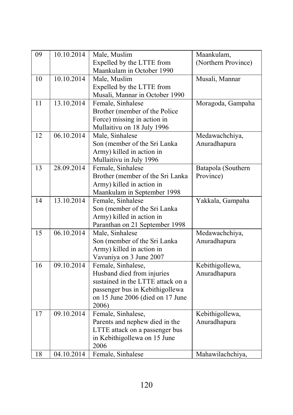| $\overline{09}$ | 10.10.2014 | Male, Muslim                      | Maankulam,          |  |
|-----------------|------------|-----------------------------------|---------------------|--|
|                 |            | Expelled by the LTTE from         | (Northern Province) |  |
|                 |            | Maankulam in October 1990         |                     |  |
| 10              | 10.10.2014 | Male, Muslim                      | Musali, Mannar      |  |
|                 |            | Expelled by the LTTE from         |                     |  |
|                 |            | Musali, Mannar in October 1990    |                     |  |
| 11              | 13.10.2014 | Female, Sinhalese                 | Moragoda, Gampaha   |  |
|                 |            | Brother (member of the Police     |                     |  |
|                 |            | Force) missing in action in       |                     |  |
|                 |            | Mullaitivu on 18 July 1996        |                     |  |
| $\overline{12}$ | 06.10.2014 | Male, Sinhalese                   | Medawachchiya,      |  |
|                 |            | Son (member of the Sri Lanka      | Anuradhapura        |  |
|                 |            | Army) killed in action in         |                     |  |
|                 |            | Mullaitivu in July 1996           |                     |  |
| 13              | 28.09.2014 | Female, Sinhalese                 | Batapola (Southern  |  |
|                 |            | Brother (member of the Sri Lanka  | Province)           |  |
|                 |            | Army) killed in action in         |                     |  |
|                 |            | Maankulam in September 1998       |                     |  |
| 14              | 13.10.2014 | Female, Sinhalese                 | Yakkala, Gampaha    |  |
|                 |            | Son (member of the Sri Lanka      |                     |  |
|                 |            | Army) killed in action in         |                     |  |
|                 |            | Paranthan on 21 September 1998    |                     |  |
| 15              | 06.10.2014 | Male, Sinhalese                   | Medawachchiya,      |  |
|                 |            | Son (member of the Sri Lanka      | Anuradhapura        |  |
|                 |            | Army) killed in action in         |                     |  |
|                 |            | Vavuniya on 3 June 2007           |                     |  |
| 16              | 09.10.2014 | Female, Sinhalese,                | Kebithigollewa,     |  |
|                 |            | Husband died from injuries        | Anuradhapura        |  |
|                 |            | sustained in the LTTE attack on a |                     |  |
|                 |            | passenger bus in Kebithigollewa   |                     |  |
|                 |            | on 15 June 2006 (died on 17 June  |                     |  |
|                 |            | 2006)                             |                     |  |
| 17              | 09.10.2014 | Female, Sinhalese,                | Kebithigollewa,     |  |
|                 |            | Parents and nephew died in the    | Anuradhapura        |  |
|                 |            | LTTE attack on a passenger bus    |                     |  |
|                 |            | in Kebithigollewa on 15 June      |                     |  |
|                 |            | 2006                              |                     |  |
| 18              | 04.10.2014 | Female, Sinhalese                 | Mahawilachchiya,    |  |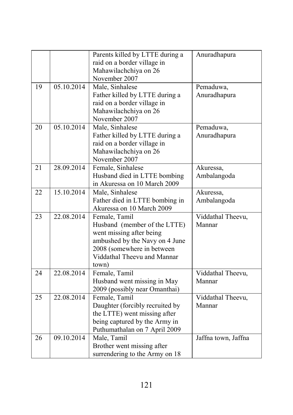|    |            | Parents killed by LTTE during a<br>raid on a border village in                                                                                                                    | Anuradhapura                |  |
|----|------------|-----------------------------------------------------------------------------------------------------------------------------------------------------------------------------------|-----------------------------|--|
|    |            | Mahawilachchiya on 26<br>November 2007                                                                                                                                            |                             |  |
| 19 | 05.10.2014 | Male, Sinhalese<br>Father killed by LTTE during a<br>raid on a border village in<br>Mahawilachchiya on 26<br>November 2007                                                        | Pemaduwa,<br>Anuradhapura   |  |
| 20 | 05.10.2014 | Male, Sinhalese<br>Father killed by LTTE during a<br>raid on a border village in<br>Mahawilachchiya on 26<br>November 2007                                                        | Pemaduwa,<br>Anuradhapura   |  |
| 21 | 28.09.2014 | Female, Sinhalese<br>Husband died in LTTE bombing<br>in Akuressa on 10 March 2009                                                                                                 | Akuressa,<br>Ambalangoda    |  |
| 22 | 15.10.2014 | Male, Sinhalese<br>Father died in LTTE bombing in<br>Akuressa on 10 March 2009                                                                                                    | Akuressa,<br>Ambalangoda    |  |
| 23 | 22.08.2014 | Female, Tamil<br>Husband (member of the LTTE)<br>went missing after being<br>ambushed by the Navy on 4 June<br>2008 (somewhere in between<br>Viddathal Theevu and Mannar<br>town) | Viddathal Theevu,<br>Mannar |  |
| 24 | 22.08.2014 | Female, Tamil<br>Husband went missing in May<br>2009 (possibly near Omanthai)                                                                                                     | Viddathal Theevu,<br>Mannar |  |
| 25 | 22.08.2014 | Female, Tamil<br>Daughter (forcibly recruited by<br>the LTTE) went missing after<br>being captured by the Army in<br>Puthumathalan on 7 April 2009                                | Viddathal Theevu,<br>Mannar |  |
| 26 | 09.10.2014 | Male, Tamil<br>Brother went missing after<br>surrendering to the Army on 18                                                                                                       | Jaffna town, Jaffna         |  |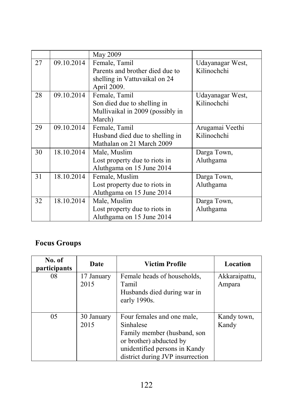|    |            | May 2009                                       |                  |  |
|----|------------|------------------------------------------------|------------------|--|
| 27 | 09.10.2014 | Female, Tamil                                  | Udayanagar West, |  |
|    |            | Parents and brother died due to<br>Kilinochchi |                  |  |
|    |            | shelling in Vattuvaikal on 24                  |                  |  |
|    |            | April 2009.                                    |                  |  |
| 28 | 09.10.2014 | Female, Tamil                                  | Udayanagar West, |  |
|    |            | Son died due to shelling in                    | Kilinochchi      |  |
|    |            | Mullivaikal in 2009 (possibly in               |                  |  |
|    |            | March)                                         |                  |  |
| 29 | 09.10.2014 | Female, Tamil                                  | Arugamai Veethi  |  |
|    |            | Husband died due to shelling in                | Kilinochchi      |  |
|    |            | Mathalan on 21 March 2009                      |                  |  |
| 30 | 18.10.2014 | Male, Muslim                                   | Darga Town,      |  |
|    |            | Lost property due to riots in                  | Aluthgama        |  |
|    |            | Aluthgama on 15 June 2014                      |                  |  |
| 31 | 18.10.2014 | Female, Muslim                                 | Darga Town,      |  |
|    |            | Lost property due to riots in                  | Aluthgama        |  |
|    |            | Aluthgama on 15 June 2014                      |                  |  |
| 32 | 18.10.2014 | Male, Muslim                                   | Darga Town,      |  |
|    |            | Aluthgama<br>Lost property due to riots in     |                  |  |
|    |            | Aluthgama on 15 June 2014                      |                  |  |

# Focus Groups

| No. of<br>participants | Date               | Victim Profile                                                                                                                                                         | Location                |
|------------------------|--------------------|------------------------------------------------------------------------------------------------------------------------------------------------------------------------|-------------------------|
| 08                     | 17 January<br>2015 | Female heads of households,<br>Tamil<br>Husbands died during war in<br>early 1990s.                                                                                    | Akkaraipattu,<br>Ampara |
| 05                     | 30 January<br>2015 | Four females and one male,<br>Sinhalese<br>Family member (husband, son<br>or brother) abducted by<br>unidentified persons in Kandy<br>district during JVP insurrection | Kandy town,<br>Kandy    |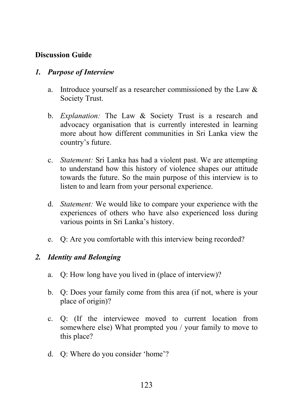### Discussion Guide

#### *1. Purpose of Interview*

- a. Introduce yourself as a researcher commissioned by the Law & Society Trust.
- b. *Explanation:* The Law & Society Trust is a research and advocacy organisation that is currently interested in learning more about how different communities in Sri Lanka view the country's future.
- c. *Statement:* Sri Lanka has had a violent past. We are attempting to understand how this history of violence shapes our attitude towards the future. So the main purpose of this interview is to listen to and learn from your personal experience.
- d. *Statement:* We would like to compare your experience with the experiences of others who have also experienced loss during various points in Sri Lanka's history.
- e. Q: Are you comfortable with this interview being recorded?

#### *2. Identity and Belonging*

- a. Q: How long have you lived in (place of interview)?
- b. Q: Does your family come from this area (if not, where is your place of origin)?
- c. Q: (If the interviewee moved to current location from somewhere else) What prompted you / your family to move to this place?
- d. Q: Where do you consider 'home'?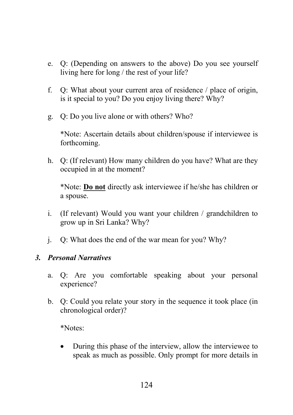- e. Q: (Depending on answers to the above) Do you see yourself living here for long / the rest of your life?
- f. Q: What about your current area of residence / place of origin, is it special to you? Do you enjoy living there? Why?
- g. Q: Do you live alone or with others? Who?

\*Note: Ascertain details about children/spouse if interviewee is forthcoming.

h. Q: (If relevant) How many children do you have? What are they occupied in at the moment?

\*Note: Do not directly ask interviewee if he/she has children or a spouse.

- i. (If relevant) Would you want your children / grandchildren to grow up in Sri Lanka? Why?
- j. Q: What does the end of the war mean for you? Why?

#### *3. Personal Narratives*

- a. Q: Are you comfortable speaking about your personal experience?
- b. Q: Could you relate your story in the sequence it took place (in chronological order)?

\*Notes:

• During this phase of the interview, allow the interviewee to speak as much as possible. Only prompt for more details in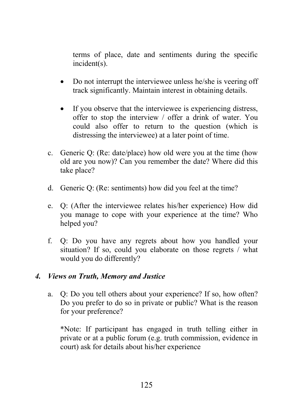terms of place, date and sentiments during the specific incident(s).

- Do not interrupt the interviewee unless he/she is veering off track significantly. Maintain interest in obtaining details.
- If you observe that the interviewee is experiencing distress, offer to stop the interview / offer a drink of water. You could also offer to return to the question (which is distressing the interviewee) at a later point of time.
- c. Generic Q: (Re: date/place) how old were you at the time (how old are you now)? Can you remember the date? Where did this take place?
- d. Generic Q: (Re: sentiments) how did you feel at the time?
- e. Q: (After the interviewee relates his/her experience) How did you manage to cope with your experience at the time? Who helped you?
- f. Q: Do you have any regrets about how you handled your situation? If so, could you elaborate on those regrets / what would you do differently?

#### *4. Views on Truth, Memory and Justice*

a. Q: Do you tell others about your experience? If so, how often? Do you prefer to do so in private or public? What is the reason for your preference?

\*Note: If participant has engaged in truth telling either in private or at a public forum (e.g. truth commission, evidence in court) ask for details about his/her experience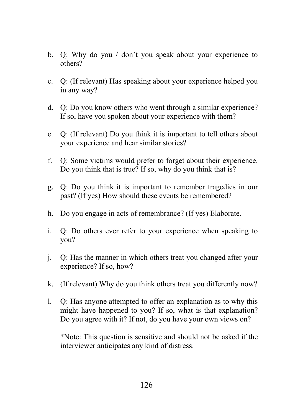- b. Q: Why do you / don't you speak about your experience to others?
- c. Q: (If relevant) Has speaking about your experience helped you in any way?
- d. Q: Do you know others who went through a similar experience? If so, have you spoken about your experience with them?
- e. Q: (If relevant) Do you think it is important to tell others about your experience and hear similar stories?
- f. Q: Some victims would prefer to forget about their experience. Do you think that is true? If so, why do you think that is?
- g. Q: Do you think it is important to remember tragedies in our past? (If yes) How should these events be remembered?
- h. Do you engage in acts of remembrance? (If yes) Elaborate.
- i. Q: Do others ever refer to your experience when speaking to you?
- j. Q: Has the manner in which others treat you changed after your experience? If so, how?
- k. (If relevant) Why do you think others treat you differently now?
- l. Q: Has anyone attempted to offer an explanation as to why this might have happened to you? If so, what is that explanation? Do you agree with it? If not, do you have your own views on?

\*Note: This question is sensitive and should not be asked if the interviewer anticipates any kind of distress.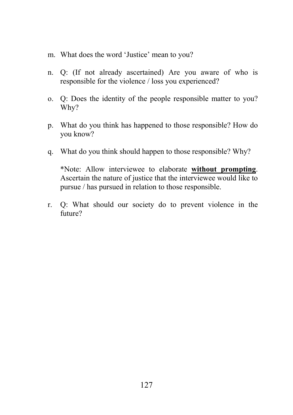- m. What does the word 'Justice' mean to you?
- n. Q: (If not already ascertained) Are you aware of who is responsible for the violence / loss you experienced?
- o. Q: Does the identity of the people responsible matter to you? Why?
- p. What do you think has happened to those responsible? How do you know?
- q. What do you think should happen to those responsible? Why?

\*Note: Allow interviewee to elaborate without prompting. Ascertain the nature of justice that the interviewee would like to pursue / has pursued in relation to those responsible.

r. Q: What should our society do to prevent violence in the future?